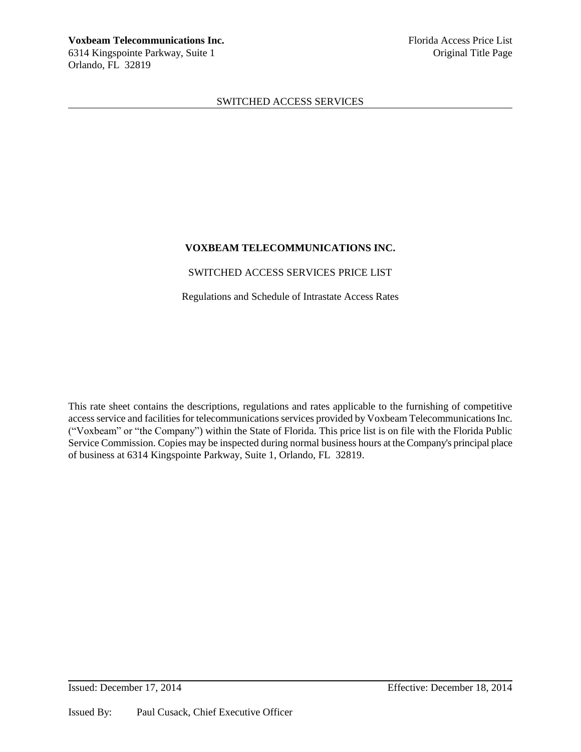# **VOXBEAM TELECOMMUNICATIONS INC.**

# SWITCHED ACCESS SERVICES PRICE LIST

Regulations and Schedule of Intrastate Access Rates

This rate sheet contains the descriptions, regulations and rates applicable to the furnishing of competitive access service and facilities for telecommunications services provided by Voxbeam Telecommunications Inc. ("Voxbeam" or "the Company") within the State of Florida. This price list is on file with the Florida Public Service Commission. Copies may be inspected during normal business hours at the Company's principal place of business at 6314 Kingspointe Parkway, Suite 1, Orlando, FL 32819.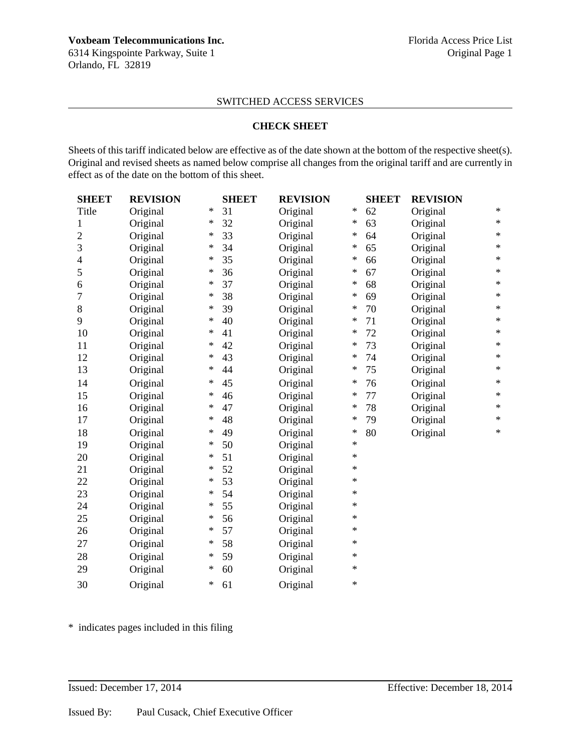6314 Kingspointe Parkway, Suite 1 Conservation of the Conservation of Conservation of Conservation of Conservation of Conservation of Conservation of Conservation of Conservation of Conservation of Conservation of Conserva Orlando, FL 32819

# SWITCHED ACCESS SERVICES

### **CHECK SHEET**

Sheets of this tariff indicated below are effective as of the date shown at the bottom of the respective sheet(s). Original and revised sheets as named below comprise all changes from the original tariff and are currently in effect as of the date on the bottom of this sheet.

| <b>SHEET</b>   | <b>REVISION</b> |        | <b>SHEET</b> | <b>REVISION</b> |        | <b>SHEET</b> | <b>REVISION</b> |        |
|----------------|-----------------|--------|--------------|-----------------|--------|--------------|-----------------|--------|
| Title          | Original        | $\ast$ | 31           | Original        | $\ast$ | 62           | Original        | $\ast$ |
| 1              | Original        | $\ast$ | 32           | Original        | ∗      | 63           | Original        | $\ast$ |
| $\overline{c}$ | Original        | ∗      | 33           | Original        | ∗      | 64           | Original        | $\ast$ |
| 3              | Original        | $\ast$ | 34           | Original        | $\ast$ | 65           | Original        | $\ast$ |
| 4              | Original        | $\ast$ | 35           | Original        | ∗      | 66           | Original        | $\ast$ |
| 5              | Original        | ∗      | 36           | Original        | ∗      | 67           | Original        | $\ast$ |
| 6              | Original        | $\ast$ | 37           | Original        | $\ast$ | 68           | Original        | $\ast$ |
| 7              | Original        | $\ast$ | 38           | Original        | $\ast$ | 69           | Original        | $\ast$ |
| 8              | Original        | ∗      | 39           | Original        | $\ast$ | 70           | Original        | $\ast$ |
| 9              | Original        | $\ast$ | 40           | Original        | ∗      | 71           | Original        | $\ast$ |
| 10             | Original        | $\ast$ | 41           | Original        | $\ast$ | 72           | Original        | $\ast$ |
| 11             | Original        | $\ast$ | 42           | Original        | $\ast$ | 73           | Original        | $\ast$ |
| 12             | Original        | ∗      | 43           | Original        | ∗      | 74           | Original        | $\ast$ |
| 13             | Original        | $\ast$ | 44           | Original        | $\ast$ | 75           | Original        | $\ast$ |
| 14             | Original        | $\ast$ | 45           | Original        | ∗      | 76           | Original        | $\ast$ |
| 15             | Original        | $\ast$ | 46           | Original        | $\ast$ | 77           | Original        | $\ast$ |
| 16             | Original        | $\ast$ | 47           | Original        | $\ast$ | 78           | Original        | $\ast$ |
| 17             | Original        | $\ast$ | 48           | Original        | ∗      | 79           | Original        | $\ast$ |
| 18             | Original        | $\ast$ | 49           | Original        | $\ast$ | 80           | Original        | $\ast$ |
| 19             | Original        | $\ast$ | 50           | Original        | $\ast$ |              |                 |        |
| 20             | Original        | $\ast$ | 51           | Original        | $\ast$ |              |                 |        |
| 21             | Original        | $\ast$ | 52           | Original        | $\ast$ |              |                 |        |
| 22             | Original        | $\ast$ | 53           | Original        | $\ast$ |              |                 |        |
| 23             | Original        | ∗      | 54           | Original        | $\ast$ |              |                 |        |
| 24             | Original        | $\ast$ | 55           | Original        | $\ast$ |              |                 |        |
| 25             | Original        | $\ast$ | 56           | Original        | $\ast$ |              |                 |        |
| 26             | Original        | ∗      | 57           | Original        | $\ast$ |              |                 |        |
| 27             | Original        | ∗      | 58           | Original        | $\ast$ |              |                 |        |
| 28             | Original        | ∗      | 59           | Original        | $\ast$ |              |                 |        |
| 29             | Original        | $\ast$ | 60           | Original        | $\ast$ |              |                 |        |
| 30             | Original        | $\ast$ | 61           | Original        | $\ast$ |              |                 |        |

\* indicates pages included in this filing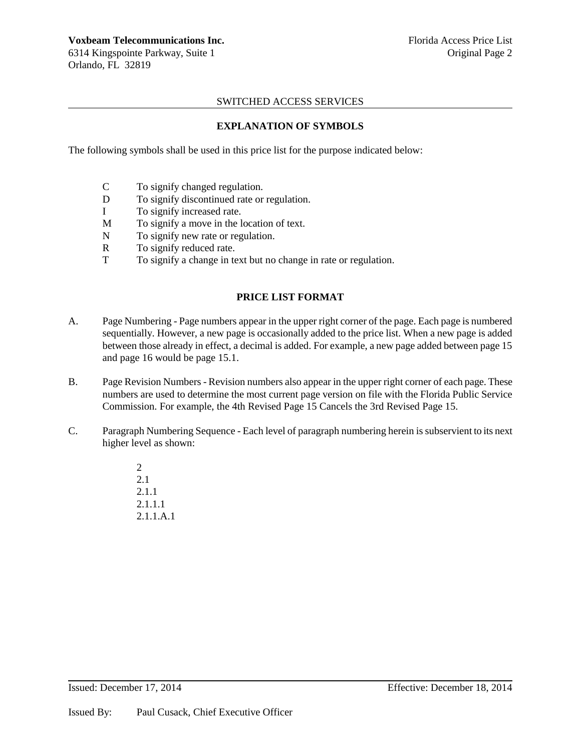**Voxbeam Telecommunications Inc.** The setting of the setting problem is setting to the setting problem of the setting  $\frac{1}{2}$  Florida Access Price List 6314 Kingspointe Parkway, Suite 1 Constantinople of the Constantinople of Constantinople of Constantinople of Constantinople of Constantinople of Constantinople of Constantinople of Constantinople of Constantinople of Cons Orlando, FL 32819

# SWITCHED ACCESS SERVICES

# **EXPLANATION OF SYMBOLS**

The following symbols shall be used in this price list for the purpose indicated below:

- C To signify changed regulation.
- D To signify discontinued rate or regulation.
- I To signify increased rate.
- M To signify a move in the location of text.
- N To signify new rate or regulation.
- R To signify reduced rate.
- T To signify a change in text but no change in rate or regulation.

# **PRICE LIST FORMAT**

- A. Page Numbering Page numbers appear in the upper right corner of the page. Each page is numbered sequentially. However, a new page is occasionally added to the price list. When a new page is added between those already in effect, a decimal is added. For example, a new page added between page 15 and page 16 would be page 15.1.
- B. Page Revision Numbers Revision numbers also appear in the upper right corner of each page. These numbers are used to determine the most current page version on file with the Florida Public Service Commission. For example, the 4th Revised Page 15 Cancels the 3rd Revised Page 15.
- C. Paragraph Numbering Sequence Each level of paragraph numbering herein is subservient to its next higher level as shown:
	- 2 2.1 2.1.1 2.1.1.1 2.1.1.A.1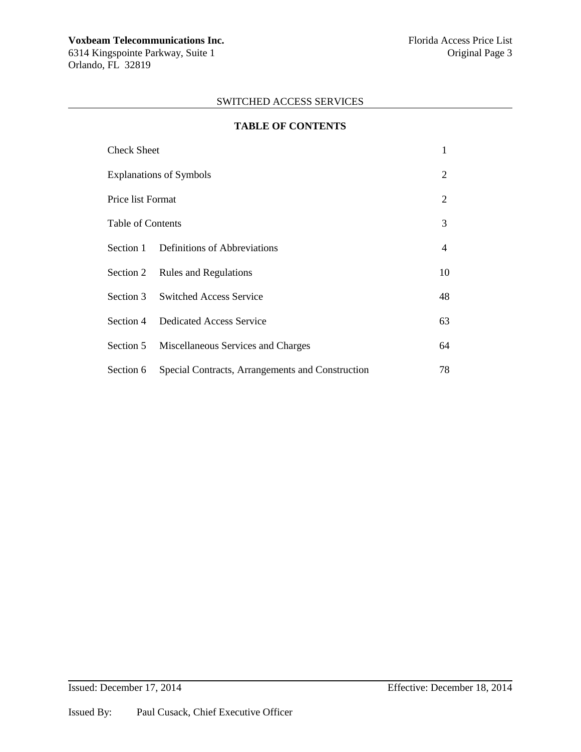Orlando, FL 32819

# SWITCHED ACCESS SERVICES

| <b>TABLE OF CONTENTS</b>       |                                                            |                |  |  |  |  |  |
|--------------------------------|------------------------------------------------------------|----------------|--|--|--|--|--|
| Check Sheet                    |                                                            |                |  |  |  |  |  |
| <b>Explanations of Symbols</b> |                                                            |                |  |  |  |  |  |
| Price list Format              |                                                            |                |  |  |  |  |  |
| Table of Contents              |                                                            |                |  |  |  |  |  |
|                                | Section 1 Definitions of Abbreviations                     | $\overline{4}$ |  |  |  |  |  |
|                                | Section 2 Rules and Regulations                            | 10             |  |  |  |  |  |
|                                | Section 3 Switched Access Service                          | 48             |  |  |  |  |  |
|                                | Section 4 Dedicated Access Service                         | 63             |  |  |  |  |  |
|                                | Section 5 Miscellaneous Services and Charges               | 64             |  |  |  |  |  |
|                                | Section 6 Special Contracts, Arrangements and Construction | 78             |  |  |  |  |  |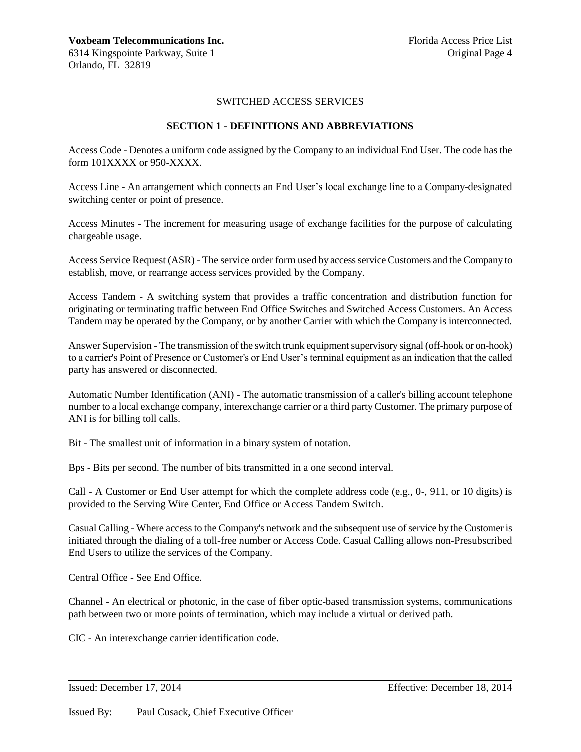# **SECTION 1 - DEFINITIONS AND ABBREVIATIONS**

Access Code - Denotes a uniform code assigned by the Company to an individual End User. The code has the form 101XXXX or 950-XXXX.

Access Line - An arrangement which connects an End User's local exchange line to a Company-designated switching center or point of presence.

Access Minutes - The increment for measuring usage of exchange facilities for the purpose of calculating chargeable usage.

Access Service Request (ASR) - The service order form used by access service Customers and the Company to establish, move, or rearrange access services provided by the Company.

Access Tandem - A switching system that provides a traffic concentration and distribution function for originating or terminating traffic between End Office Switches and Switched Access Customers. An Access Tandem may be operated by the Company, or by another Carrier with which the Company is interconnected.

Answer Supervision - The transmission of the switch trunk equipment supervisory signal (off-hook or on-hook) to a carrier's Point of Presence or Customer's or End User's terminal equipment as an indication that the called party has answered or disconnected.

Automatic Number Identification (ANI) - The automatic transmission of a caller's billing account telephone number to a local exchange company, interexchange carrier or a third party Customer. The primary purpose of ANI is for billing toll calls.

Bit - The smallest unit of information in a binary system of notation.

Bps - Bits per second. The number of bits transmitted in a one second interval.

Call - A Customer or End User attempt for which the complete address code (e.g., 0-, 911, or 10 digits) is provided to the Serving Wire Center, End Office or Access Tandem Switch.

Casual Calling - Where access to the Company's network and the subsequent use of service by the Customer is initiated through the dialing of a toll-free number or Access Code. Casual Calling allows non-Presubscribed End Users to utilize the services of the Company.

Central Office - See End Office.

Channel - An electrical or photonic, in the case of fiber optic-based transmission systems, communications path between two or more points of termination, which may include a virtual or derived path.

CIC - An interexchange carrier identification code.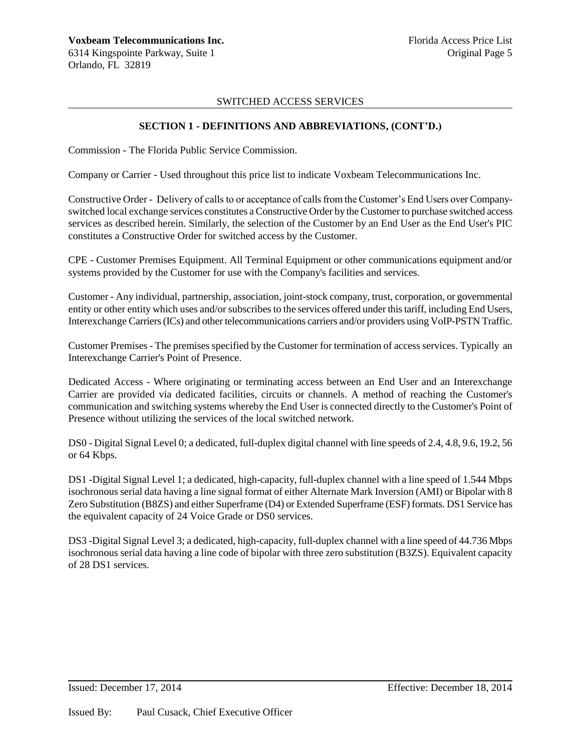### **SECTION 1 - DEFINITIONS AND ABBREVIATIONS, (CONT'D.)**

Commission - The Florida Public Service Commission.

Company or Carrier - Used throughout this price list to indicate Voxbeam Telecommunications Inc.

Constructive Order - Delivery of calls to or acceptance of calls from the Customer's End Users over Companyswitched local exchange services constitutes a Constructive Order by the Customer to purchase switched access services as described herein. Similarly, the selection of the Customer by an End User as the End User's PIC constitutes a Constructive Order for switched access by the Customer.

CPE - Customer Premises Equipment. All Terminal Equipment or other communications equipment and/or systems provided by the Customer for use with the Company's facilities and services.

Customer - Any individual, partnership, association, joint-stock company, trust, corporation, or governmental entity or other entity which uses and/or subscribes to the services offered under this tariff, including End Users, Interexchange Carriers (ICs) and other telecommunications carriers and/or providers using VoIP-PSTN Traffic.

Customer Premises - The premises specified by the Customer for termination of access services. Typically an Interexchange Carrier's Point of Presence.

Dedicated Access - Where originating or terminating access between an End User and an Interexchange Carrier are provided via dedicated facilities, circuits or channels. A method of reaching the Customer's communication and switching systems whereby the End User is connected directly to the Customer's Point of Presence without utilizing the services of the local switched network.

DS0 - Digital Signal Level 0; a dedicated, full-duplex digital channel with line speeds of 2.4, 4.8, 9.6, 19.2, 56 or 64 Kbps.

DS1 -Digital Signal Level 1; a dedicated, high-capacity, full-duplex channel with a line speed of 1.544 Mbps isochronous serial data having a line signal format of either Alternate Mark Inversion (AMI) or Bipolar with 8 Zero Substitution (B8ZS) and either Superframe (D4) or Extended Superframe (ESF) formats. DS1 Service has the equivalent capacity of 24 Voice Grade or DS0 services.

DS3 -Digital Signal Level 3; a dedicated, high-capacity, full-duplex channel with a line speed of 44.736 Mbps isochronous serial data having a line code of bipolar with three zero substitution (B3ZS). Equivalent capacity of 28 DS1 services.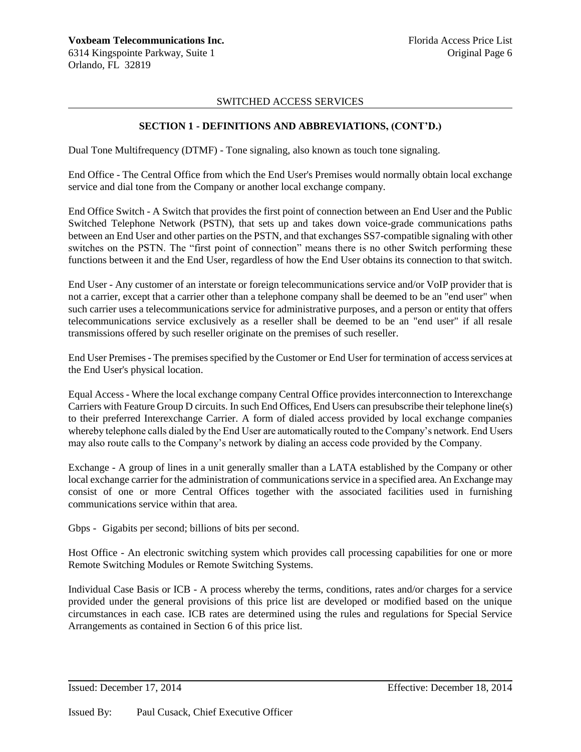# **SECTION 1 - DEFINITIONS AND ABBREVIATIONS, (CONT'D.)**

Dual Tone Multifrequency (DTMF) - Tone signaling, also known as touch tone signaling.

End Office - The Central Office from which the End User's Premises would normally obtain local exchange service and dial tone from the Company or another local exchange company.

End Office Switch - A Switch that provides the first point of connection between an End User and the Public Switched Telephone Network (PSTN), that sets up and takes down voice-grade communications paths between an End User and other parties on the PSTN, and that exchanges SS7-compatible signaling with other switches on the PSTN. The "first point of connection" means there is no other Switch performing these functions between it and the End User, regardless of how the End User obtains its connection to that switch.

End User - Any customer of an interstate or foreign telecommunications service and/or VoIP provider that is not a carrier, except that a carrier other than a telephone company shall be deemed to be an "end user" when such carrier uses a telecommunications service for administrative purposes, and a person or entity that offers telecommunications service exclusively as a reseller shall be deemed to be an "end user" if all resale transmissions offered by such reseller originate on the premises of such reseller.

End User Premises - The premises specified by the Customer or End User for termination of access services at the End User's physical location.

Equal Access - Where the local exchange company Central Office provides interconnection to Interexchange Carriers with Feature Group D circuits. In such End Offices, End Users can presubscribe their telephone line(s) to their preferred Interexchange Carrier. A form of dialed access provided by local exchange companies whereby telephone calls dialed by the End User are automatically routed to the Company's network. End Users may also route calls to the Company's network by dialing an access code provided by the Company.

Exchange - A group of lines in a unit generally smaller than a LATA established by the Company or other local exchange carrier for the administration of communications service in a specified area. An Exchange may consist of one or more Central Offices together with the associated facilities used in furnishing communications service within that area.

Gbps - Gigabits per second; billions of bits per second.

Host Office - An electronic switching system which provides call processing capabilities for one or more Remote Switching Modules or Remote Switching Systems.

Individual Case Basis or ICB - A process whereby the terms, conditions, rates and/or charges for a service provided under the general provisions of this price list are developed or modified based on the unique circumstances in each case. ICB rates are determined using the rules and regulations for Special Service Arrangements as contained in Section 6 of this price list.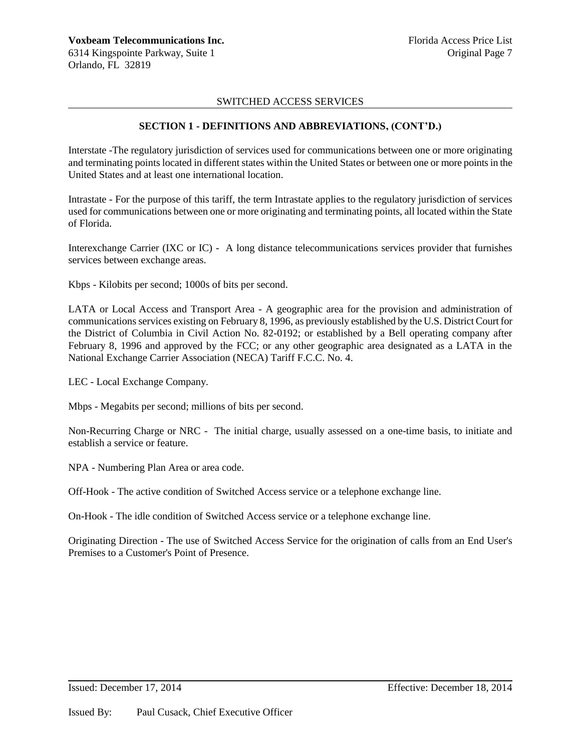# **SECTION 1 - DEFINITIONS AND ABBREVIATIONS, (CONT'D.)**

Interstate -The regulatory jurisdiction of services used for communications between one or more originating and terminating points located in different states within the United States or between one or more points in the United States and at least one international location.

Intrastate - For the purpose of this tariff, the term Intrastate applies to the regulatory jurisdiction of services used for communications between one or more originating and terminating points, all located within the State of Florida.

Interexchange Carrier (IXC or IC) - A long distance telecommunications services provider that furnishes services between exchange areas.

Kbps - Kilobits per second; 1000s of bits per second.

LATA or Local Access and Transport Area - A geographic area for the provision and administration of communications services existing on February 8, 1996, as previously established by the U.S. District Court for the District of Columbia in Civil Action No. 82-0192; or established by a Bell operating company after February 8, 1996 and approved by the FCC; or any other geographic area designated as a LATA in the National Exchange Carrier Association (NECA) Tariff F.C.C. No. 4.

LEC - Local Exchange Company.

Mbps - Megabits per second; millions of bits per second.

Non-Recurring Charge or NRC - The initial charge, usually assessed on a one-time basis, to initiate and establish a service or feature.

NPA - Numbering Plan Area or area code.

Off-Hook - The active condition of Switched Access service or a telephone exchange line.

On-Hook - The idle condition of Switched Access service or a telephone exchange line.

Originating Direction - The use of Switched Access Service for the origination of calls from an End User's Premises to a Customer's Point of Presence.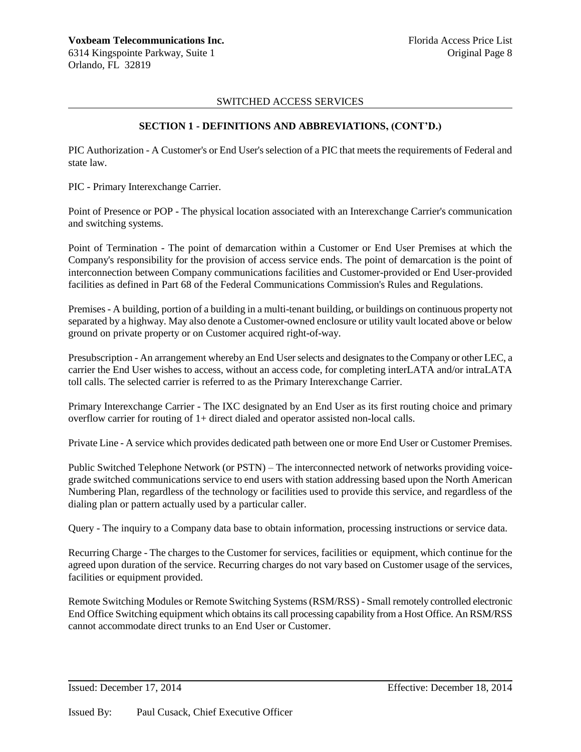# **SECTION 1 - DEFINITIONS AND ABBREVIATIONS, (CONT'D.)**

PIC Authorization - A Customer's or End User's selection of a PIC that meets the requirements of Federal and state law.

PIC - Primary Interexchange Carrier.

Point of Presence or POP - The physical location associated with an Interexchange Carrier's communication and switching systems.

Point of Termination - The point of demarcation within a Customer or End User Premises at which the Company's responsibility for the provision of access service ends. The point of demarcation is the point of interconnection between Company communications facilities and Customer-provided or End User-provided facilities as defined in Part 68 of the Federal Communications Commission's Rules and Regulations.

Premises - A building, portion of a building in a multi-tenant building, or buildings on continuous property not separated by a highway. May also denote a Customer-owned enclosure or utility vault located above or below ground on private property or on Customer acquired right-of-way.

Presubscription - An arrangement whereby an End User selects and designates to the Company or other LEC, a carrier the End User wishes to access, without an access code, for completing interLATA and/or intraLATA toll calls. The selected carrier is referred to as the Primary Interexchange Carrier.

Primary Interexchange Carrier - The IXC designated by an End User as its first routing choice and primary overflow carrier for routing of 1+ direct dialed and operator assisted non-local calls.

Private Line - A service which provides dedicated path between one or more End User or Customer Premises.

Public Switched Telephone Network (or PSTN) – The interconnected network of networks providing voicegrade switched communications service to end users with station addressing based upon the North American Numbering Plan, regardless of the technology or facilities used to provide this service, and regardless of the dialing plan or pattern actually used by a particular caller.

Query - The inquiry to a Company data base to obtain information, processing instructions or service data.

Recurring Charge - The charges to the Customer for services, facilities or equipment, which continue for the agreed upon duration of the service. Recurring charges do not vary based on Customer usage of the services, facilities or equipment provided.

Remote Switching Modules or Remote Switching Systems (RSM/RSS) - Small remotely controlled electronic End Office Switching equipment which obtains its call processing capability from a Host Office. An RSM/RSS cannot accommodate direct trunks to an End User or Customer.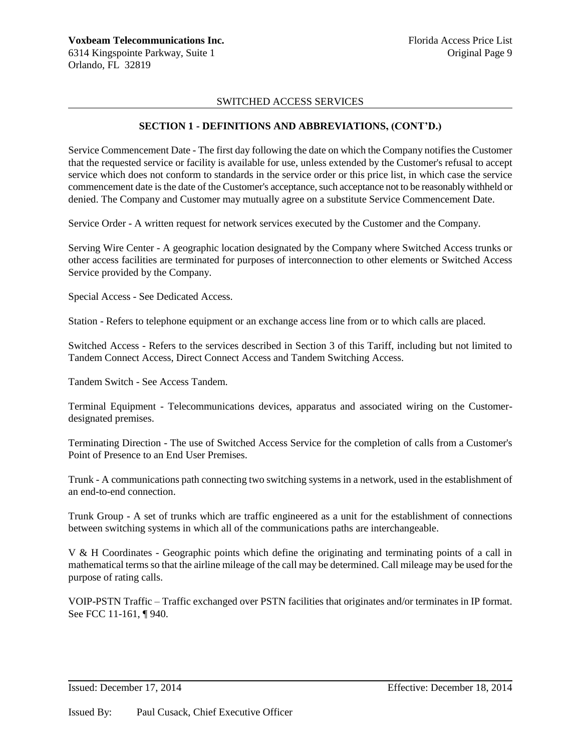# **SECTION 1 - DEFINITIONS AND ABBREVIATIONS, (CONT'D.)**

Service Commencement Date - The first day following the date on which the Company notifies the Customer that the requested service or facility is available for use, unless extended by the Customer's refusal to accept service which does not conform to standards in the service order or this price list, in which case the service commencement date is the date of the Customer's acceptance, such acceptance not to be reasonably withheld or denied. The Company and Customer may mutually agree on a substitute Service Commencement Date.

Service Order - A written request for network services executed by the Customer and the Company.

Serving Wire Center - A geographic location designated by the Company where Switched Access trunks or other access facilities are terminated for purposes of interconnection to other elements or Switched Access Service provided by the Company.

Special Access - See Dedicated Access.

Station - Refers to telephone equipment or an exchange access line from or to which calls are placed.

Switched Access - Refers to the services described in Section 3 of this Tariff, including but not limited to Tandem Connect Access, Direct Connect Access and Tandem Switching Access.

Tandem Switch - See Access Tandem.

Terminal Equipment - Telecommunications devices, apparatus and associated wiring on the Customerdesignated premises.

Terminating Direction - The use of Switched Access Service for the completion of calls from a Customer's Point of Presence to an End User Premises.

Trunk - A communications path connecting two switching systems in a network, used in the establishment of an end-to-end connection.

Trunk Group - A set of trunks which are traffic engineered as a unit for the establishment of connections between switching systems in which all of the communications paths are interchangeable.

V & H Coordinates - Geographic points which define the originating and terminating points of a call in mathematical terms so that the airline mileage of the call may be determined. Call mileage may be used for the purpose of rating calls.

VOIP-PSTN Traffic – Traffic exchanged over PSTN facilities that originates and/or terminates in IP format. See FCC 11-161, ¶ 940.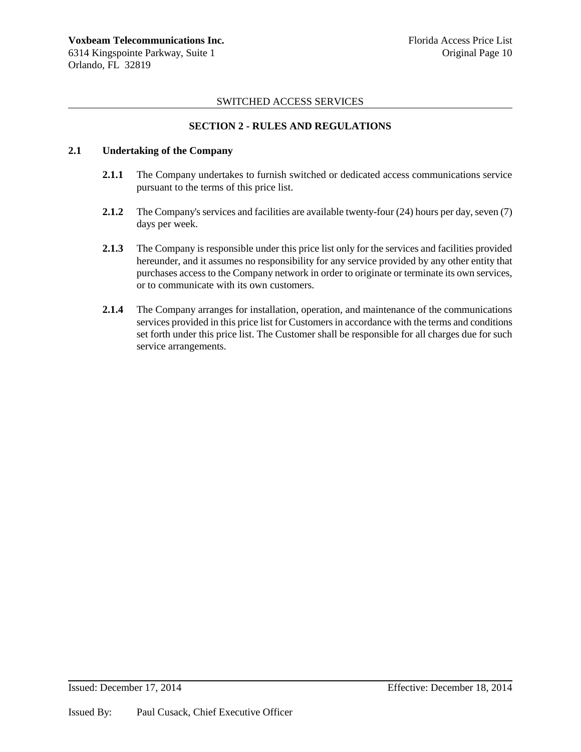# **SECTION 2 - RULES AND REGULATIONS**

# **2.1 Undertaking of the Company**

- **2.1.1** The Company undertakes to furnish switched or dedicated access communications service pursuant to the terms of this price list.
- **2.1.2** The Company's services and facilities are available twenty-four (24) hours per day, seven (7) days per week.
- **2.1.3** The Company is responsible under this price list only for the services and facilities provided hereunder, and it assumes no responsibility for any service provided by any other entity that purchases access to the Company network in order to originate or terminate its own services, or to communicate with its own customers.
- **2.1.4** The Company arranges for installation, operation, and maintenance of the communications services provided in this price list for Customers in accordance with the terms and conditions set forth under this price list. The Customer shall be responsible for all charges due for such service arrangements.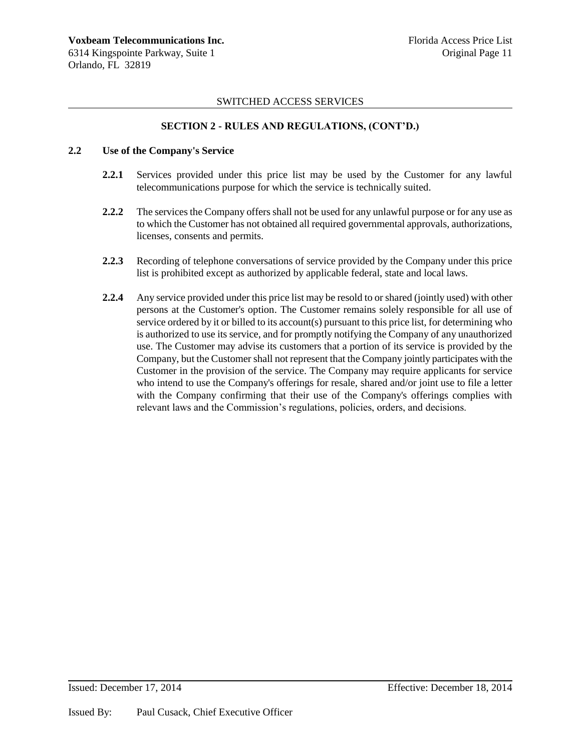# **SECTION 2 - RULES AND REGULATIONS, (CONT'D.)**

### **2.2 Use of the Company's Service**

- **2.2.1** Services provided under this price list may be used by the Customer for any lawful telecommunications purpose for which the service is technically suited.
- **2.2.2** The services the Company offers shall not be used for any unlawful purpose or for any use as to which the Customer has not obtained all required governmental approvals, authorizations, licenses, consents and permits.
- **2.2.3** Recording of telephone conversations of service provided by the Company under this price list is prohibited except as authorized by applicable federal, state and local laws.
- **2.2.4** Any service provided under this price list may be resold to or shared (jointly used) with other persons at the Customer's option. The Customer remains solely responsible for all use of service ordered by it or billed to its account(s) pursuant to this price list, for determining who is authorized to use its service, and for promptly notifying the Company of any unauthorized use. The Customer may advise its customers that a portion of its service is provided by the Company, but the Customer shall not represent that the Company jointly participates with the Customer in the provision of the service. The Company may require applicants for service who intend to use the Company's offerings for resale, shared and/or joint use to file a letter with the Company confirming that their use of the Company's offerings complies with relevant laws and the Commission's regulations, policies, orders, and decisions.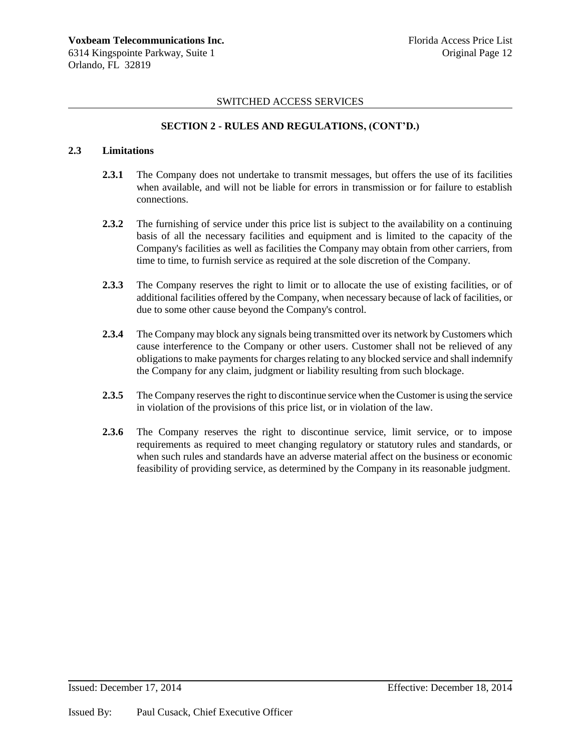# **SECTION 2 - RULES AND REGULATIONS, (CONT'D.)**

# **2.3 Limitations**

- **2.3.1** The Company does not undertake to transmit messages, but offers the use of its facilities when available, and will not be liable for errors in transmission or for failure to establish connections.
- **2.3.2** The furnishing of service under this price list is subject to the availability on a continuing basis of all the necessary facilities and equipment and is limited to the capacity of the Company's facilities as well as facilities the Company may obtain from other carriers, from time to time, to furnish service as required at the sole discretion of the Company.
- **2.3.3** The Company reserves the right to limit or to allocate the use of existing facilities, or of additional facilities offered by the Company, when necessary because of lack of facilities, or due to some other cause beyond the Company's control.
- **2.3.4** The Company may block any signals being transmitted over its network by Customers which cause interference to the Company or other users. Customer shall not be relieved of any obligations to make payments for charges relating to any blocked service and shall indemnify the Company for any claim, judgment or liability resulting from such blockage.
- **2.3.5** The Company reserves the right to discontinue service when the Customer is using the service in violation of the provisions of this price list, or in violation of the law.
- **2.3.6** The Company reserves the right to discontinue service, limit service, or to impose requirements as required to meet changing regulatory or statutory rules and standards, or when such rules and standards have an adverse material affect on the business or economic feasibility of providing service, as determined by the Company in its reasonable judgment.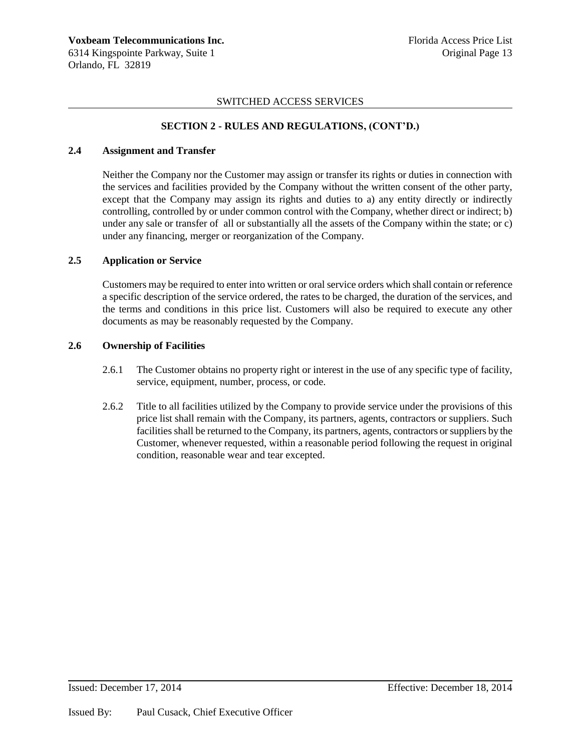# **SECTION 2 - RULES AND REGULATIONS, (CONT'D.)**

### **2.4 Assignment and Transfer**

Neither the Company nor the Customer may assign or transfer its rights or duties in connection with the services and facilities provided by the Company without the written consent of the other party, except that the Company may assign its rights and duties to a) any entity directly or indirectly controlling, controlled by or under common control with the Company, whether direct or indirect; b) under any sale or transfer of all or substantially all the assets of the Company within the state; or c) under any financing, merger or reorganization of the Company.

### **2.5 Application or Service**

Customers may be required to enter into written or oral service orders which shall contain or reference a specific description of the service ordered, the rates to be charged, the duration of the services, and the terms and conditions in this price list. Customers will also be required to execute any other documents as may be reasonably requested by the Company.

### **2.6 Ownership of Facilities**

- 2.6.1 The Customer obtains no property right or interest in the use of any specific type of facility, service, equipment, number, process, or code.
- 2.6.2 Title to all facilities utilized by the Company to provide service under the provisions of this price list shall remain with the Company, its partners, agents, contractors or suppliers. Such facilities shall be returned to the Company, its partners, agents, contractors or suppliers by the Customer, whenever requested, within a reasonable period following the request in original condition, reasonable wear and tear excepted.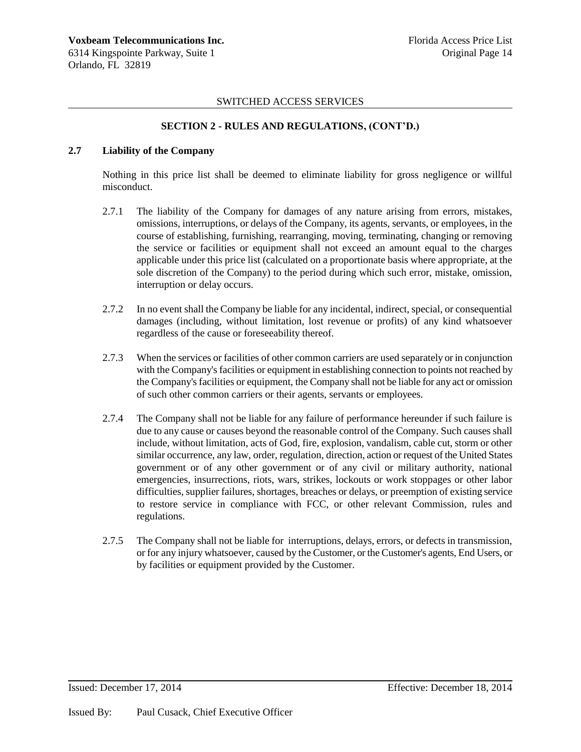### **SECTION 2 - RULES AND REGULATIONS, (CONT'D.)**

# **2.7 Liability of the Company**

Nothing in this price list shall be deemed to eliminate liability for gross negligence or willful misconduct.

- 2.7.1 The liability of the Company for damages of any nature arising from errors, mistakes, omissions, interruptions, or delays of the Company, its agents, servants, or employees, in the course of establishing, furnishing, rearranging, moving, terminating, changing or removing the service or facilities or equipment shall not exceed an amount equal to the charges applicable under this price list (calculated on a proportionate basis where appropriate, at the sole discretion of the Company) to the period during which such error, mistake, omission, interruption or delay occurs.
- 2.7.2 In no event shall the Company be liable for any incidental, indirect, special, or consequential damages (including, without limitation, lost revenue or profits) of any kind whatsoever regardless of the cause or foreseeability thereof.
- 2.7.3 When the services or facilities of other common carriers are used separately or in conjunction with the Company's facilities or equipment in establishing connection to points not reached by the Company's facilities or equipment, the Company shall not be liable for any act or omission of such other common carriers or their agents, servants or employees.
- 2.7.4 The Company shall not be liable for any failure of performance hereunder if such failure is due to any cause or causes beyond the reasonable control of the Company. Such causes shall include, without limitation, acts of God, fire, explosion, vandalism, cable cut, storm or other similar occurrence, any law, order, regulation, direction, action or request of the United States government or of any other government or of any civil or military authority, national emergencies, insurrections, riots, wars, strikes, lockouts or work stoppages or other labor difficulties, supplier failures, shortages, breaches or delays, or preemption of existing service to restore service in compliance with FCC, or other relevant Commission, rules and regulations.
- 2.7.5 The Company shall not be liable for interruptions, delays, errors, or defects in transmission, or for any injury whatsoever, caused by the Customer, or the Customer's agents, End Users, or by facilities or equipment provided by the Customer.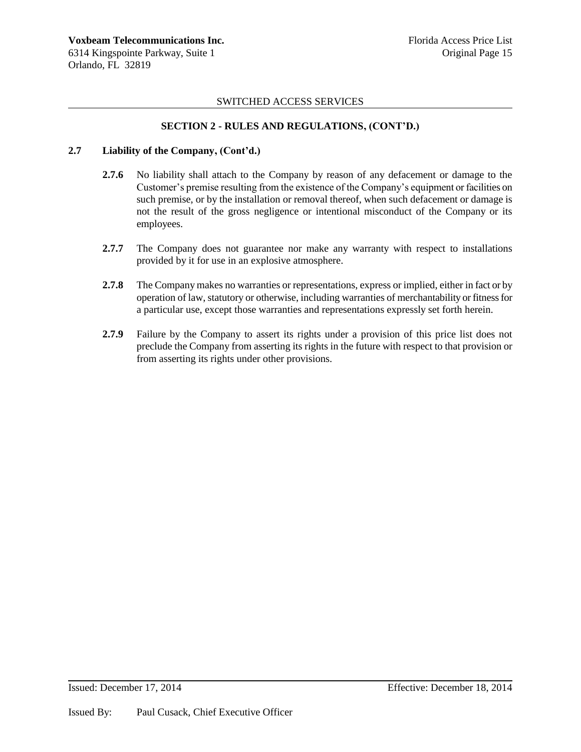# **SECTION 2 - RULES AND REGULATIONS, (CONT'D.)**

### **2.7 Liability of the Company, (Cont'd.)**

- **2.7.6** No liability shall attach to the Company by reason of any defacement or damage to the Customer's premise resulting from the existence of the Company's equipment or facilities on such premise, or by the installation or removal thereof, when such defacement or damage is not the result of the gross negligence or intentional misconduct of the Company or its employees.
- **2.7.7** The Company does not guarantee nor make any warranty with respect to installations provided by it for use in an explosive atmosphere.
- **2.7.8** The Company makes no warranties or representations, express or implied, either in fact or by operation of law, statutory or otherwise, including warranties of merchantability or fitness for a particular use, except those warranties and representations expressly set forth herein.
- **2.7.9** Failure by the Company to assert its rights under a provision of this price list does not preclude the Company from asserting its rights in the future with respect to that provision or from asserting its rights under other provisions.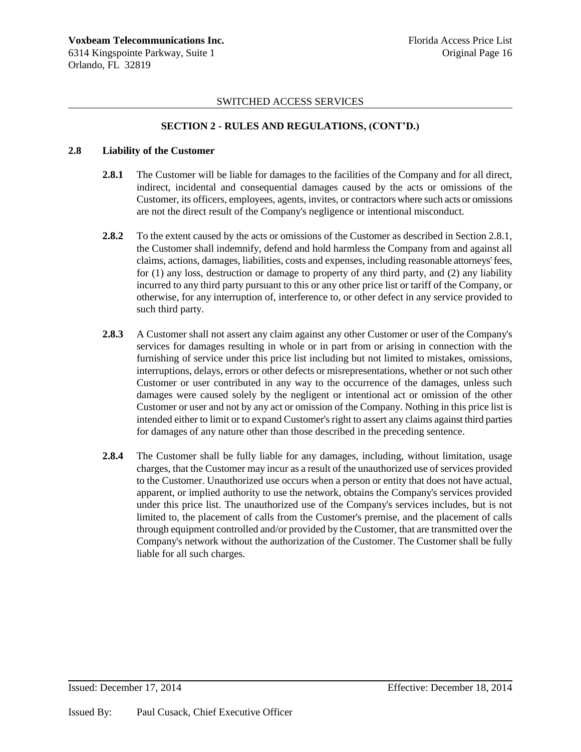# **SECTION 2 - RULES AND REGULATIONS, (CONT'D.)**

### **2.8 Liability of the Customer**

- **2.8.1** The Customer will be liable for damages to the facilities of the Company and for all direct, indirect, incidental and consequential damages caused by the acts or omissions of the Customer, its officers, employees, agents, invites, or contractors where such acts or omissions are not the direct result of the Company's negligence or intentional misconduct.
- **2.8.2** To the extent caused by the acts or omissions of the Customer as described in Section 2.8.1, the Customer shall indemnify, defend and hold harmless the Company from and against all claims, actions, damages, liabilities, costs and expenses, including reasonable attorneys' fees, for (1) any loss, destruction or damage to property of any third party, and (2) any liability incurred to any third party pursuant to this or any other price list or tariff of the Company, or otherwise, for any interruption of, interference to, or other defect in any service provided to such third party.
- **2.8.3** A Customer shall not assert any claim against any other Customer or user of the Company's services for damages resulting in whole or in part from or arising in connection with the furnishing of service under this price list including but not limited to mistakes, omissions, interruptions, delays, errors or other defects or misrepresentations, whether or not such other Customer or user contributed in any way to the occurrence of the damages, unless such damages were caused solely by the negligent or intentional act or omission of the other Customer or user and not by any act or omission of the Company. Nothing in this price list is intended either to limit or to expand Customer's right to assert any claims against third parties for damages of any nature other than those described in the preceding sentence.
- **2.8.4** The Customer shall be fully liable for any damages, including, without limitation, usage charges, that the Customer may incur as a result of the unauthorized use of services provided to the Customer. Unauthorized use occurs when a person or entity that does not have actual, apparent, or implied authority to use the network, obtains the Company's services provided under this price list. The unauthorized use of the Company's services includes, but is not limited to, the placement of calls from the Customer's premise, and the placement of calls through equipment controlled and/or provided by the Customer, that are transmitted over the Company's network without the authorization of the Customer. The Customer shall be fully liable for all such charges.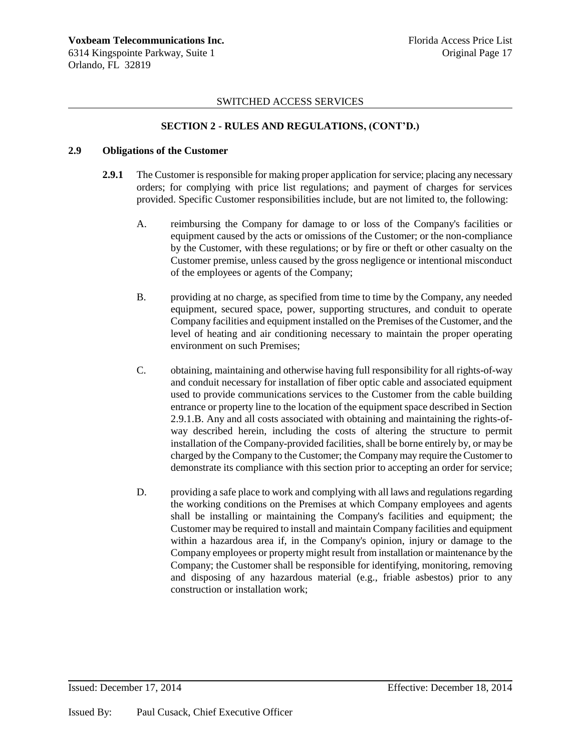# **SECTION 2 - RULES AND REGULATIONS, (CONT'D.)**

### **2.9 Obligations of the Customer**

- **2.9.1** The Customer is responsible for making proper application for service; placing any necessary orders; for complying with price list regulations; and payment of charges for services provided. Specific Customer responsibilities include, but are not limited to, the following:
	- A. reimbursing the Company for damage to or loss of the Company's facilities or equipment caused by the acts or omissions of the Customer; or the non-compliance by the Customer, with these regulations; or by fire or theft or other casualty on the Customer premise, unless caused by the gross negligence or intentional misconduct of the employees or agents of the Company;
	- B. providing at no charge, as specified from time to time by the Company, any needed equipment, secured space, power, supporting structures, and conduit to operate Company facilities and equipment installed on the Premises of the Customer, and the level of heating and air conditioning necessary to maintain the proper operating environment on such Premises;
	- C. obtaining, maintaining and otherwise having full responsibility for all rights-of-way and conduit necessary for installation of fiber optic cable and associated equipment used to provide communications services to the Customer from the cable building entrance or property line to the location of the equipment space described in Section 2.9.1.B. Any and all costs associated with obtaining and maintaining the rights-ofway described herein, including the costs of altering the structure to permit installation of the Company-provided facilities, shall be borne entirely by, or may be charged by the Company to the Customer; the Company may require the Customer to demonstrate its compliance with this section prior to accepting an order for service;
	- D. providing a safe place to work and complying with all laws and regulations regarding the working conditions on the Premises at which Company employees and agents shall be installing or maintaining the Company's facilities and equipment; the Customer may be required to install and maintain Company facilities and equipment within a hazardous area if, in the Company's opinion, injury or damage to the Company employees or property might result from installation or maintenance by the Company; the Customer shall be responsible for identifying, monitoring, removing and disposing of any hazardous material (e.g., friable asbestos) prior to any construction or installation work;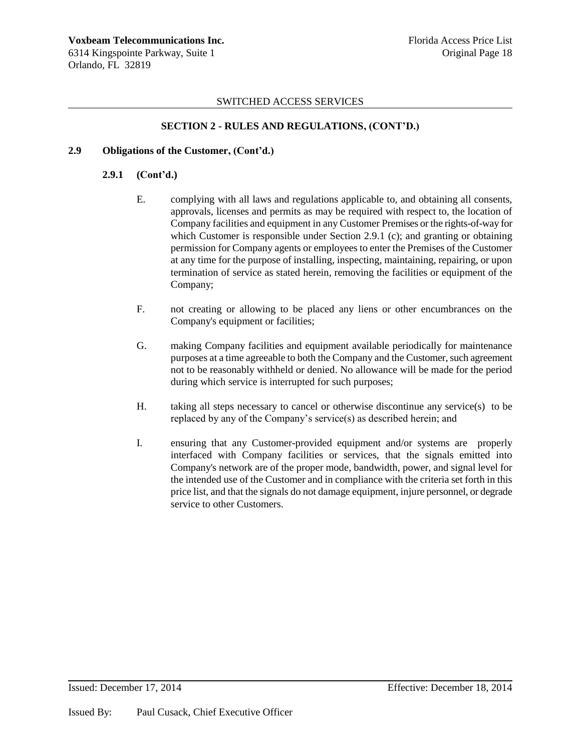# **SECTION 2 - RULES AND REGULATIONS, (CONT'D.)**

### **2.9 Obligations of the Customer, (Cont'd.)**

### **2.9.1 (Cont'd.)**

- E. complying with all laws and regulations applicable to, and obtaining all consents, approvals, licenses and permits as may be required with respect to, the location of Company facilities and equipment in any Customer Premises or the rights-of-way for which Customer is responsible under Section 2.9.1 (c); and granting or obtaining permission for Company agents or employees to enter the Premises of the Customer at any time for the purpose of installing, inspecting, maintaining, repairing, or upon termination of service as stated herein, removing the facilities or equipment of the Company;
- F. not creating or allowing to be placed any liens or other encumbrances on the Company's equipment or facilities;
- G. making Company facilities and equipment available periodically for maintenance purposes at a time agreeable to both the Company and the Customer, such agreement not to be reasonably withheld or denied. No allowance will be made for the period during which service is interrupted for such purposes;
- H. taking all steps necessary to cancel or otherwise discontinue any service(s) to be replaced by any of the Company's service(s) as described herein; and
- I. ensuring that any Customer-provided equipment and/or systems are properly interfaced with Company facilities or services, that the signals emitted into Company's network are of the proper mode, bandwidth, power, and signal level for the intended use of the Customer and in compliance with the criteria set forth in this price list, and that the signals do not damage equipment, injure personnel, or degrade service to other Customers.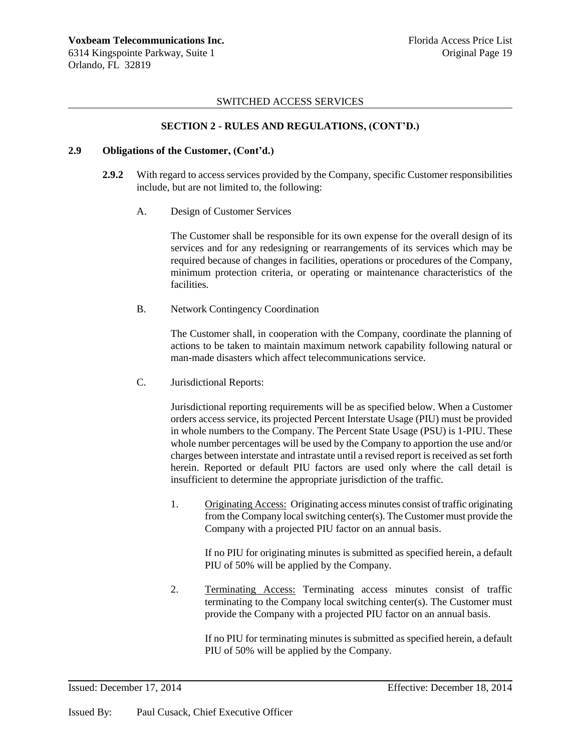# **SECTION 2 - RULES AND REGULATIONS, (CONT'D.)**

#### **2.9 Obligations of the Customer, (Cont'd.)**

- **2.9.2** With regard to access services provided by the Company, specific Customer responsibilities include, but are not limited to, the following:
	- A. Design of Customer Services

The Customer shall be responsible for its own expense for the overall design of its services and for any redesigning or rearrangements of its services which may be required because of changes in facilities, operations or procedures of the Company, minimum protection criteria, or operating or maintenance characteristics of the facilities.

B. Network Contingency Coordination

The Customer shall, in cooperation with the Company, coordinate the planning of actions to be taken to maintain maximum network capability following natural or man-made disasters which affect telecommunications service.

C. Jurisdictional Reports:

Jurisdictional reporting requirements will be as specified below. When a Customer orders access service, its projected Percent Interstate Usage (PIU) must be provided in whole numbers to the Company. The Percent State Usage (PSU) is 1-PIU. These whole number percentages will be used by the Company to apportion the use and/or charges between interstate and intrastate until a revised report is received as set forth herein. Reported or default PIU factors are used only where the call detail is insufficient to determine the appropriate jurisdiction of the traffic.

1. Originating Access: Originating access minutes consist of traffic originating from the Company local switching center(s). The Customer must provide the Company with a projected PIU factor on an annual basis.

If no PIU for originating minutes is submitted as specified herein, a default PIU of 50% will be applied by the Company.

2. Terminating Access: Terminating access minutes consist of traffic terminating to the Company local switching center(s). The Customer must provide the Company with a projected PIU factor on an annual basis.

> If no PIU for terminating minutes is submitted as specified herein, a default PIU of 50% will be applied by the Company.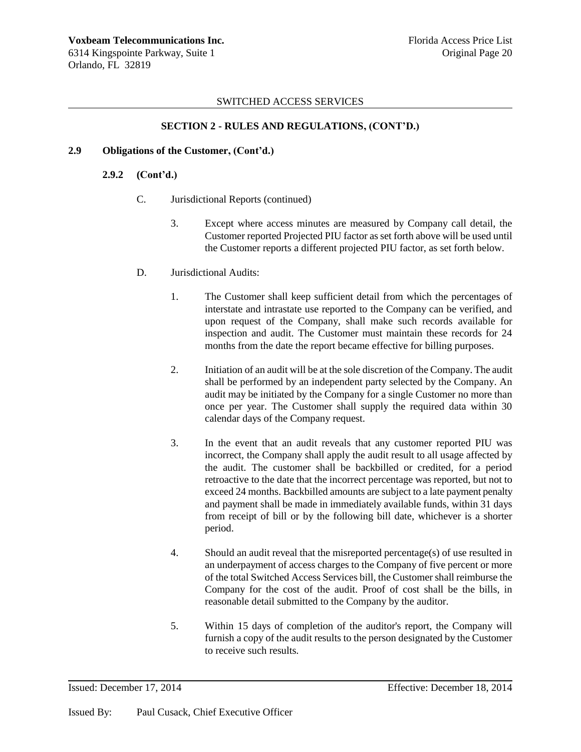# **SECTION 2 - RULES AND REGULATIONS, (CONT'D.)**

### **2.9 Obligations of the Customer, (Cont'd.)**

### **2.9.2 (Cont'd.)**

- C. Jurisdictional Reports (continued)
	- 3. Except where access minutes are measured by Company call detail, the Customer reported Projected PIU factor as set forth above will be used until the Customer reports a different projected PIU factor, as set forth below.
- D. Jurisdictional Audits:
	- 1. The Customer shall keep sufficient detail from which the percentages of interstate and intrastate use reported to the Company can be verified, and upon request of the Company, shall make such records available for inspection and audit. The Customer must maintain these records for 24 months from the date the report became effective for billing purposes.
	- 2. Initiation of an audit will be at the sole discretion of the Company. The audit shall be performed by an independent party selected by the Company. An audit may be initiated by the Company for a single Customer no more than once per year. The Customer shall supply the required data within 30 calendar days of the Company request.
	- 3. In the event that an audit reveals that any customer reported PIU was incorrect, the Company shall apply the audit result to all usage affected by the audit. The customer shall be backbilled or credited, for a period retroactive to the date that the incorrect percentage was reported, but not to exceed 24 months. Backbilled amounts are subject to a late payment penalty and payment shall be made in immediately available funds, within 31 days from receipt of bill or by the following bill date, whichever is a shorter period.
	- 4. Should an audit reveal that the misreported percentage(s) of use resulted in an underpayment of access charges to the Company of five percent or more of the total Switched Access Services bill, the Customer shall reimburse the Company for the cost of the audit. Proof of cost shall be the bills, in reasonable detail submitted to the Company by the auditor.
	- 5. Within 15 days of completion of the auditor's report, the Company will furnish a copy of the audit results to the person designated by the Customer to receive such results.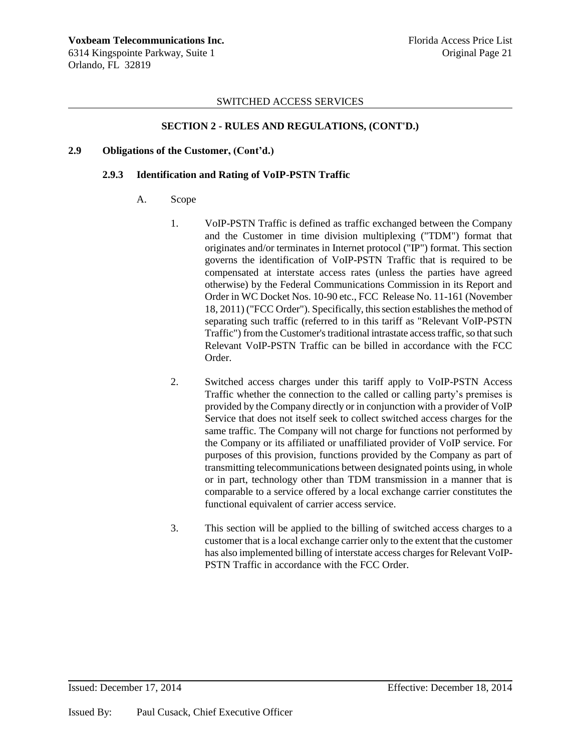# **SECTION 2 - RULES AND REGULATIONS, (CONT'D.)**

#### **2.9 Obligations of the Customer, (Cont'd.)**

#### **2.9.3 Identification and Rating of VoIP-PSTN Traffic**

- A. Scope
	- 1. VoIP-PSTN Traffic is defined as traffic exchanged between the Company and the Customer in time division multiplexing ("TDM") format that originates and/or terminates in Internet protocol ("IP") format. This section governs the identification of VoIP-PSTN Traffic that is required to be compensated at interstate access rates (unless the parties have agreed otherwise) by the Federal Communications Commission in its Report and Order in WC Docket Nos. 10-90 etc., FCC Release No. 11-161 (November 18, 2011) ("FCC Order"). Specifically, this section establishes the method of separating such traffic (referred to in this tariff as "Relevant VoIP-PSTN Traffic") from the Customer's traditional intrastate access traffic, so that such Relevant VoIP-PSTN Traffic can be billed in accordance with the FCC Order.
	- 2. Switched access charges under this tariff apply to VoIP-PSTN Access Traffic whether the connection to the called or calling party's premises is provided by the Company directly or in conjunction with a provider of VoIP Service that does not itself seek to collect switched access charges for the same traffic. The Company will not charge for functions not performed by the Company or its affiliated or unaffiliated provider of VoIP service. For purposes of this provision, functions provided by the Company as part of transmitting telecommunications between designated points using, in whole or in part, technology other than TDM transmission in a manner that is comparable to a service offered by a local exchange carrier constitutes the functional equivalent of carrier access service.
	- 3. This section will be applied to the billing of switched access charges to a customer that is a local exchange carrier only to the extent that the customer has also implemented billing of interstate access charges for Relevant VoIP-PSTN Traffic in accordance with the FCC Order.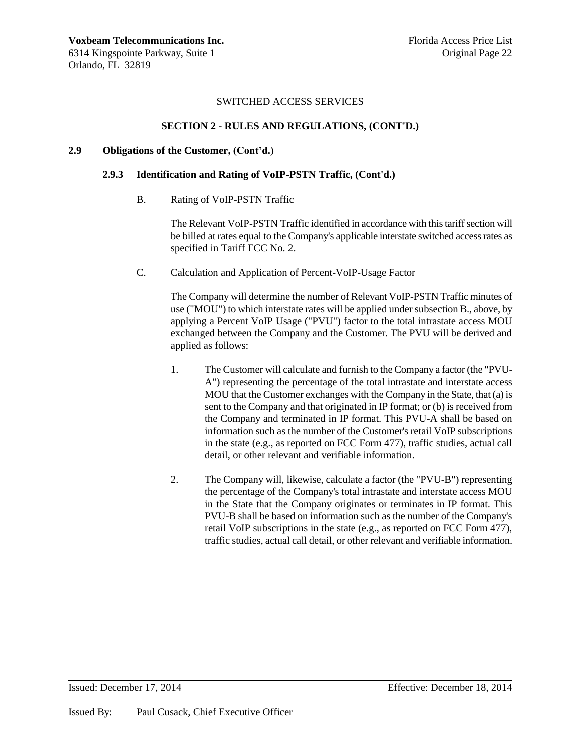### **SECTION 2 - RULES AND REGULATIONS, (CONT'D.)**

#### **2.9 Obligations of the Customer, (Cont'd.)**

#### **2.9.3 Identification and Rating of VoIP-PSTN Traffic, (Cont'd.)**

B. Rating of VoIP-PSTN Traffic

The Relevant VoIP-PSTN Traffic identified in accordance with this tariff section will be billed at rates equal to the Company's applicable interstate switched access rates as specified in Tariff FCC No. 2.

C. Calculation and Application of Percent-VoIP-Usage Factor

The Company will determine the number of Relevant VoIP-PSTN Traffic minutes of use ("MOU") to which interstate rates will be applied under subsection B., above, by applying a Percent VoIP Usage ("PVU") factor to the total intrastate access MOU exchanged between the Company and the Customer. The PVU will be derived and applied as follows:

- 1. The Customer will calculate and furnish to the Company a factor (the "PVU-A") representing the percentage of the total intrastate and interstate access MOU that the Customer exchanges with the Company in the State, that (a) is sent to the Company and that originated in IP format; or (b) is received from the Company and terminated in IP format. This PVU-A shall be based on information such as the number of the Customer's retail VoIP subscriptions in the state (e.g., as reported on FCC Form 477), traffic studies, actual call detail, or other relevant and verifiable information.
- 2. The Company will, likewise, calculate a factor (the "PVU-B") representing the percentage of the Company's total intrastate and interstate access MOU in the State that the Company originates or terminates in IP format. This PVU-B shall be based on information such as the number of the Company's retail VoIP subscriptions in the state (e.g., as reported on FCC Form 477), traffic studies, actual call detail, or other relevant and verifiable information.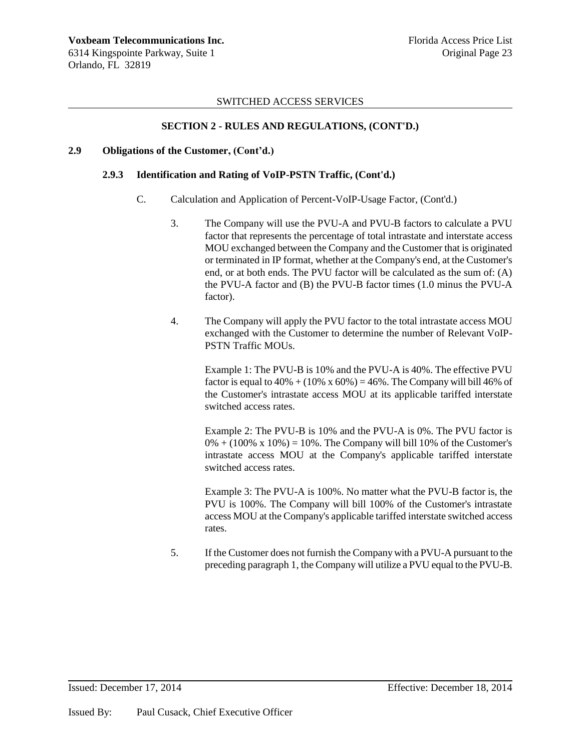### **SECTION 2 - RULES AND REGULATIONS, (CONT'D.)**

#### **2.9 Obligations of the Customer, (Cont'd.)**

#### **2.9.3 Identification and Rating of VoIP-PSTN Traffic, (Cont'd.)**

- C. Calculation and Application of Percent-VoIP-Usage Factor, (Cont'd.)
	- 3. The Company will use the PVU-A and PVU-B factors to calculate a PVU factor that represents the percentage of total intrastate and interstate access MOU exchanged between the Company and the Customer that is originated or terminated in IP format, whether at the Company's end, at the Customer's end, or at both ends. The PVU factor will be calculated as the sum of: (A) the PVU-A factor and (B) the PVU-B factor times (1.0 minus the PVU-A factor).
	- 4. The Company will apply the PVU factor to the total intrastate access MOU exchanged with the Customer to determine the number of Relevant VoIP-PSTN Traffic MOUs.

Example 1: The PVU-B is 10% and the PVU-A is 40%. The effective PVU factor is equal to  $40\% + (10\% \times 60\%) = 46\%$ . The Company will bill 46% of the Customer's intrastate access MOU at its applicable tariffed interstate switched access rates.

Example 2: The PVU-B is 10% and the PVU-A is 0%. The PVU factor is  $0\% + (100\% \times 10\%) = 10\%$ . The Company will bill 10% of the Customer's intrastate access MOU at the Company's applicable tariffed interstate switched access rates.

Example 3: The PVU-A is 100%. No matter what the PVU-B factor is, the PVU is 100%. The Company will bill 100% of the Customer's intrastate access MOU at the Company's applicable tariffed interstate switched access rates.

5. If the Customer does not furnish the Company with a PVU-A pursuant to the preceding paragraph 1, the Company will utilize a PVU equal to the PVU-B.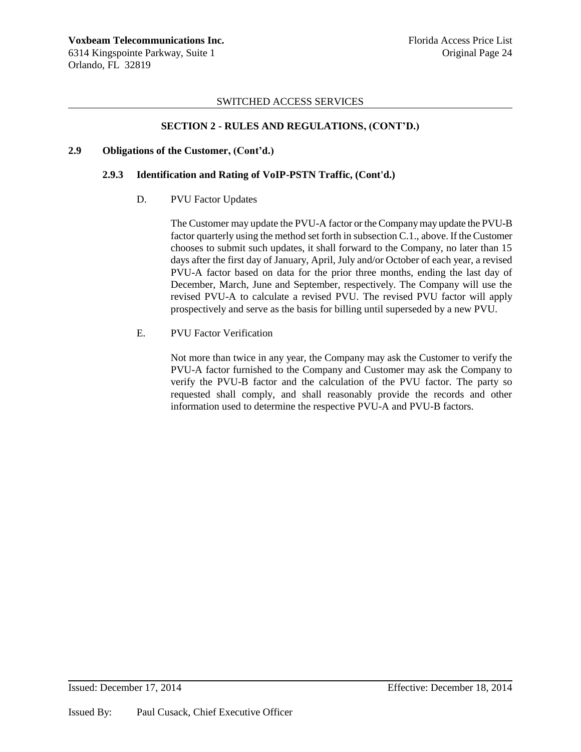# **SECTION 2 - RULES AND REGULATIONS, (CONT'D.)**

### **2.9 Obligations of the Customer, (Cont'd.)**

### **2.9.3 Identification and Rating of VoIP-PSTN Traffic, (Cont'd.)**

### D. PVU Factor Updates

The Customer may update the PVU-A factor or the Company may update the PVU-B factor quarterly using the method set forth in subsection C.1., above. If the Customer chooses to submit such updates, it shall forward to the Company, no later than 15 days after the first day of January, April, July and/or October of each year, a revised PVU-A factor based on data for the prior three months, ending the last day of December, March, June and September, respectively. The Company will use the revised PVU-A to calculate a revised PVU. The revised PVU factor will apply prospectively and serve as the basis for billing until superseded by a new PVU.

#### E. PVU Factor Verification

Not more than twice in any year, the Company may ask the Customer to verify the PVU-A factor furnished to the Company and Customer may ask the Company to verify the PVU-B factor and the calculation of the PVU factor. The party so requested shall comply, and shall reasonably provide the records and other information used to determine the respective PVU-A and PVU-B factors.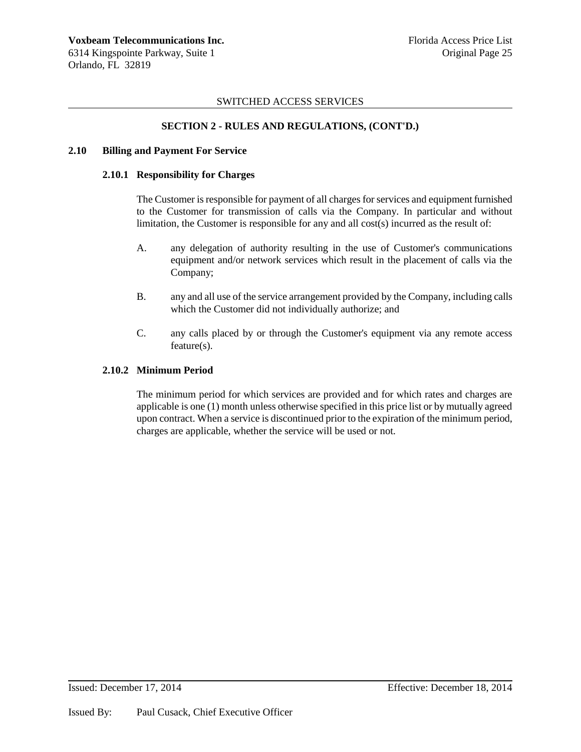# **SECTION 2 - RULES AND REGULATIONS, (CONT'D.)**

### **2.10 Billing and Payment For Service**

### **2.10.1 Responsibility for Charges**

The Customer is responsible for payment of all charges for services and equipment furnished to the Customer for transmission of calls via the Company. In particular and without limitation, the Customer is responsible for any and all cost(s) incurred as the result of:

- A. any delegation of authority resulting in the use of Customer's communications equipment and/or network services which result in the placement of calls via the Company;
- B. any and all use of the service arrangement provided by the Company, including calls which the Customer did not individually authorize; and
- C. any calls placed by or through the Customer's equipment via any remote access feature(s).

### **2.10.2 Minimum Period**

The minimum period for which services are provided and for which rates and charges are applicable is one (1) month unless otherwise specified in this price list or by mutually agreed upon contract. When a service is discontinued prior to the expiration of the minimum period, charges are applicable, whether the service will be used or not.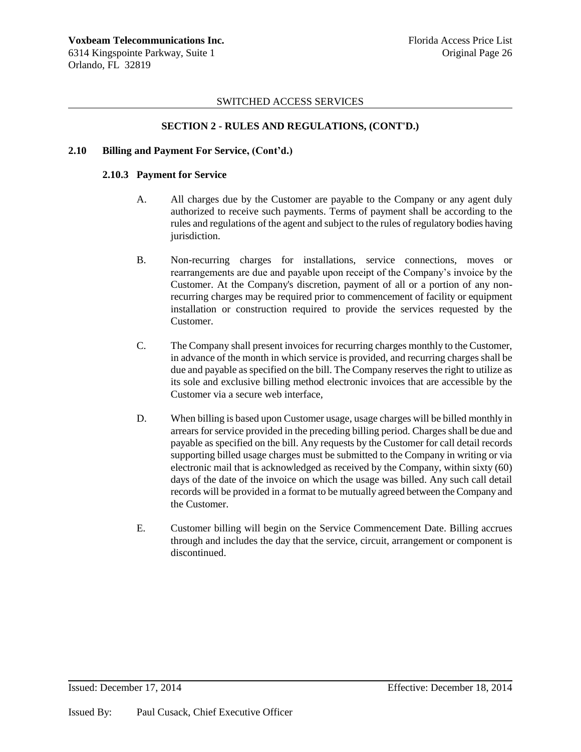# **SECTION 2 - RULES AND REGULATIONS, (CONT'D.)**

### **2.10 Billing and Payment For Service, (Cont'd.)**

### **2.10.3 Payment for Service**

- A. All charges due by the Customer are payable to the Company or any agent duly authorized to receive such payments. Terms of payment shall be according to the rules and regulations of the agent and subject to the rules of regulatory bodies having jurisdiction.
- B. Non-recurring charges for installations, service connections, moves or rearrangements are due and payable upon receipt of the Company's invoice by the Customer. At the Company's discretion, payment of all or a portion of any nonrecurring charges may be required prior to commencement of facility or equipment installation or construction required to provide the services requested by the Customer.
- C. The Company shall present invoices for recurring charges monthly to the Customer, in advance of the month in which service is provided, and recurring charges shall be due and payable as specified on the bill. The Company reserves the right to utilize as its sole and exclusive billing method electronic invoices that are accessible by the Customer via a secure web interface,
- D. When billing is based upon Customer usage, usage charges will be billed monthly in arrears for service provided in the preceding billing period. Charges shall be due and payable as specified on the bill. Any requests by the Customer for call detail records supporting billed usage charges must be submitted to the Company in writing or via electronic mail that is acknowledged as received by the Company, within sixty (60) days of the date of the invoice on which the usage was billed. Any such call detail records will be provided in a format to be mutually agreed between the Company and the Customer.
- E. Customer billing will begin on the Service Commencement Date. Billing accrues through and includes the day that the service, circuit, arrangement or component is discontinued.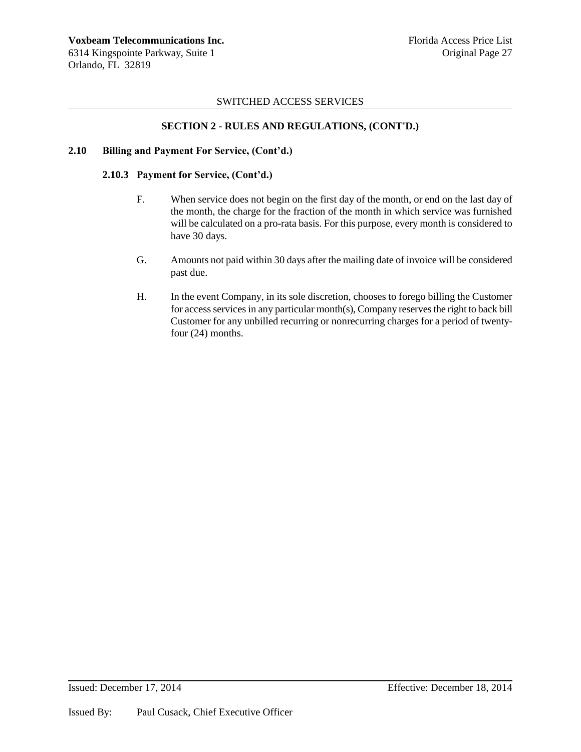# **SECTION 2 - RULES AND REGULATIONS, (CONT'D.)**

### **2.10 Billing and Payment For Service, (Cont'd.)**

### **2.10.3 Payment for Service, (Cont'd.)**

- F. When service does not begin on the first day of the month, or end on the last day of the month, the charge for the fraction of the month in which service was furnished will be calculated on a pro-rata basis. For this purpose, every month is considered to have 30 days.
- G. Amounts not paid within 30 days after the mailing date of invoice will be considered past due.
- H. In the event Company, in its sole discretion, chooses to forego billing the Customer for access services in any particular month(s), Company reserves the right to back bill Customer for any unbilled recurring or nonrecurring charges for a period of twentyfour (24) months.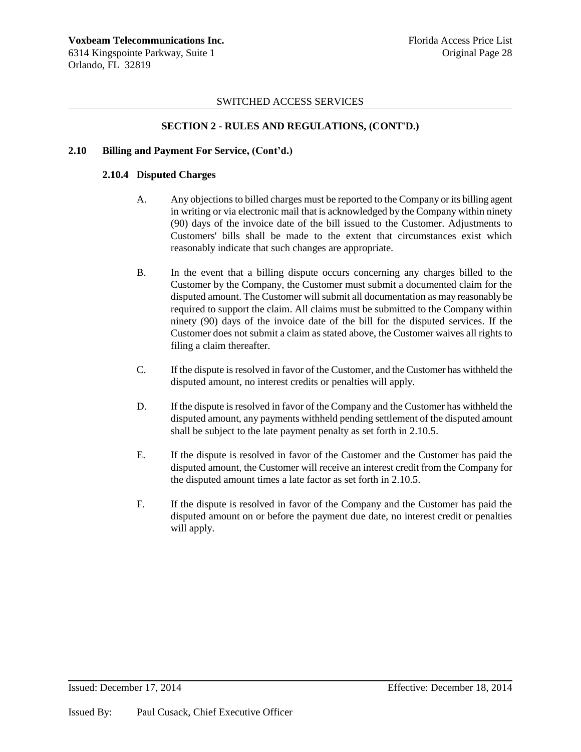# **SECTION 2 - RULES AND REGULATIONS, (CONT'D.)**

### **2.10 Billing and Payment For Service, (Cont'd.)**

### **2.10.4 Disputed Charges**

- A. Any objections to billed charges must be reported to the Company or its billing agent in writing or via electronic mail that is acknowledged by the Company within ninety (90) days of the invoice date of the bill issued to the Customer. Adjustments to Customers' bills shall be made to the extent that circumstances exist which reasonably indicate that such changes are appropriate.
- B. In the event that a billing dispute occurs concerning any charges billed to the Customer by the Company, the Customer must submit a documented claim for the disputed amount. The Customer will submit all documentation as may reasonably be required to support the claim. All claims must be submitted to the Company within ninety (90) days of the invoice date of the bill for the disputed services. If the Customer does not submit a claim as stated above, the Customer waives all rights to filing a claim thereafter.
- C. If the dispute is resolved in favor of the Customer, and the Customer has withheld the disputed amount, no interest credits or penalties will apply.
- D. If the dispute is resolved in favor of the Company and the Customer has withheld the disputed amount, any payments withheld pending settlement of the disputed amount shall be subject to the late payment penalty as set forth in 2.10.5.
- E. If the dispute is resolved in favor of the Customer and the Customer has paid the disputed amount, the Customer will receive an interest credit from the Company for the disputed amount times a late factor as set forth in 2.10.5.
- F. If the dispute is resolved in favor of the Company and the Customer has paid the disputed amount on or before the payment due date, no interest credit or penalties will apply.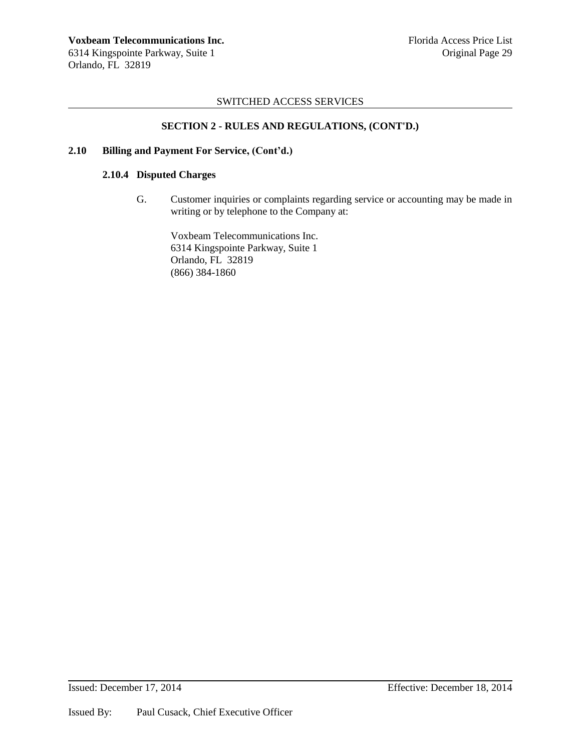# **SECTION 2 - RULES AND REGULATIONS, (CONT'D.)**

### **2.10 Billing and Payment For Service, (Cont'd.)**

### **2.10.4 Disputed Charges**

G. Customer inquiries or complaints regarding service or accounting may be made in writing or by telephone to the Company at:

Voxbeam Telecommunications Inc. 6314 Kingspointe Parkway, Suite 1 Orlando, FL 32819 (866) 384-1860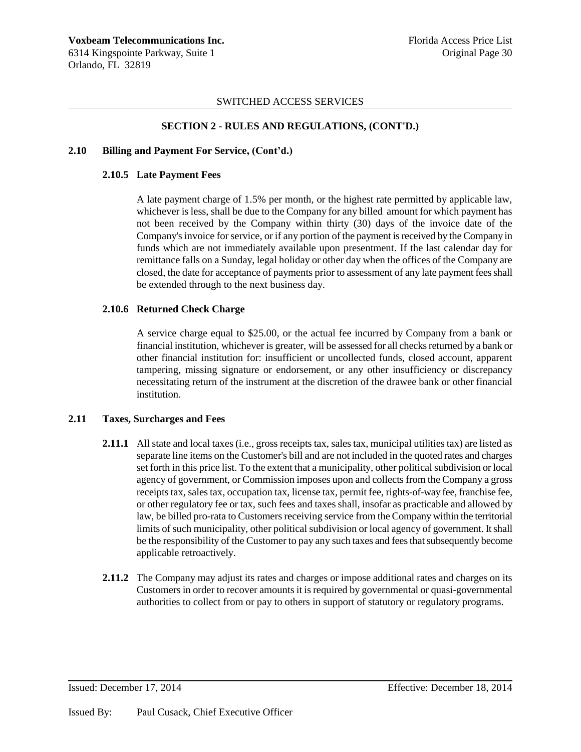### **SECTION 2 - RULES AND REGULATIONS, (CONT'D.)**

#### **2.10 Billing and Payment For Service, (Cont'd.)**

#### **2.10.5 Late Payment Fees**

A late payment charge of 1.5% per month, or the highest rate permitted by applicable law, whichever is less, shall be due to the Company for any billed amount for which payment has not been received by the Company within thirty (30) days of the invoice date of the Company's invoice for service, or if any portion of the payment is received by the Company in funds which are not immediately available upon presentment. If the last calendar day for remittance falls on a Sunday, legal holiday or other day when the offices of the Company are closed, the date for acceptance of payments prior to assessment of any late payment fees shall be extended through to the next business day.

### **2.10.6 Returned Check Charge**

A service charge equal to \$25.00, or the actual fee incurred by Company from a bank or financial institution, whichever is greater, will be assessed for all checks returned by a bank or other financial institution for: insufficient or uncollected funds, closed account, apparent tampering, missing signature or endorsement, or any other insufficiency or discrepancy necessitating return of the instrument at the discretion of the drawee bank or other financial institution.

#### **2.11 Taxes, Surcharges and Fees**

- **2.11.1** All state and local taxes (i.e., gross receipts tax, sales tax, municipal utilities tax) are listed as separate line items on the Customer's bill and are not included in the quoted rates and charges set forth in this price list. To the extent that a municipality, other political subdivision or local agency of government, or Commission imposes upon and collects from the Company a gross receipts tax, sales tax, occupation tax, license tax, permit fee, rights-of-way fee, franchise fee, or other regulatory fee or tax, such fees and taxes shall, insofar as practicable and allowed by law, be billed pro-rata to Customers receiving service from the Company within the territorial limits of such municipality, other political subdivision or local agency of government. It shall be the responsibility of the Customer to pay any such taxes and fees that subsequently become applicable retroactively.
- **2.11.2** The Company may adjust its rates and charges or impose additional rates and charges on its Customers in order to recover amounts it is required by governmental or quasi-governmental authorities to collect from or pay to others in support of statutory or regulatory programs.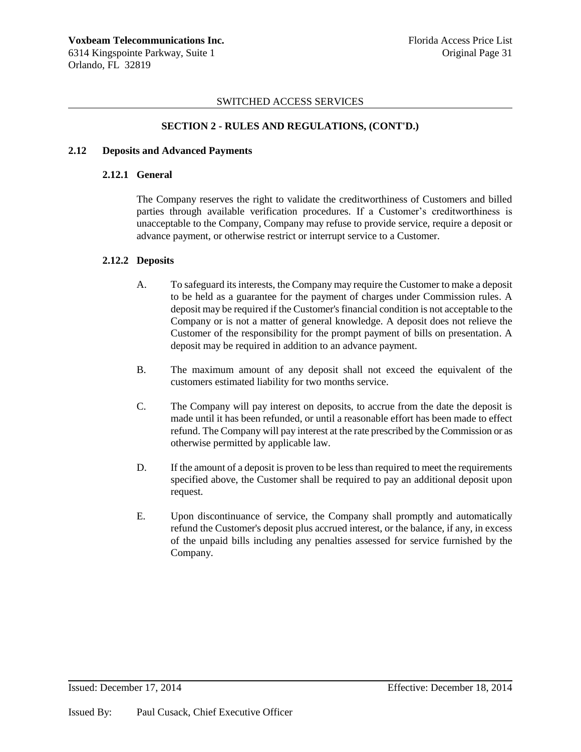### **SECTION 2 - RULES AND REGULATIONS, (CONT'D.)**

#### **2.12 Deposits and Advanced Payments**

#### **2.12.1 General**

The Company reserves the right to validate the creditworthiness of Customers and billed parties through available verification procedures. If a Customer's creditworthiness is unacceptable to the Company, Company may refuse to provide service, require a deposit or advance payment, or otherwise restrict or interrupt service to a Customer.

#### **2.12.2 Deposits**

- A. To safeguard its interests, the Company may require the Customer to make a deposit to be held as a guarantee for the payment of charges under Commission rules. A deposit may be required if the Customer's financial condition is not acceptable to the Company or is not a matter of general knowledge. A deposit does not relieve the Customer of the responsibility for the prompt payment of bills on presentation. A deposit may be required in addition to an advance payment.
- B. The maximum amount of any deposit shall not exceed the equivalent of the customers estimated liability for two months service.
- C. The Company will pay interest on deposits, to accrue from the date the deposit is made until it has been refunded, or until a reasonable effort has been made to effect refund. The Company will pay interest at the rate prescribed by the Commission or as otherwise permitted by applicable law.
- D. If the amount of a deposit is proven to be less than required to meet the requirements specified above, the Customer shall be required to pay an additional deposit upon request.
- E. Upon discontinuance of service, the Company shall promptly and automatically refund the Customer's deposit plus accrued interest, or the balance, if any, in excess of the unpaid bills including any penalties assessed for service furnished by the Company.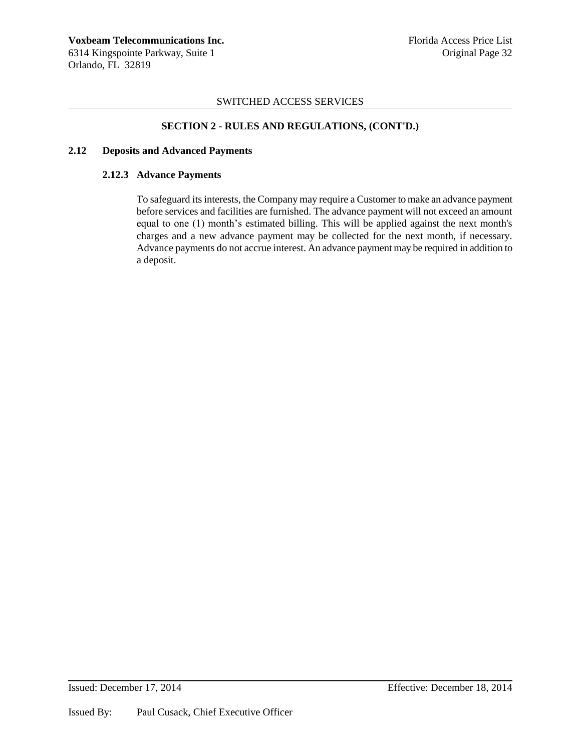# **SECTION 2 - RULES AND REGULATIONS, (CONT'D.)**

### **2.12 Deposits and Advanced Payments**

### **2.12.3 Advance Payments**

To safeguard its interests, the Company may require a Customer to make an advance payment before services and facilities are furnished. The advance payment will not exceed an amount equal to one (1) month's estimated billing. This will be applied against the next month's charges and a new advance payment may be collected for the next month, if necessary. Advance payments do not accrue interest. An advance payment may be required in addition to a deposit.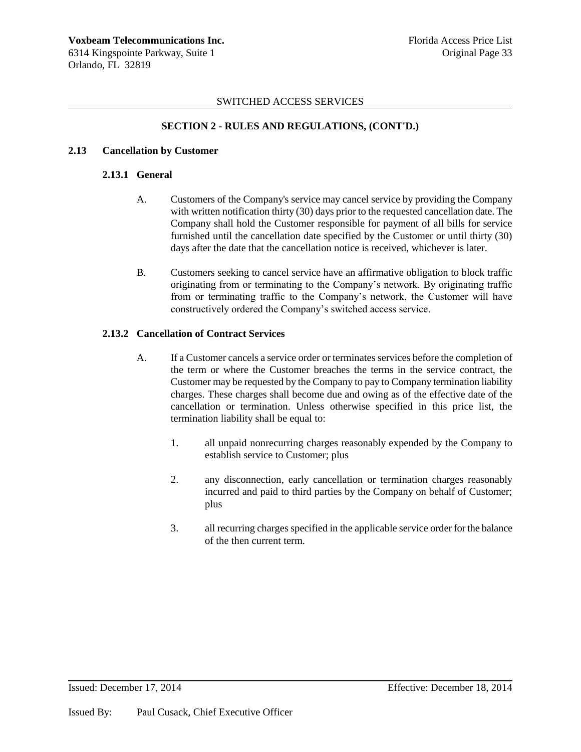# **SECTION 2 - RULES AND REGULATIONS, (CONT'D.)**

### **2.13 Cancellation by Customer**

### **2.13.1 General**

- A. Customers of the Company's service may cancel service by providing the Company with written notification thirty (30) days prior to the requested cancellation date. The Company shall hold the Customer responsible for payment of all bills for service furnished until the cancellation date specified by the Customer or until thirty (30) days after the date that the cancellation notice is received, whichever is later.
- B. Customers seeking to cancel service have an affirmative obligation to block traffic originating from or terminating to the Company's network. By originating traffic from or terminating traffic to the Company's network, the Customer will have constructively ordered the Company's switched access service.

# **2.13.2 Cancellation of Contract Services**

- A. If a Customer cancels a service order or terminates services before the completion of the term or where the Customer breaches the terms in the service contract, the Customer may be requested by the Company to pay to Company termination liability charges. These charges shall become due and owing as of the effective date of the cancellation or termination. Unless otherwise specified in this price list, the termination liability shall be equal to:
	- 1. all unpaid nonrecurring charges reasonably expended by the Company to establish service to Customer; plus
	- 2. any disconnection, early cancellation or termination charges reasonably incurred and paid to third parties by the Company on behalf of Customer; plus
	- 3. all recurring charges specified in the applicable service order for the balance of the then current term.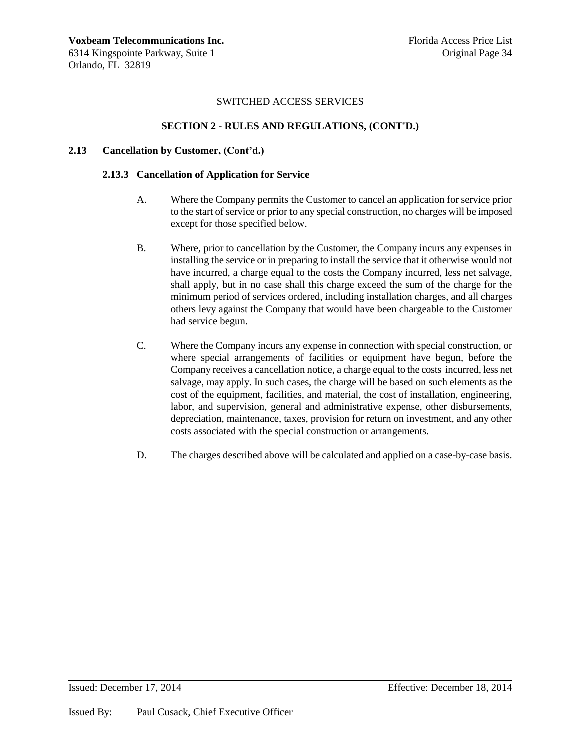# **SECTION 2 - RULES AND REGULATIONS, (CONT'D.)**

### **2.13 Cancellation by Customer, (Cont'd.)**

### **2.13.3 Cancellation of Application for Service**

- A. Where the Company permits the Customer to cancel an application for service prior to the start of service or prior to any special construction, no charges will be imposed except for those specified below.
- B. Where, prior to cancellation by the Customer, the Company incurs any expenses in installing the service or in preparing to install the service that it otherwise would not have incurred, a charge equal to the costs the Company incurred, less net salvage, shall apply, but in no case shall this charge exceed the sum of the charge for the minimum period of services ordered, including installation charges, and all charges others levy against the Company that would have been chargeable to the Customer had service begun.
- C. Where the Company incurs any expense in connection with special construction, or where special arrangements of facilities or equipment have begun, before the Company receives a cancellation notice, a charge equal to the costs incurred, less net salvage, may apply. In such cases, the charge will be based on such elements as the cost of the equipment, facilities, and material, the cost of installation, engineering, labor, and supervision, general and administrative expense, other disbursements, depreciation, maintenance, taxes, provision for return on investment, and any other costs associated with the special construction or arrangements.
- D. The charges described above will be calculated and applied on a case-by-case basis.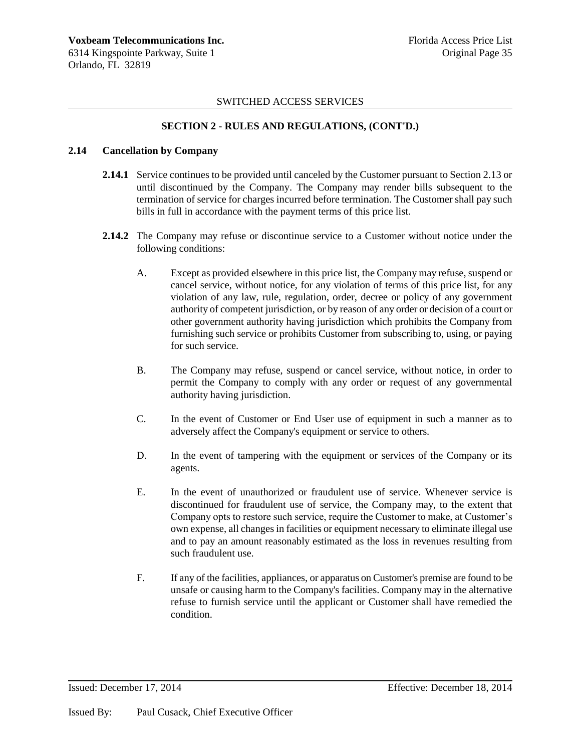# **SECTION 2 - RULES AND REGULATIONS, (CONT'D.)**

### **2.14 Cancellation by Company**

- **2.14.1** Service continues to be provided until canceled by the Customer pursuant to Section 2.13 or until discontinued by the Company. The Company may render bills subsequent to the termination of service for charges incurred before termination. The Customer shall pay such bills in full in accordance with the payment terms of this price list.
- **2.14.2** The Company may refuse or discontinue service to a Customer without notice under the following conditions:
	- A. Except as provided elsewhere in this price list, the Company may refuse, suspend or cancel service, without notice, for any violation of terms of this price list, for any violation of any law, rule, regulation, order, decree or policy of any government authority of competent jurisdiction, or by reason of any order or decision of a court or other government authority having jurisdiction which prohibits the Company from furnishing such service or prohibits Customer from subscribing to, using, or paying for such service.
	- B. The Company may refuse, suspend or cancel service, without notice, in order to permit the Company to comply with any order or request of any governmental authority having jurisdiction.
	- C. In the event of Customer or End User use of equipment in such a manner as to adversely affect the Company's equipment or service to others.
	- D. In the event of tampering with the equipment or services of the Company or its agents.
	- E. In the event of unauthorized or fraudulent use of service. Whenever service is discontinued for fraudulent use of service, the Company may, to the extent that Company opts to restore such service, require the Customer to make, at Customer's own expense, all changes in facilities or equipment necessary to eliminate illegal use and to pay an amount reasonably estimated as the loss in revenues resulting from such fraudulent use.
	- F. If any of the facilities, appliances, or apparatus on Customer's premise are found to be unsafe or causing harm to the Company's facilities. Company may in the alternative refuse to furnish service until the applicant or Customer shall have remedied the condition.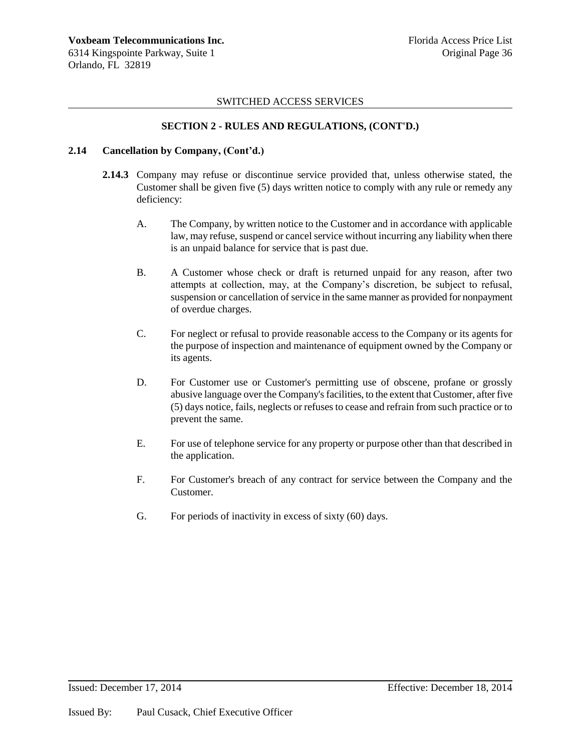### **SECTION 2 - RULES AND REGULATIONS, (CONT'D.)**

#### **2.14 Cancellation by Company, (Cont'd.)**

- **2.14.3** Company may refuse or discontinue service provided that, unless otherwise stated, the Customer shall be given five (5) days written notice to comply with any rule or remedy any deficiency:
	- A. The Company, by written notice to the Customer and in accordance with applicable law, may refuse, suspend or cancel service without incurring any liability when there is an unpaid balance for service that is past due.
	- B. A Customer whose check or draft is returned unpaid for any reason, after two attempts at collection, may, at the Company's discretion, be subject to refusal, suspension or cancellation of service in the same manner as provided for nonpayment of overdue charges.
	- C. For neglect or refusal to provide reasonable access to the Company or its agents for the purpose of inspection and maintenance of equipment owned by the Company or its agents.
	- D. For Customer use or Customer's permitting use of obscene, profane or grossly abusive language over the Company's facilities, to the extent that Customer, after five (5) days notice, fails, neglects or refuses to cease and refrain from such practice or to prevent the same.
	- E. For use of telephone service for any property or purpose other than that described in the application.
	- F. For Customer's breach of any contract for service between the Company and the Customer.
	- G. For periods of inactivity in excess of sixty (60) days.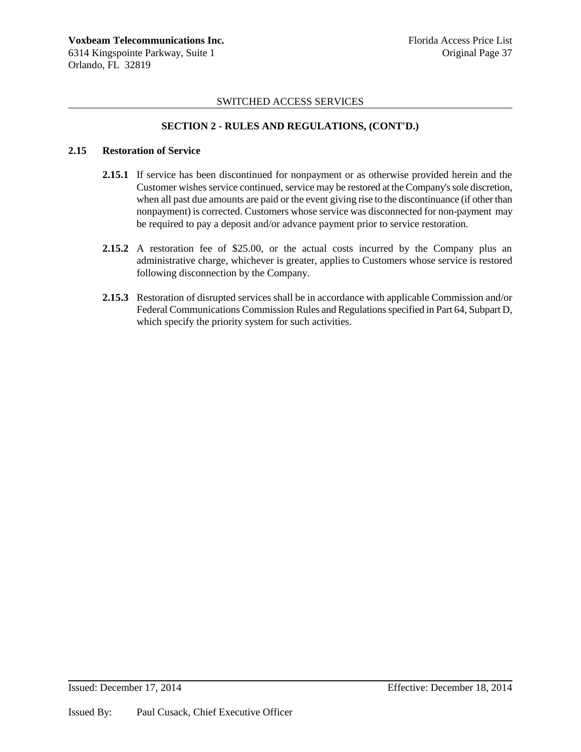### **SECTION 2 - RULES AND REGULATIONS, (CONT'D.)**

#### **2.15 Restoration of Service**

- **2.15.1** If service has been discontinued for nonpayment or as otherwise provided herein and the Customer wishes service continued, service may be restored at the Company's sole discretion, when all past due amounts are paid or the event giving rise to the discontinuance (if other than nonpayment) is corrected. Customers whose service was disconnected for non-payment may be required to pay a deposit and/or advance payment prior to service restoration.
- **2.15.2** A restoration fee of \$25.00, or the actual costs incurred by the Company plus an administrative charge, whichever is greater, applies to Customers whose service is restored following disconnection by the Company.
- **2.15.3** Restoration of disrupted services shall be in accordance with applicable Commission and/or Federal Communications Commission Rules and Regulations specified in Part 64, Subpart D, which specify the priority system for such activities.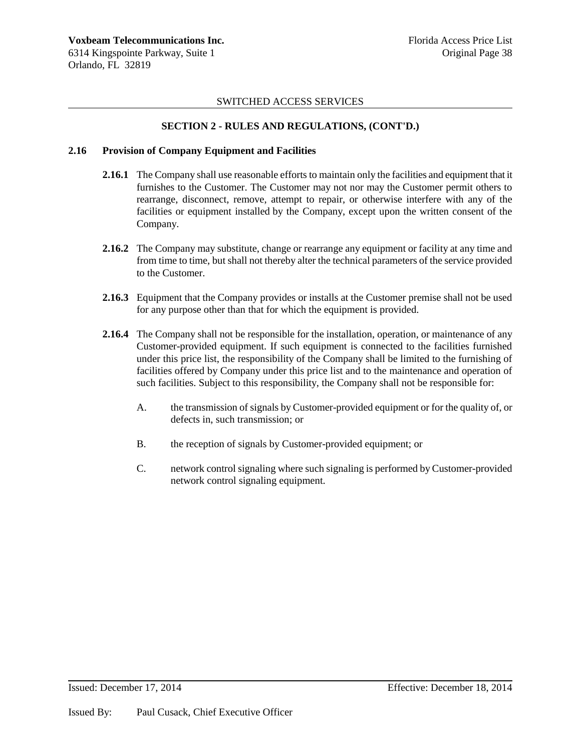### **SECTION 2 - RULES AND REGULATIONS, (CONT'D.)**

#### **2.16 Provision of Company Equipment and Facilities**

- **2.16.1** The Company shall use reasonable efforts to maintain only the facilities and equipment that it furnishes to the Customer. The Customer may not nor may the Customer permit others to rearrange, disconnect, remove, attempt to repair, or otherwise interfere with any of the facilities or equipment installed by the Company, except upon the written consent of the Company.
- **2.16.2** The Company may substitute, change or rearrange any equipment or facility at any time and from time to time, but shall not thereby alter the technical parameters of the service provided to the Customer.
- **2.16.3** Equipment that the Company provides or installs at the Customer premise shall not be used for any purpose other than that for which the equipment is provided.
- **2.16.4** The Company shall not be responsible for the installation, operation, or maintenance of any Customer-provided equipment. If such equipment is connected to the facilities furnished under this price list, the responsibility of the Company shall be limited to the furnishing of facilities offered by Company under this price list and to the maintenance and operation of such facilities. Subject to this responsibility, the Company shall not be responsible for:
	- A. the transmission of signals by Customer-provided equipment or for the quality of, or defects in, such transmission; or
	- B. the reception of signals by Customer-provided equipment; or
	- C. network control signaling where such signaling is performed by Customer-provided network control signaling equipment.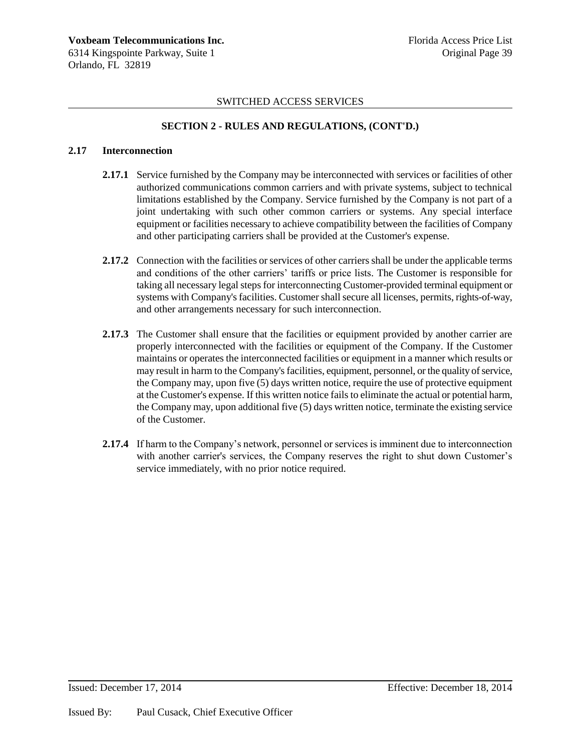## **SECTION 2 - RULES AND REGULATIONS, (CONT'D.)**

#### **2.17 Interconnection**

- **2.17.1** Service furnished by the Company may be interconnected with services or facilities of other authorized communications common carriers and with private systems, subject to technical limitations established by the Company. Service furnished by the Company is not part of a joint undertaking with such other common carriers or systems. Any special interface equipment or facilities necessary to achieve compatibility between the facilities of Company and other participating carriers shall be provided at the Customer's expense.
- 2.17.2 Connection with the facilities or services of other carriers shall be under the applicable terms and conditions of the other carriers' tariffs or price lists. The Customer is responsible for taking all necessary legal steps for interconnecting Customer-provided terminal equipment or systems with Company's facilities. Customer shall secure all licenses, permits, rights-of-way, and other arrangements necessary for such interconnection.
- 2.17.3 The Customer shall ensure that the facilities or equipment provided by another carrier are properly interconnected with the facilities or equipment of the Company. If the Customer maintains or operates the interconnected facilities or equipment in a manner which results or may result in harm to the Company's facilities, equipment, personnel, or the quality of service, the Company may, upon five (5) days written notice, require the use of protective equipment at the Customer's expense. If this written notice fails to eliminate the actual or potential harm, the Company may, upon additional five (5) days written notice, terminate the existing service of the Customer.
- **2.17.4** If harm to the Company's network, personnel or services is imminent due to interconnection with another carrier's services, the Company reserves the right to shut down Customer's service immediately, with no prior notice required.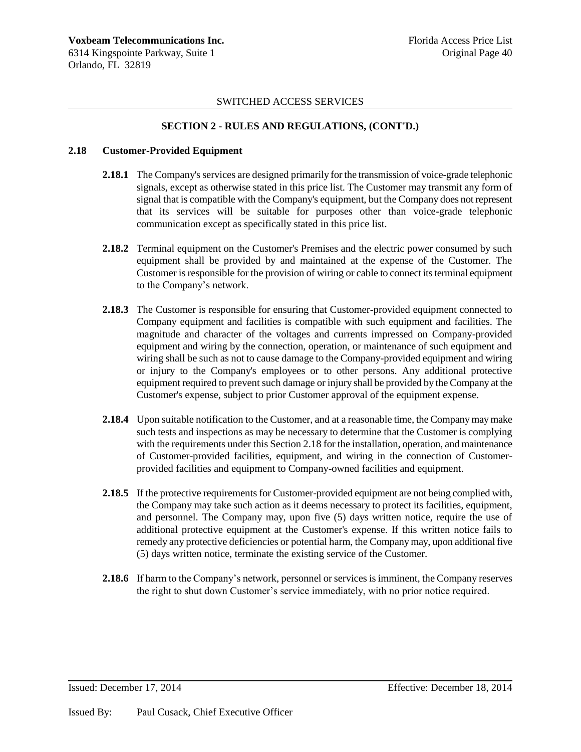### **SECTION 2 - RULES AND REGULATIONS, (CONT'D.)**

### **2.18 Customer-Provided Equipment**

- **2.18.1** The Company's services are designed primarily for the transmission of voice-grade telephonic signals, except as otherwise stated in this price list. The Customer may transmit any form of signal that is compatible with the Company's equipment, but the Company does not represent that its services will be suitable for purposes other than voice-grade telephonic communication except as specifically stated in this price list.
- **2.18.2** Terminal equipment on the Customer's Premises and the electric power consumed by such equipment shall be provided by and maintained at the expense of the Customer. The Customer is responsible for the provision of wiring or cable to connect its terminal equipment to the Company's network.
- **2.18.3** The Customer is responsible for ensuring that Customer-provided equipment connected to Company equipment and facilities is compatible with such equipment and facilities. The magnitude and character of the voltages and currents impressed on Company-provided equipment and wiring by the connection, operation, or maintenance of such equipment and wiring shall be such as not to cause damage to the Company-provided equipment and wiring or injury to the Company's employees or to other persons. Any additional protective equipment required to prevent such damage or injury shall be provided by the Company at the Customer's expense, subject to prior Customer approval of the equipment expense.
- **2.18.4** Upon suitable notification to the Customer, and at a reasonable time, the Company may make such tests and inspections as may be necessary to determine that the Customer is complying with the requirements under this Section 2.18 for the installation, operation, and maintenance of Customer-provided facilities, equipment, and wiring in the connection of Customerprovided facilities and equipment to Company-owned facilities and equipment.
- **2.18.5** If the protective requirements for Customer-provided equipment are not being complied with, the Company may take such action as it deems necessary to protect its facilities, equipment, and personnel. The Company may, upon five (5) days written notice, require the use of additional protective equipment at the Customer's expense. If this written notice fails to remedy any protective deficiencies or potential harm, the Company may, upon additional five (5) days written notice, terminate the existing service of the Customer.
- **2.18.6** If harm to the Company's network, personnel or services is imminent, the Company reserves the right to shut down Customer's service immediately, with no prior notice required.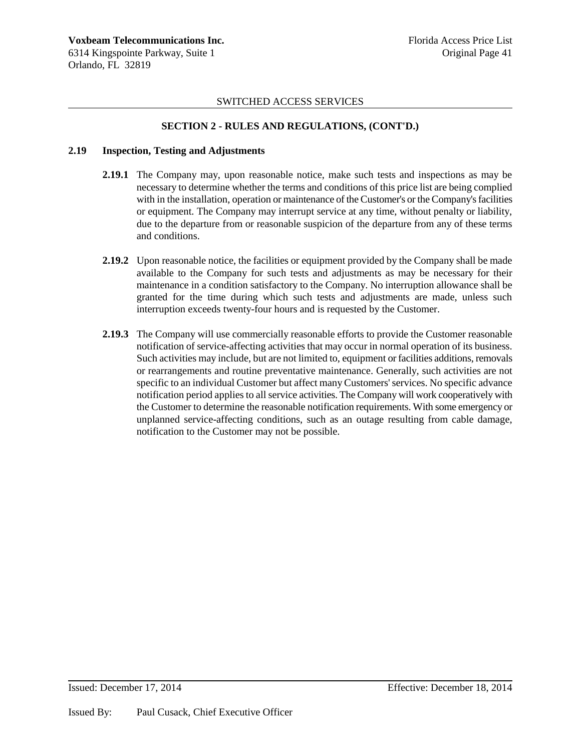### **SECTION 2 - RULES AND REGULATIONS, (CONT'D.)**

### **2.19 Inspection, Testing and Adjustments**

- **2.19.1** The Company may, upon reasonable notice, make such tests and inspections as may be necessary to determine whether the terms and conditions of this price list are being complied with in the installation, operation or maintenance of the Customer's or the Company's facilities or equipment. The Company may interrupt service at any time, without penalty or liability, due to the departure from or reasonable suspicion of the departure from any of these terms and conditions.
- **2.19.2** Upon reasonable notice, the facilities or equipment provided by the Company shall be made available to the Company for such tests and adjustments as may be necessary for their maintenance in a condition satisfactory to the Company. No interruption allowance shall be granted for the time during which such tests and adjustments are made, unless such interruption exceeds twenty-four hours and is requested by the Customer.
- **2.19.3** The Company will use commercially reasonable efforts to provide the Customer reasonable notification of service-affecting activities that may occur in normal operation of its business. Such activities may include, but are not limited to, equipment or facilities additions, removals or rearrangements and routine preventative maintenance. Generally, such activities are not specific to an individual Customer but affect many Customers' services. No specific advance notification period applies to all service activities. The Company will work cooperatively with the Customer to determine the reasonable notification requirements. With some emergency or unplanned service-affecting conditions, such as an outage resulting from cable damage, notification to the Customer may not be possible.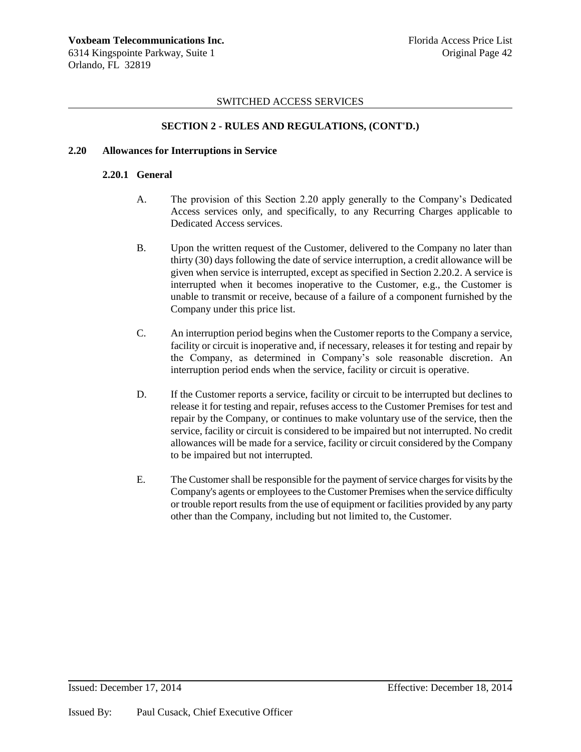### **SECTION 2 - RULES AND REGULATIONS, (CONT'D.)**

## **2.20 Allowances for Interruptions in Service**

#### **2.20.1 General**

- A. The provision of this Section 2.20 apply generally to the Company's Dedicated Access services only, and specifically, to any Recurring Charges applicable to Dedicated Access services.
- B. Upon the written request of the Customer, delivered to the Company no later than thirty (30) days following the date of service interruption, a credit allowance will be given when service is interrupted, except as specified in Section 2.20.2. A service is interrupted when it becomes inoperative to the Customer, e.g., the Customer is unable to transmit or receive, because of a failure of a component furnished by the Company under this price list.
- C. An interruption period begins when the Customer reports to the Company a service, facility or circuit is inoperative and, if necessary, releases it for testing and repair by the Company, as determined in Company's sole reasonable discretion. An interruption period ends when the service, facility or circuit is operative.
- D. If the Customer reports a service, facility or circuit to be interrupted but declines to release it for testing and repair, refuses access to the Customer Premises for test and repair by the Company, or continues to make voluntary use of the service, then the service, facility or circuit is considered to be impaired but not interrupted. No credit allowances will be made for a service, facility or circuit considered by the Company to be impaired but not interrupted.
- E. The Customer shall be responsible for the payment of service charges for visits by the Company's agents or employees to the Customer Premises when the service difficulty or trouble report results from the use of equipment or facilities provided by any party other than the Company, including but not limited to, the Customer.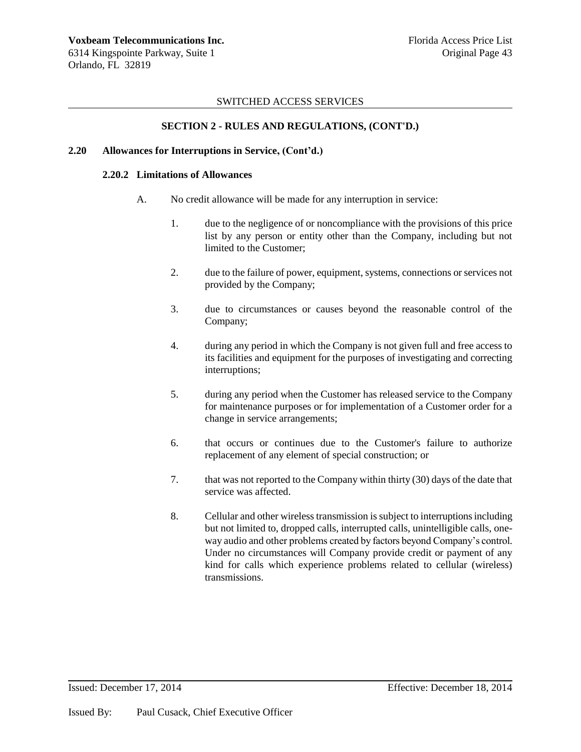### **SECTION 2 - RULES AND REGULATIONS, (CONT'D.)**

## **2.20 Allowances for Interruptions in Service, (Cont'd.)**

#### **2.20.2 Limitations of Allowances**

- A. No credit allowance will be made for any interruption in service:
	- 1. due to the negligence of or noncompliance with the provisions of this price list by any person or entity other than the Company, including but not limited to the Customer;
	- 2. due to the failure of power, equipment, systems, connections or services not provided by the Company;
	- 3. due to circumstances or causes beyond the reasonable control of the Company;
	- 4. during any period in which the Company is not given full and free access to its facilities and equipment for the purposes of investigating and correcting interruptions;
	- 5. during any period when the Customer has released service to the Company for maintenance purposes or for implementation of a Customer order for a change in service arrangements;
	- 6. that occurs or continues due to the Customer's failure to authorize replacement of any element of special construction; or
	- 7. that was not reported to the Company within thirty (30) days of the date that service was affected.
	- 8. Cellular and other wireless transmission is subject to interruptions including but not limited to, dropped calls, interrupted calls, unintelligible calls, oneway audio and other problems created by factors beyond Company's control. Under no circumstances will Company provide credit or payment of any kind for calls which experience problems related to cellular (wireless) transmissions.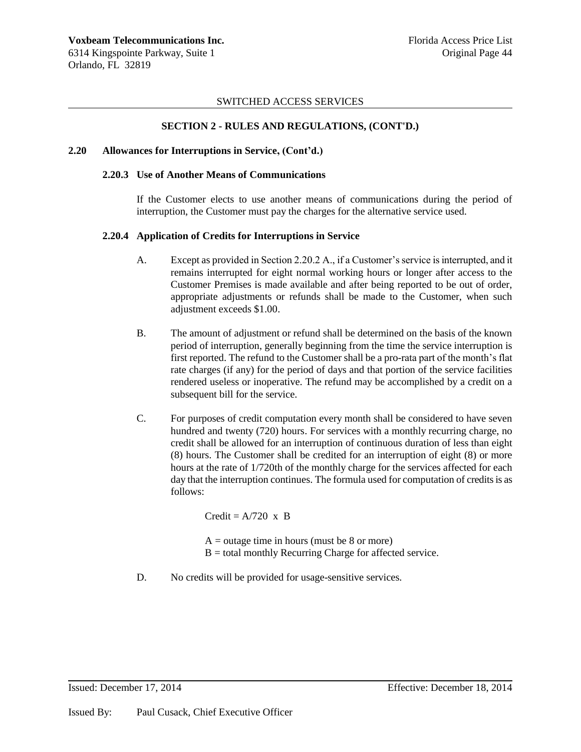### **SECTION 2 - RULES AND REGULATIONS, (CONT'D.)**

#### **2.20 Allowances for Interruptions in Service, (Cont'd.)**

#### **2.20.3 Use of Another Means of Communications**

If the Customer elects to use another means of communications during the period of interruption, the Customer must pay the charges for the alternative service used.

### **2.20.4 Application of Credits for Interruptions in Service**

- A. Except as provided in Section 2.20.2 A., if a Customer's service is interrupted, and it remains interrupted for eight normal working hours or longer after access to the Customer Premises is made available and after being reported to be out of order, appropriate adjustments or refunds shall be made to the Customer, when such adjustment exceeds \$1.00.
- B. The amount of adjustment or refund shall be determined on the basis of the known period of interruption, generally beginning from the time the service interruption is first reported. The refund to the Customer shall be a pro-rata part of the month's flat rate charges (if any) for the period of days and that portion of the service facilities rendered useless or inoperative. The refund may be accomplished by a credit on a subsequent bill for the service.
- C. For purposes of credit computation every month shall be considered to have seven hundred and twenty (720) hours. For services with a monthly recurring charge, no credit shall be allowed for an interruption of continuous duration of less than eight (8) hours. The Customer shall be credited for an interruption of eight (8) or more hours at the rate of 1/720th of the monthly charge for the services affected for each day that the interruption continues. The formula used for computation of credits is as follows:

 $Credit = A/720$  x B

 $A =$  outage time in hours (must be 8 or more)  $B =$  total monthly Recurring Charge for affected service.

D. No credits will be provided for usage-sensitive services.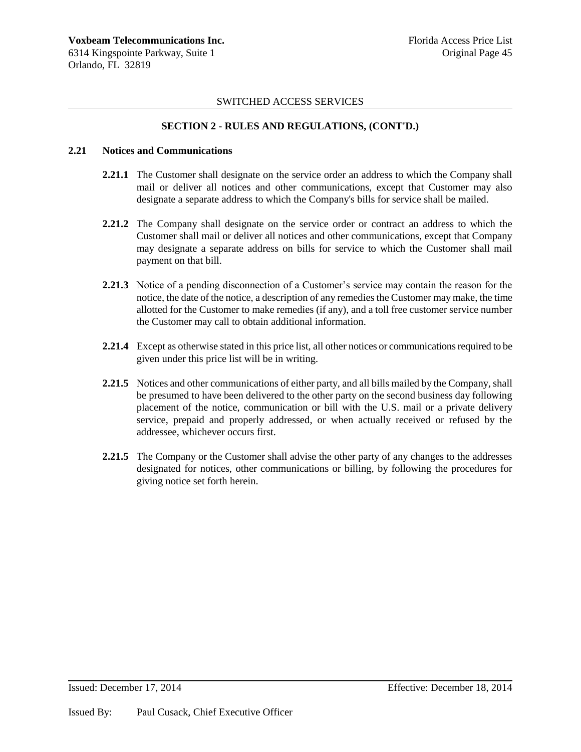### **SECTION 2 - RULES AND REGULATIONS, (CONT'D.)**

#### **2.21 Notices and Communications**

- **2.21.1** The Customer shall designate on the service order an address to which the Company shall mail or deliver all notices and other communications, except that Customer may also designate a separate address to which the Company's bills for service shall be mailed.
- **2.21.2** The Company shall designate on the service order or contract an address to which the Customer shall mail or deliver all notices and other communications, except that Company may designate a separate address on bills for service to which the Customer shall mail payment on that bill.
- **2.21.3** Notice of a pending disconnection of a Customer's service may contain the reason for the notice, the date of the notice, a description of any remedies the Customer may make, the time allotted for the Customer to make remedies (if any), and a toll free customer service number the Customer may call to obtain additional information.
- **2.21.4** Except as otherwise stated in this price list, all other notices or communications required to be given under this price list will be in writing.
- **2.21.5** Notices and other communications of either party, and all bills mailed by the Company, shall be presumed to have been delivered to the other party on the second business day following placement of the notice, communication or bill with the U.S. mail or a private delivery service, prepaid and properly addressed, or when actually received or refused by the addressee, whichever occurs first.
- **2.21.5** The Company or the Customer shall advise the other party of any changes to the addresses designated for notices, other communications or billing, by following the procedures for giving notice set forth herein.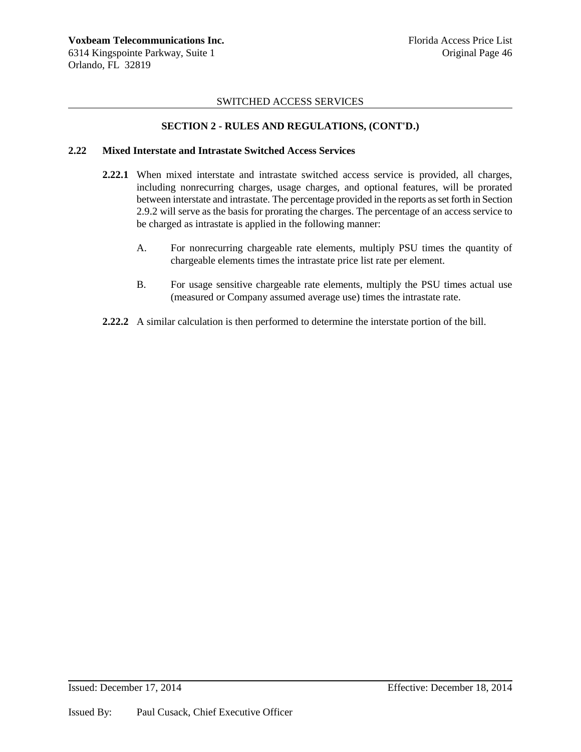## **SECTION 2 - RULES AND REGULATIONS, (CONT'D.)**

### **2.22 Mixed Interstate and Intrastate Switched Access Services**

- **2.22.1** When mixed interstate and intrastate switched access service is provided, all charges, including nonrecurring charges, usage charges, and optional features, will be prorated between interstate and intrastate. The percentage provided in the reports as set forth in Section 2.9.2 will serve as the basis for prorating the charges. The percentage of an access service to be charged as intrastate is applied in the following manner:
	- A. For nonrecurring chargeable rate elements, multiply PSU times the quantity of chargeable elements times the intrastate price list rate per element.
	- B. For usage sensitive chargeable rate elements, multiply the PSU times actual use (measured or Company assumed average use) times the intrastate rate.
- **2.22.2** A similar calculation is then performed to determine the interstate portion of the bill.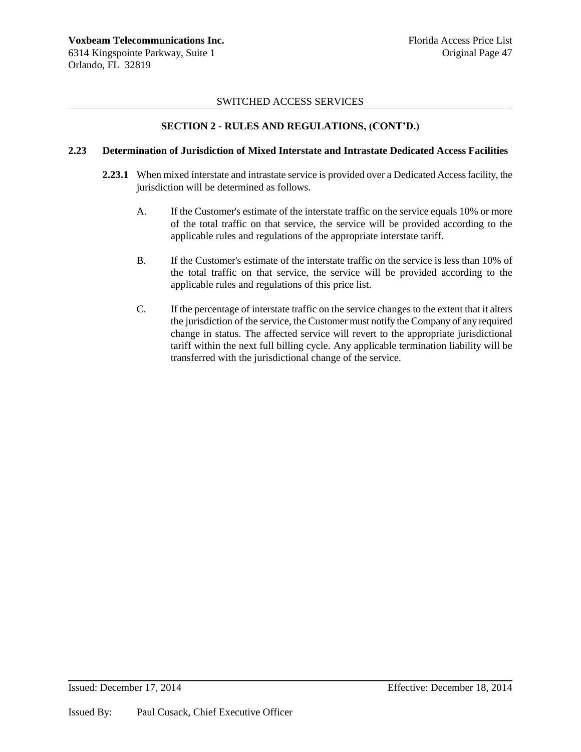## **SECTION 2 - RULES AND REGULATIONS, (CONT'D.)**

#### **2.23 Determination of Jurisdiction of Mixed Interstate and Intrastate Dedicated Access Facilities**

- **2.23.1** When mixed interstate and intrastate service is provided over a Dedicated Access facility, the jurisdiction will be determined as follows.
	- A. If the Customer's estimate of the interstate traffic on the service equals 10% or more of the total traffic on that service, the service will be provided according to the applicable rules and regulations of the appropriate interstate tariff.
	- B. If the Customer's estimate of the interstate traffic on the service is less than 10% of the total traffic on that service, the service will be provided according to the applicable rules and regulations of this price list.
	- C. If the percentage of interstate traffic on the service changes to the extent that it alters the jurisdiction of the service, the Customer must notify the Company of any required change in status. The affected service will revert to the appropriate jurisdictional tariff within the next full billing cycle. Any applicable termination liability will be transferred with the jurisdictional change of the service.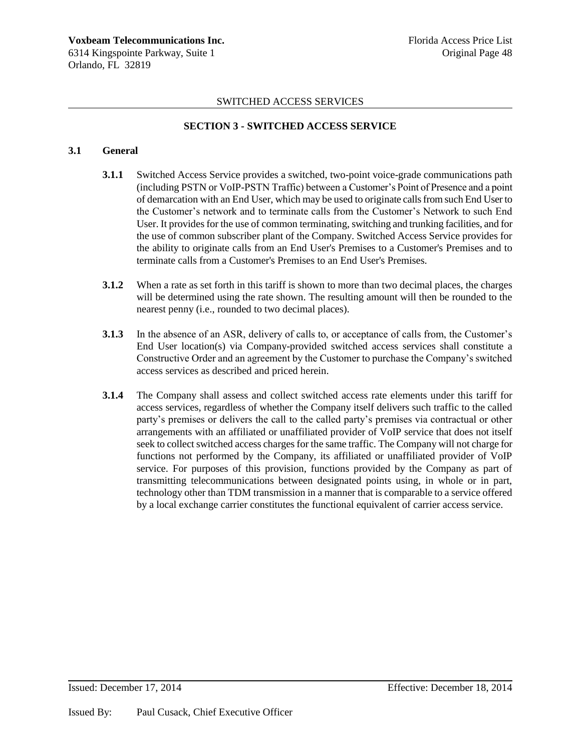## **SECTION 3 - SWITCHED ACCESS SERVICE**

### **3.1 General**

- **3.1.1** Switched Access Service provides a switched, two-point voice-grade communications path (including PSTN or VoIP-PSTN Traffic) between a Customer's Point of Presence and a point of demarcation with an End User, which may be used to originate calls from such End User to the Customer's network and to terminate calls from the Customer's Network to such End User. It provides for the use of common terminating, switching and trunking facilities, and for the use of common subscriber plant of the Company. Switched Access Service provides for the ability to originate calls from an End User's Premises to a Customer's Premises and to terminate calls from a Customer's Premises to an End User's Premises.
- **3.1.2** When a rate as set forth in this tariff is shown to more than two decimal places, the charges will be determined using the rate shown. The resulting amount will then be rounded to the nearest penny (i.e., rounded to two decimal places).
- **3.1.3** In the absence of an ASR, delivery of calls to, or acceptance of calls from, the Customer's End User location(s) via Company-provided switched access services shall constitute a Constructive Order and an agreement by the Customer to purchase the Company's switched access services as described and priced herein.
- **3.1.4** The Company shall assess and collect switched access rate elements under this tariff for access services, regardless of whether the Company itself delivers such traffic to the called party's premises or delivers the call to the called party's premises via contractual or other arrangements with an affiliated or unaffiliated provider of VoIP service that does not itself seek to collect switched access charges for the same traffic. The Company will not charge for functions not performed by the Company, its affiliated or unaffiliated provider of VoIP service. For purposes of this provision, functions provided by the Company as part of transmitting telecommunications between designated points using, in whole or in part, technology other than TDM transmission in a manner that is comparable to a service offered by a local exchange carrier constitutes the functional equivalent of carrier access service.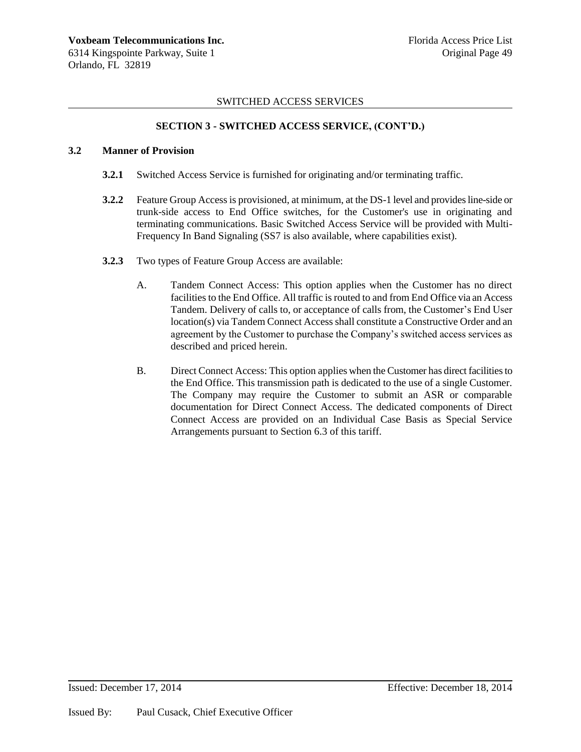### **SECTION 3 - SWITCHED ACCESS SERVICE, (CONT'D.)**

#### **3.2 Manner of Provision**

- **3.2.1** Switched Access Service is furnished for originating and/or terminating traffic.
- **3.2.2** Feature Group Access is provisioned, at minimum, at the DS-1 level and provides line-side or trunk-side access to End Office switches, for the Customer's use in originating and terminating communications. Basic Switched Access Service will be provided with Multi-Frequency In Band Signaling (SS7 is also available, where capabilities exist).
- **3.2.3** Two types of Feature Group Access are available:
	- A. Tandem Connect Access: This option applies when the Customer has no direct facilities to the End Office. All traffic is routed to and from End Office via an Access Tandem. Delivery of calls to, or acceptance of calls from, the Customer's End User location(s) via Tandem Connect Access shall constitute a Constructive Order and an agreement by the Customer to purchase the Company's switched access services as described and priced herein.
	- B. Direct Connect Access: This option applies when the Customer has direct facilities to the End Office. This transmission path is dedicated to the use of a single Customer. The Company may require the Customer to submit an ASR or comparable documentation for Direct Connect Access. The dedicated components of Direct Connect Access are provided on an Individual Case Basis as Special Service Arrangements pursuant to Section 6.3 of this tariff.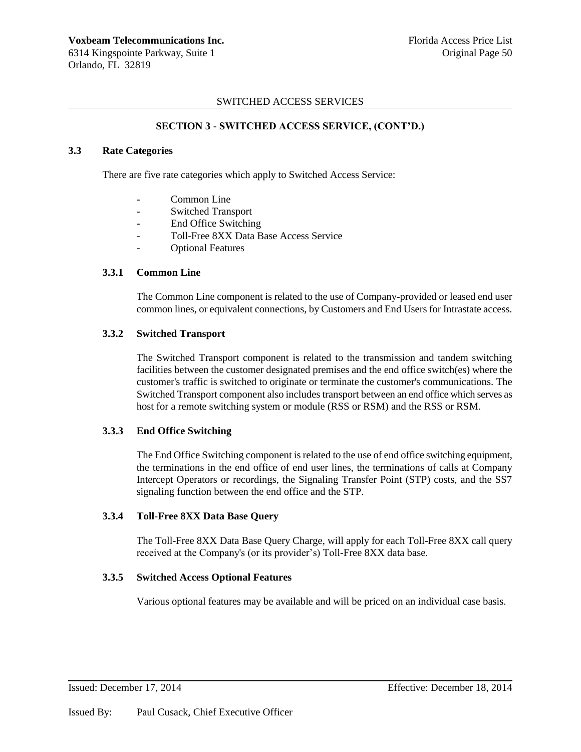### **SECTION 3 - SWITCHED ACCESS SERVICE, (CONT'D.)**

#### **3.3 Rate Categories**

There are five rate categories which apply to Switched Access Service:

- Common Line
- Switched Transport
- End Office Switching
- Toll-Free 8XX Data Base Access Service
- Optional Features

## **3.3.1 Common Line**

The Common Line component is related to the use of Company-provided or leased end user common lines, or equivalent connections, by Customers and End Users for Intrastate access.

### **3.3.2 Switched Transport**

The Switched Transport component is related to the transmission and tandem switching facilities between the customer designated premises and the end office switch(es) where the customer's traffic is switched to originate or terminate the customer's communications. The Switched Transport component also includes transport between an end office which serves as host for a remote switching system or module (RSS or RSM) and the RSS or RSM.

### **3.3.3 End Office Switching**

The End Office Switching component is related to the use of end office switching equipment, the terminations in the end office of end user lines, the terminations of calls at Company Intercept Operators or recordings, the Signaling Transfer Point (STP) costs, and the SS7 signaling function between the end office and the STP.

#### **3.3.4 Toll-Free 8XX Data Base Query**

The Toll-Free 8XX Data Base Query Charge, will apply for each Toll-Free 8XX call query received at the Company's (or its provider's) Toll-Free 8XX data base.

### **3.3.5 Switched Access Optional Features**

Various optional features may be available and will be priced on an individual case basis.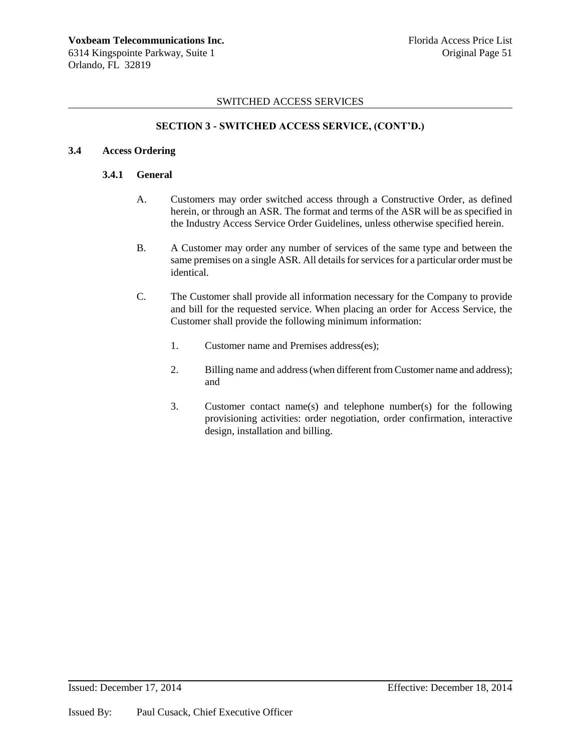### **SECTION 3 - SWITCHED ACCESS SERVICE, (CONT'D.)**

### **3.4 Access Ordering**

### **3.4.1 General**

- A. Customers may order switched access through a Constructive Order, as defined herein, or through an ASR. The format and terms of the ASR will be as specified in the Industry Access Service Order Guidelines, unless otherwise specified herein.
- B. A Customer may order any number of services of the same type and between the same premises on a single ASR. All details for services for a particular order must be identical.
- C. The Customer shall provide all information necessary for the Company to provide and bill for the requested service. When placing an order for Access Service, the Customer shall provide the following minimum information:
	- 1. Customer name and Premises address(es);
	- 2. Billing name and address (when different from Customer name and address); and
	- 3. Customer contact name(s) and telephone number(s) for the following provisioning activities: order negotiation, order confirmation, interactive design, installation and billing.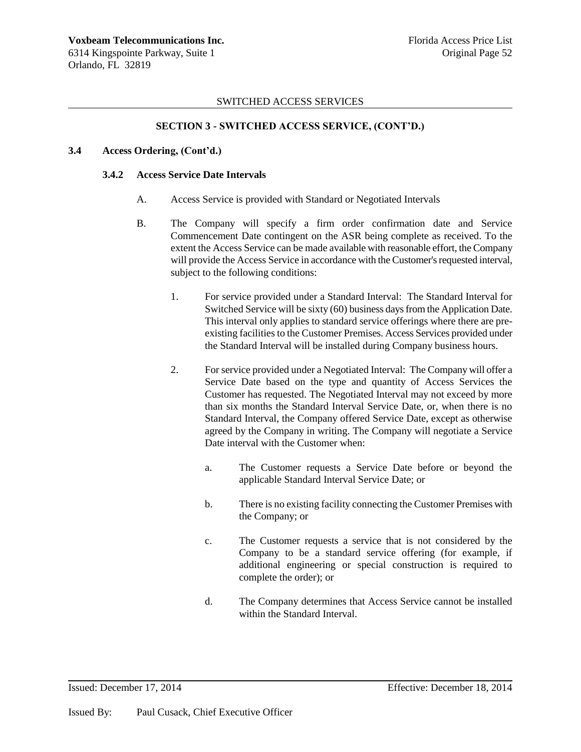### **SECTION 3 - SWITCHED ACCESS SERVICE, (CONT'D.)**

#### **3.4 Access Ordering, (Cont'd.)**

#### **3.4.2 Access Service Date Intervals**

- A. Access Service is provided with Standard or Negotiated Intervals
- B. The Company will specify a firm order confirmation date and Service Commencement Date contingent on the ASR being complete as received. To the extent the Access Service can be made available with reasonable effort, the Company will provide the Access Service in accordance with the Customer's requested interval, subject to the following conditions:
	- 1. For service provided under a Standard Interval: The Standard Interval for Switched Service will be sixty (60) business days from the Application Date. This interval only applies to standard service offerings where there are preexisting facilities to the Customer Premises. Access Services provided under the Standard Interval will be installed during Company business hours.
	- 2. For service provided under a Negotiated Interval: The Company will offer a Service Date based on the type and quantity of Access Services the Customer has requested. The Negotiated Interval may not exceed by more than six months the Standard Interval Service Date, or, when there is no Standard Interval, the Company offered Service Date, except as otherwise agreed by the Company in writing. The Company will negotiate a Service Date interval with the Customer when:
		- a. The Customer requests a Service Date before or beyond the applicable Standard Interval Service Date; or
		- b. There is no existing facility connecting the Customer Premises with the Company; or
		- c. The Customer requests a service that is not considered by the Company to be a standard service offering (for example, if additional engineering or special construction is required to complete the order); or
		- d. The Company determines that Access Service cannot be installed within the Standard Interval.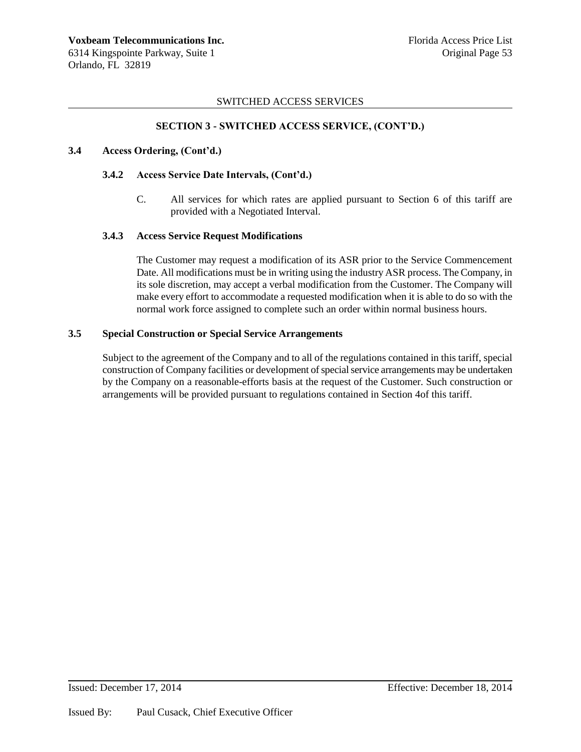### **SECTION 3 - SWITCHED ACCESS SERVICE, (CONT'D.)**

#### **3.4 Access Ordering, (Cont'd.)**

### **3.4.2 Access Service Date Intervals, (Cont'd.)**

C. All services for which rates are applied pursuant to Section 6 of this tariff are provided with a Negotiated Interval.

### **3.4.3 Access Service Request Modifications**

The Customer may request a modification of its ASR prior to the Service Commencement Date. All modifications must be in writing using the industry ASR process. The Company, in its sole discretion, may accept a verbal modification from the Customer. The Company will make every effort to accommodate a requested modification when it is able to do so with the normal work force assigned to complete such an order within normal business hours.

### **3.5 Special Construction or Special Service Arrangements**

Subject to the agreement of the Company and to all of the regulations contained in this tariff, special construction of Company facilities or development of special service arrangements may be undertaken by the Company on a reasonable-efforts basis at the request of the Customer. Such construction or arrangements will be provided pursuant to regulations contained in Section 4of this tariff.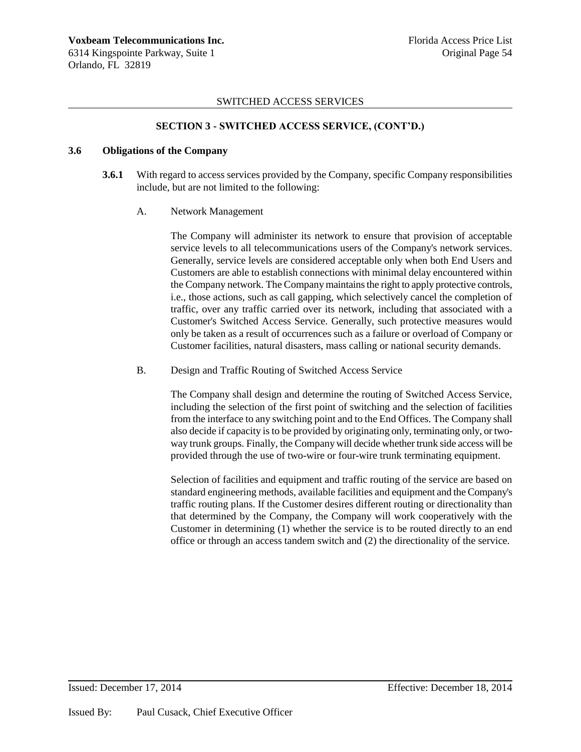### **SECTION 3 - SWITCHED ACCESS SERVICE, (CONT'D.)**

#### **3.6 Obligations of the Company**

- **3.6.1** With regard to access services provided by the Company, specific Company responsibilities include, but are not limited to the following:
	- A. Network Management

The Company will administer its network to ensure that provision of acceptable service levels to all telecommunications users of the Company's network services. Generally, service levels are considered acceptable only when both End Users and Customers are able to establish connections with minimal delay encountered within the Company network. The Company maintains the right to apply protective controls, i.e., those actions, such as call gapping, which selectively cancel the completion of traffic, over any traffic carried over its network, including that associated with a Customer's Switched Access Service. Generally, such protective measures would only be taken as a result of occurrences such as a failure or overload of Company or Customer facilities, natural disasters, mass calling or national security demands.

B. Design and Traffic Routing of Switched Access Service

The Company shall design and determine the routing of Switched Access Service, including the selection of the first point of switching and the selection of facilities from the interface to any switching point and to the End Offices. The Company shall also decide if capacity is to be provided by originating only, terminating only, or twoway trunk groups. Finally, the Company will decide whether trunk side access will be provided through the use of two-wire or four-wire trunk terminating equipment.

Selection of facilities and equipment and traffic routing of the service are based on standard engineering methods, available facilities and equipment and the Company's traffic routing plans. If the Customer desires different routing or directionality than that determined by the Company, the Company will work cooperatively with the Customer in determining (1) whether the service is to be routed directly to an end office or through an access tandem switch and (2) the directionality of the service.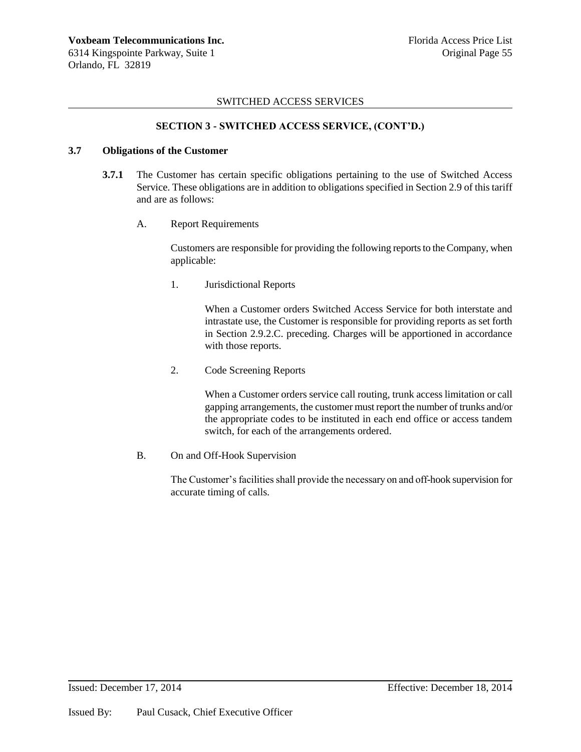### **SECTION 3 - SWITCHED ACCESS SERVICE, (CONT'D.)**

#### **3.7 Obligations of the Customer**

- **3.7.1** The Customer has certain specific obligations pertaining to the use of Switched Access Service. These obligations are in addition to obligations specified in Section 2.9 of this tariff and are as follows:
	- A. Report Requirements

Customers are responsible for providing the following reports to the Company, when applicable:

1. Jurisdictional Reports

When a Customer orders Switched Access Service for both interstate and intrastate use, the Customer is responsible for providing reports as set forth in Section 2.9.2.C. preceding. Charges will be apportioned in accordance with those reports.

2. Code Screening Reports

When a Customer orders service call routing, trunk access limitation or call gapping arrangements, the customer must report the number of trunks and/or the appropriate codes to be instituted in each end office or access tandem switch, for each of the arrangements ordered.

B. On and Off-Hook Supervision

The Customer's facilities shall provide the necessary on and off-hook supervision for accurate timing of calls.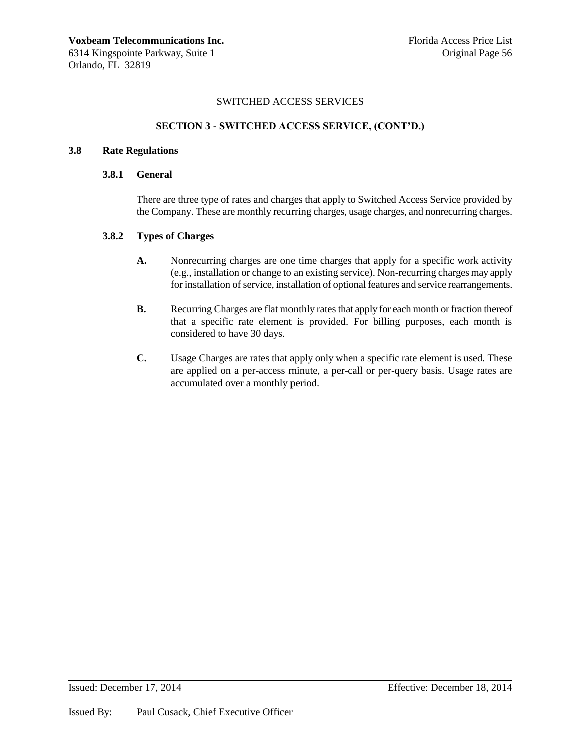### **SECTION 3 - SWITCHED ACCESS SERVICE, (CONT'D.)**

#### **3.8 Rate Regulations**

#### **3.8.1 General**

There are three type of rates and charges that apply to Switched Access Service provided by the Company. These are monthly recurring charges, usage charges, and nonrecurring charges.

## **3.8.2 Types of Charges**

- **A.** Nonrecurring charges are one time charges that apply for a specific work activity (e.g., installation or change to an existing service). Non-recurring charges may apply for installation of service, installation of optional features and service rearrangements.
- **B.** Recurring Charges are flat monthly rates that apply for each month or fraction thereof that a specific rate element is provided. For billing purposes, each month is considered to have 30 days.
- **C.** Usage Charges are rates that apply only when a specific rate element is used. These are applied on a per-access minute, a per-call or per-query basis. Usage rates are accumulated over a monthly period.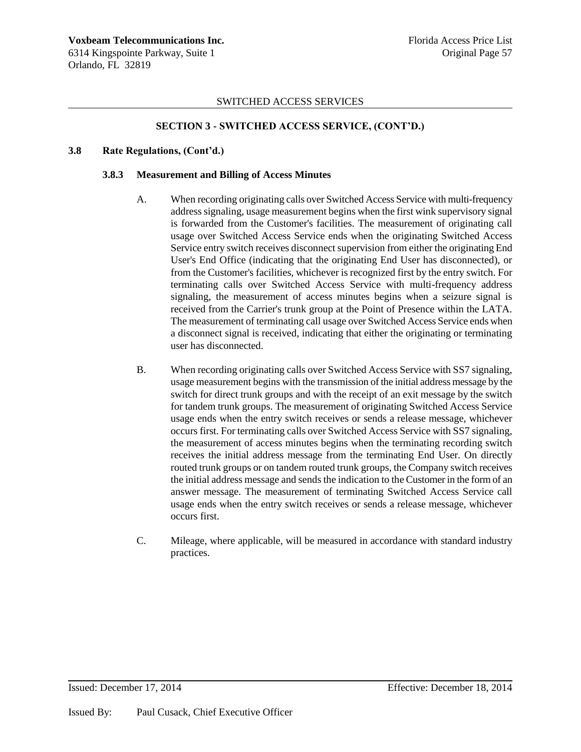### **SECTION 3 - SWITCHED ACCESS SERVICE, (CONT'D.)**

#### **3.8 Rate Regulations, (Cont'd.)**

#### **3.8.3 Measurement and Billing of Access Minutes**

- A. When recording originating calls over Switched Access Service with multi-frequency address signaling, usage measurement begins when the first wink supervisory signal is forwarded from the Customer's facilities. The measurement of originating call usage over Switched Access Service ends when the originating Switched Access Service entry switch receives disconnect supervision from either the originating End User's End Office (indicating that the originating End User has disconnected), or from the Customer's facilities, whichever is recognized first by the entry switch. For terminating calls over Switched Access Service with multi-frequency address signaling, the measurement of access minutes begins when a seizure signal is received from the Carrier's trunk group at the Point of Presence within the LATA. The measurement of terminating call usage over Switched Access Service ends when a disconnect signal is received, indicating that either the originating or terminating user has disconnected.
- B. When recording originating calls over Switched Access Service with SS7 signaling, usage measurement begins with the transmission of the initial address message by the switch for direct trunk groups and with the receipt of an exit message by the switch for tandem trunk groups. The measurement of originating Switched Access Service usage ends when the entry switch receives or sends a release message, whichever occurs first. For terminating calls over Switched Access Service with SS7 signaling, the measurement of access minutes begins when the terminating recording switch receives the initial address message from the terminating End User. On directly routed trunk groups or on tandem routed trunk groups, the Company switch receives the initial address message and sends the indication to the Customer in the form of an answer message. The measurement of terminating Switched Access Service call usage ends when the entry switch receives or sends a release message, whichever occurs first.
- C. Mileage, where applicable, will be measured in accordance with standard industry practices.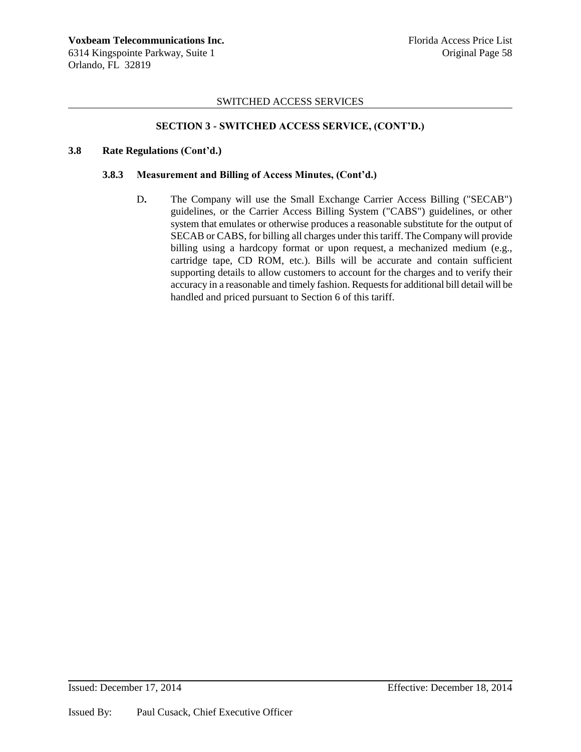### **SECTION 3 - SWITCHED ACCESS SERVICE, (CONT'D.)**

#### **3.8 Rate Regulations (Cont'd.)**

### **3.8.3 Measurement and Billing of Access Minutes, (Cont'd.)**

D**.** The Company will use the Small Exchange Carrier Access Billing ("SECAB") guidelines, or the Carrier Access Billing System ("CABS") guidelines, or other system that emulates or otherwise produces a reasonable substitute for the output of SECAB or CABS, for billing all charges under this tariff. The Company will provide billing using a hardcopy format or upon request, a mechanized medium (e.g., cartridge tape, CD ROM, etc.). Bills will be accurate and contain sufficient supporting details to allow customers to account for the charges and to verify their accuracy in a reasonable and timely fashion. Requests for additional bill detail will be handled and priced pursuant to Section 6 of this tariff.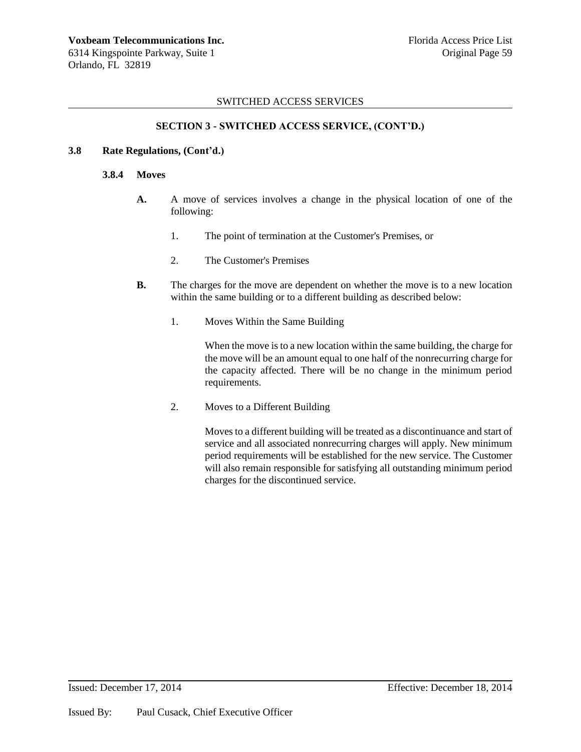### **SECTION 3 - SWITCHED ACCESS SERVICE, (CONT'D.)**

#### **3.8 Rate Regulations, (Cont'd.)**

#### **3.8.4 Moves**

- **A.** A move of services involves a change in the physical location of one of the following:
	- 1. The point of termination at the Customer's Premises, or
	- 2. The Customer's Premises
- **B.** The charges for the move are dependent on whether the move is to a new location within the same building or to a different building as described below:
	- 1. Moves Within the Same Building

When the move is to a new location within the same building, the charge for the move will be an amount equal to one half of the nonrecurring charge for the capacity affected. There will be no change in the minimum period requirements.

2. Moves to a Different Building

Moves to a different building will be treated as a discontinuance and start of service and all associated nonrecurring charges will apply. New minimum period requirements will be established for the new service. The Customer will also remain responsible for satisfying all outstanding minimum period charges for the discontinued service.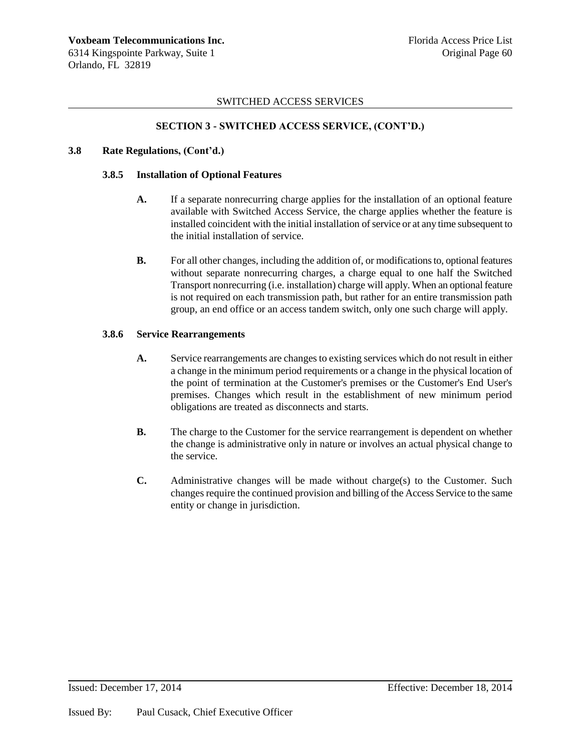### **SECTION 3 - SWITCHED ACCESS SERVICE, (CONT'D.)**

### **3.8 Rate Regulations, (Cont'd.)**

### **3.8.5 Installation of Optional Features**

- **A.** If a separate nonrecurring charge applies for the installation of an optional feature available with Switched Access Service, the charge applies whether the feature is installed coincident with the initial installation of service or at any time subsequent to the initial installation of service.
- **B.** For all other changes, including the addition of, or modifications to, optional features without separate nonrecurring charges, a charge equal to one half the Switched Transport nonrecurring (i.e. installation) charge will apply. When an optional feature is not required on each transmission path, but rather for an entire transmission path group, an end office or an access tandem switch, only one such charge will apply.

### **3.8.6 Service Rearrangements**

- **A.** Service rearrangements are changes to existing services which do not result in either a change in the minimum period requirements or a change in the physical location of the point of termination at the Customer's premises or the Customer's End User's premises. Changes which result in the establishment of new minimum period obligations are treated as disconnects and starts.
- **B.** The charge to the Customer for the service rearrangement is dependent on whether the change is administrative only in nature or involves an actual physical change to the service.
- **C.** Administrative changes will be made without charge(s) to the Customer. Such changes require the continued provision and billing of the Access Service to the same entity or change in jurisdiction.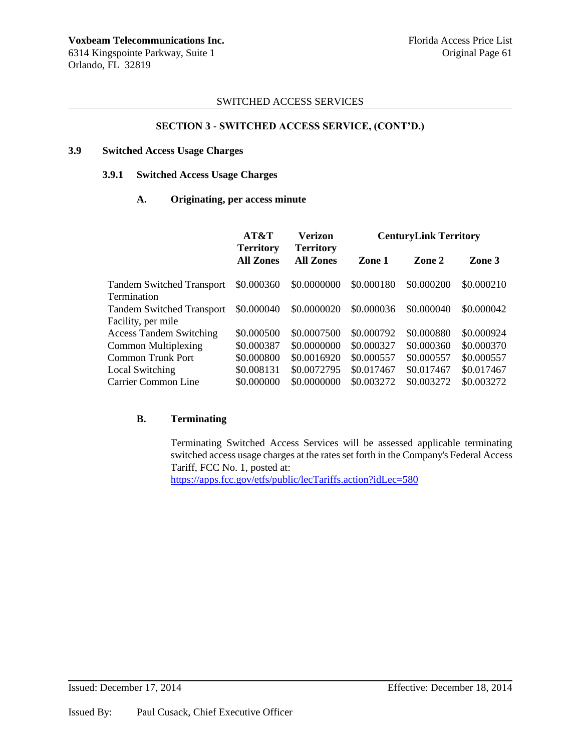### **SECTION 3 - SWITCHED ACCESS SERVICE, (CONT'D.)**

### **3.9 Switched Access Usage Charges**

#### **3.9.1 Switched Access Usage Charges**

### **A. Originating, per access minute**

|                                  | AT&T<br><b>Territory</b><br><b>All Zones</b> | Verizon<br><b>Territory</b><br><b>All Zones</b> | <b>CenturyLink Territory</b> |            |            |
|----------------------------------|----------------------------------------------|-------------------------------------------------|------------------------------|------------|------------|
|                                  |                                              |                                                 | Zone 1                       | Zone 2     | Zone 3     |
| <b>Tandem Switched Transport</b> | \$0.000360                                   | \$0.0000000                                     | \$0.000180                   | \$0.000200 | \$0.000210 |
| <b>Termination</b>               |                                              |                                                 |                              |            |            |
| <b>Tandem Switched Transport</b> | \$0.000040                                   | \$0.0000020                                     | \$0.000036                   | \$0.000040 | \$0,000042 |
| Facility, per mile               |                                              |                                                 |                              |            |            |
| <b>Access Tandem Switching</b>   | \$0.000500                                   | \$0.0007500                                     | \$0.000792                   | \$0.000880 | \$0.000924 |
| <b>Common Multiplexing</b>       | \$0.000387                                   | \$0.0000000                                     | \$0.000327                   | \$0.000360 | \$0.000370 |
| <b>Common Trunk Port</b>         | \$0.000800                                   | \$0.0016920                                     | \$0.000557                   | \$0.000557 | \$0.000557 |
| Local Switching                  | \$0.008131                                   | \$0.0072795                                     | \$0.017467                   | \$0.017467 | \$0.017467 |
| Carrier Common Line              | \$0.000000                                   | \$0.0000000                                     | \$0.003272                   | \$0.003272 | \$0.003272 |

### **B. Terminating**

Terminating Switched Access Services will be assessed applicable terminating switched access usage charges at the rates set forth in the Company's Federal Access Tariff, FCC No. 1, posted at:

<https://apps.fcc.gov/etfs/public/lecTariffs.action?idLec=580>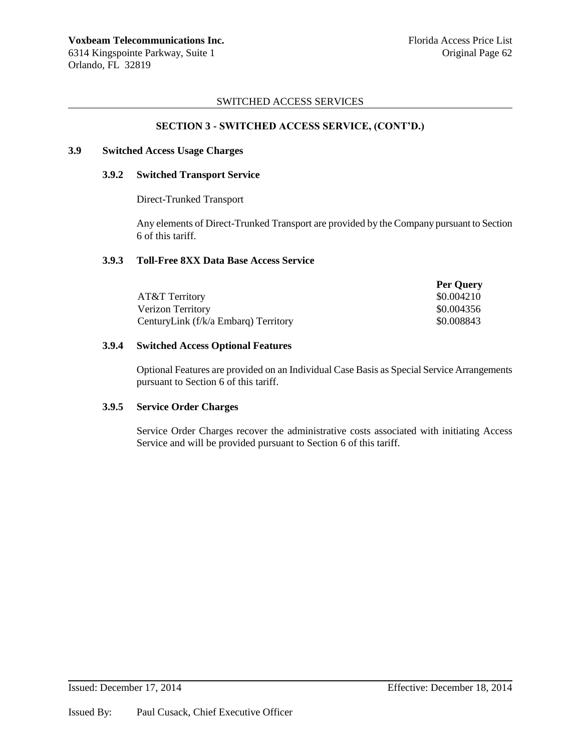### **SECTION 3 - SWITCHED ACCESS SERVICE, (CONT'D.)**

#### **3.9 Switched Access Usage Charges**

#### **3.9.2 Switched Transport Service**

Direct-Trunked Transport

Any elements of Direct-Trunked Transport are provided by the Company pursuant to Section 6 of this tariff.

#### **3.9.3 Toll-Free 8XX Data Base Access Service**

|                                      | <b>Per Ouery</b> |
|--------------------------------------|------------------|
| AT&T Territory                       | \$0.004210       |
| Verizon Territory                    | \$0.004356       |
| CenturyLink (f/k/a Embarg) Territory | \$0.008843       |

### **3.9.4 Switched Access Optional Features**

Optional Features are provided on an Individual Case Basis as Special Service Arrangements pursuant to Section 6 of this tariff.

### **3.9.5 Service Order Charges**

Service Order Charges recover the administrative costs associated with initiating Access Service and will be provided pursuant to Section 6 of this tariff.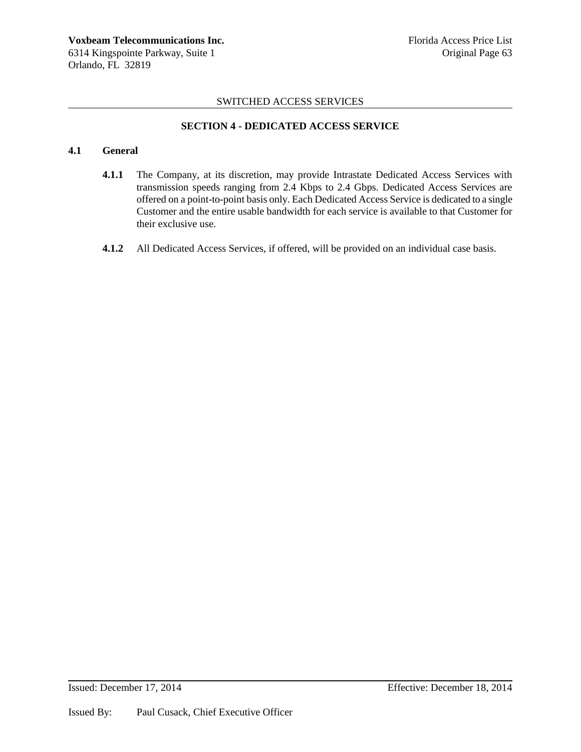### **SECTION 4 - DEDICATED ACCESS SERVICE**

## **4.1 General**

- **4.1.1** The Company, at its discretion, may provide Intrastate Dedicated Access Services with transmission speeds ranging from 2.4 Kbps to 2.4 Gbps. Dedicated Access Services are offered on a point-to-point basis only. Each Dedicated Access Service is dedicated to a single Customer and the entire usable bandwidth for each service is available to that Customer for their exclusive use.
- **4.1.2** All Dedicated Access Services, if offered, will be provided on an individual case basis.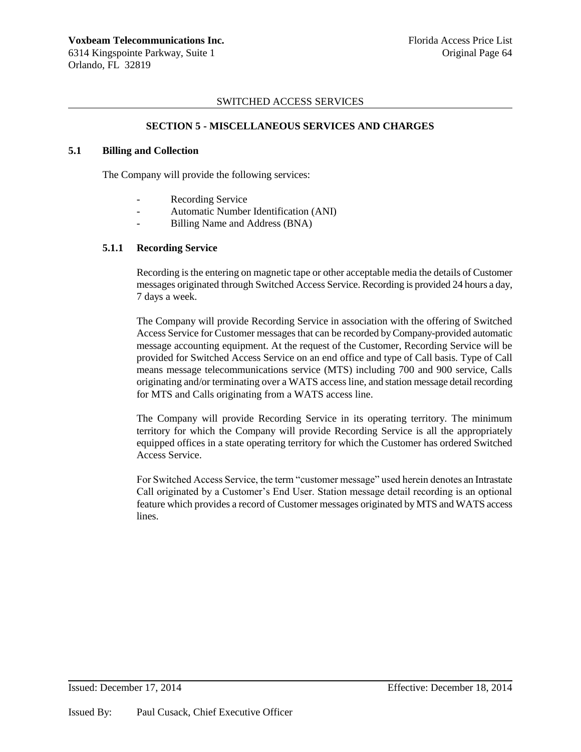### **SECTION 5 - MISCELLANEOUS SERVICES AND CHARGES**

### **5.1 Billing and Collection**

The Company will provide the following services:

- Recording Service
- Automatic Number Identification (ANI)
- Billing Name and Address (BNA)

### **5.1.1 Recording Service**

Recording is the entering on magnetic tape or other acceptable media the details of Customer messages originated through Switched Access Service. Recording is provided 24 hours a day, 7 days a week.

The Company will provide Recording Service in association with the offering of Switched Access Service for Customer messages that can be recorded by Company-provided automatic message accounting equipment. At the request of the Customer, Recording Service will be provided for Switched Access Service on an end office and type of Call basis. Type of Call means message telecommunications service (MTS) including 700 and 900 service, Calls originating and/or terminating over a WATS access line, and station message detail recording for MTS and Calls originating from a WATS access line.

The Company will provide Recording Service in its operating territory. The minimum territory for which the Company will provide Recording Service is all the appropriately equipped offices in a state operating territory for which the Customer has ordered Switched Access Service.

For Switched Access Service, the term "customer message" used herein denotes an Intrastate Call originated by a Customer's End User. Station message detail recording is an optional feature which provides a record of Customer messages originated by MTS and WATS access lines.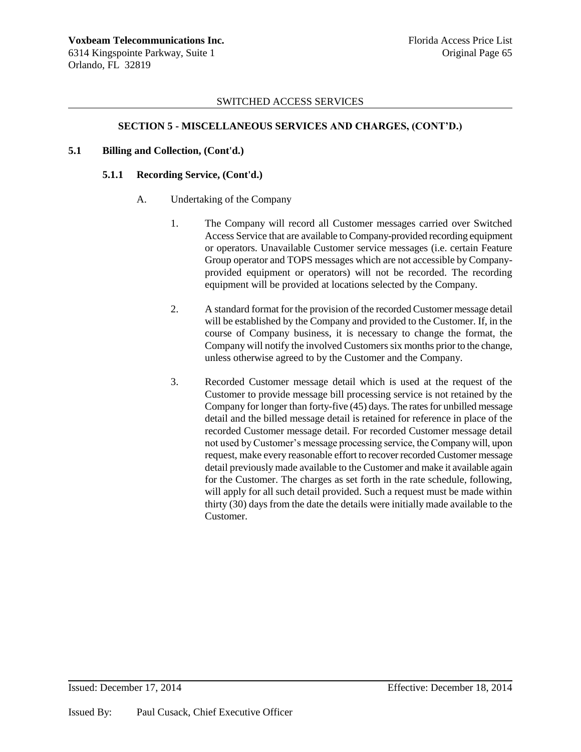### **SECTION 5 - MISCELLANEOUS SERVICES AND CHARGES, (CONT'D.)**

### **5.1 Billing and Collection, (Cont'd.)**

### **5.1.1 Recording Service, (Cont'd.)**

- A. Undertaking of the Company
	- 1. The Company will record all Customer messages carried over Switched Access Service that are available to Company-provided recording equipment or operators. Unavailable Customer service messages (i.e. certain Feature Group operator and TOPS messages which are not accessible by Companyprovided equipment or operators) will not be recorded. The recording equipment will be provided at locations selected by the Company.
	- 2. A standard format for the provision of the recorded Customer message detail will be established by the Company and provided to the Customer. If, in the course of Company business, it is necessary to change the format, the Company will notify the involved Customers six months prior to the change, unless otherwise agreed to by the Customer and the Company.
	- 3. Recorded Customer message detail which is used at the request of the Customer to provide message bill processing service is not retained by the Company for longer than forty-five (45) days. The rates for unbilled message detail and the billed message detail is retained for reference in place of the recorded Customer message detail. For recorded Customer message detail not used by Customer's message processing service, the Company will, upon request, make every reasonable effort to recover recorded Customer message detail previously made available to the Customer and make it available again for the Customer. The charges as set forth in the rate schedule, following, will apply for all such detail provided. Such a request must be made within thirty (30) days from the date the details were initially made available to the Customer.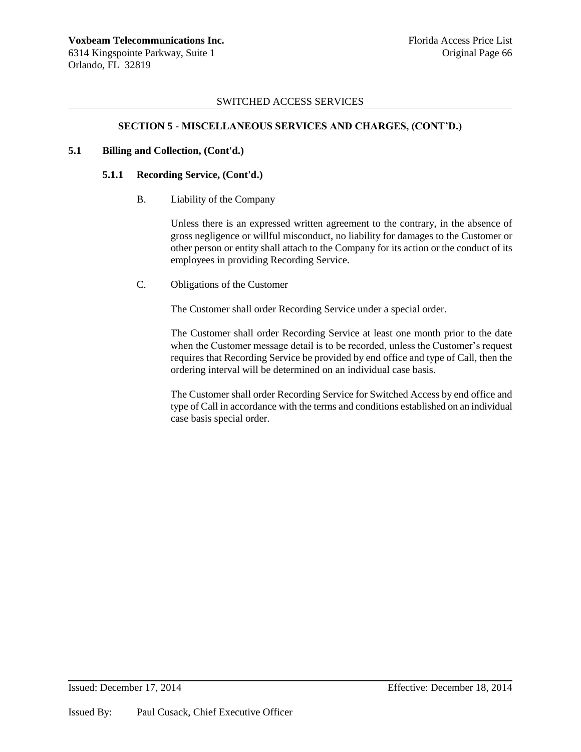## **SECTION 5 - MISCELLANEOUS SERVICES AND CHARGES, (CONT'D.)**

### **5.1 Billing and Collection, (Cont'd.)**

### **5.1.1 Recording Service, (Cont'd.)**

B. Liability of the Company

Unless there is an expressed written agreement to the contrary, in the absence of gross negligence or willful misconduct, no liability for damages to the Customer or other person or entity shall attach to the Company for its action or the conduct of its employees in providing Recording Service.

C. Obligations of the Customer

The Customer shall order Recording Service under a special order.

The Customer shall order Recording Service at least one month prior to the date when the Customer message detail is to be recorded, unless the Customer's request requires that Recording Service be provided by end office and type of Call, then the ordering interval will be determined on an individual case basis.

The Customer shall order Recording Service for Switched Access by end office and type of Call in accordance with the terms and conditions established on an individual case basis special order.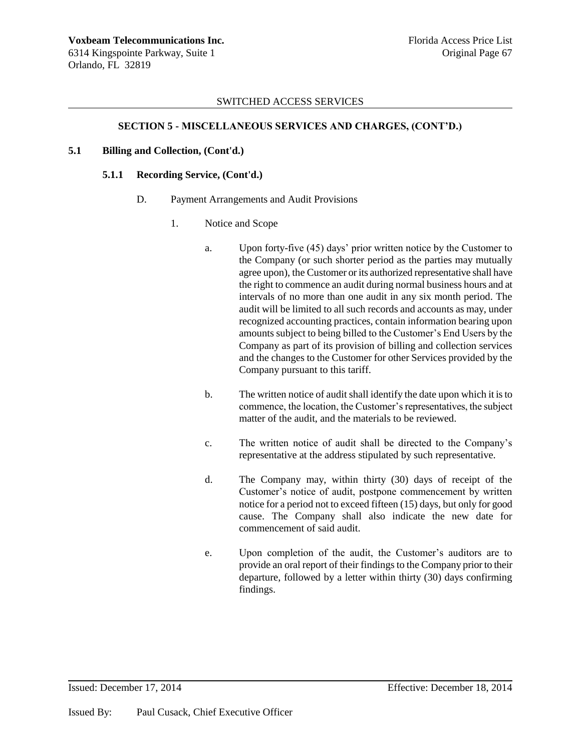# **SECTION 5 - MISCELLANEOUS SERVICES AND CHARGES, (CONT'D.)**

## **5.1 Billing and Collection, (Cont'd.)**

## **5.1.1 Recording Service, (Cont'd.)**

- D. Payment Arrangements and Audit Provisions
	- 1. Notice and Scope
		- a. Upon forty-five (45) days' prior written notice by the Customer to the Company (or such shorter period as the parties may mutually agree upon), the Customer or its authorized representative shall have the right to commence an audit during normal business hours and at intervals of no more than one audit in any six month period. The audit will be limited to all such records and accounts as may, under recognized accounting practices, contain information bearing upon amounts subject to being billed to the Customer's End Users by the Company as part of its provision of billing and collection services and the changes to the Customer for other Services provided by the Company pursuant to this tariff.
		- b. The written notice of audit shall identify the date upon which it is to commence, the location, the Customer's representatives, the subject matter of the audit, and the materials to be reviewed.
		- c. The written notice of audit shall be directed to the Company's representative at the address stipulated by such representative.
		- d. The Company may, within thirty (30) days of receipt of the Customer's notice of audit, postpone commencement by written notice for a period not to exceed fifteen (15) days, but only for good cause. The Company shall also indicate the new date for commencement of said audit.
		- e. Upon completion of the audit, the Customer's auditors are to provide an oral report of their findings to the Company prior to their departure, followed by a letter within thirty (30) days confirming findings.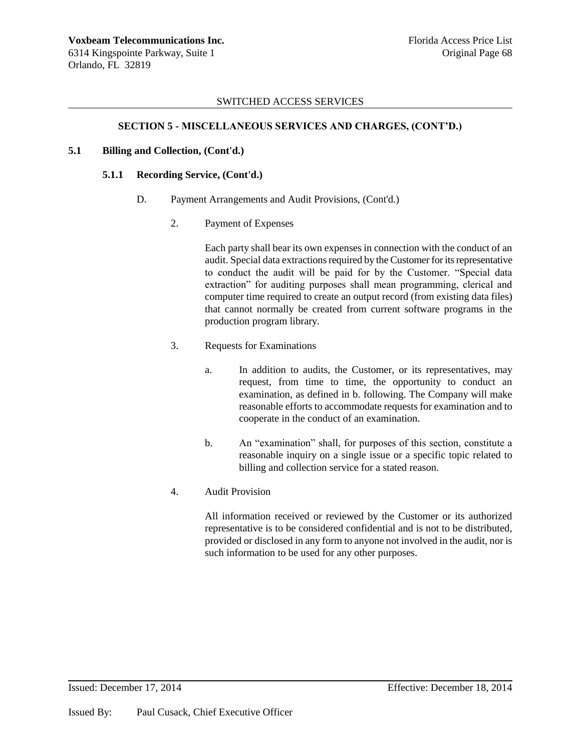## **SECTION 5 - MISCELLANEOUS SERVICES AND CHARGES, (CONT'D.)**

### **5.1 Billing and Collection, (Cont'd.)**

#### **5.1.1 Recording Service, (Cont'd.)**

- D. Payment Arrangements and Audit Provisions, (Cont'd.)
	- 2. Payment of Expenses

Each party shall bear its own expenses in connection with the conduct of an audit. Special data extractions required by the Customer for its representative to conduct the audit will be paid for by the Customer. "Special data extraction" for auditing purposes shall mean programming, clerical and computer time required to create an output record (from existing data files) that cannot normally be created from current software programs in the production program library.

- 3. Requests for Examinations
	- a. In addition to audits, the Customer, or its representatives, may request, from time to time, the opportunity to conduct an examination, as defined in b. following. The Company will make reasonable efforts to accommodate requests for examination and to cooperate in the conduct of an examination.
	- b. An "examination" shall, for purposes of this section, constitute a reasonable inquiry on a single issue or a specific topic related to billing and collection service for a stated reason.
- 4. Audit Provision

All information received or reviewed by the Customer or its authorized representative is to be considered confidential and is not to be distributed, provided or disclosed in any form to anyone not involved in the audit, nor is such information to be used for any other purposes.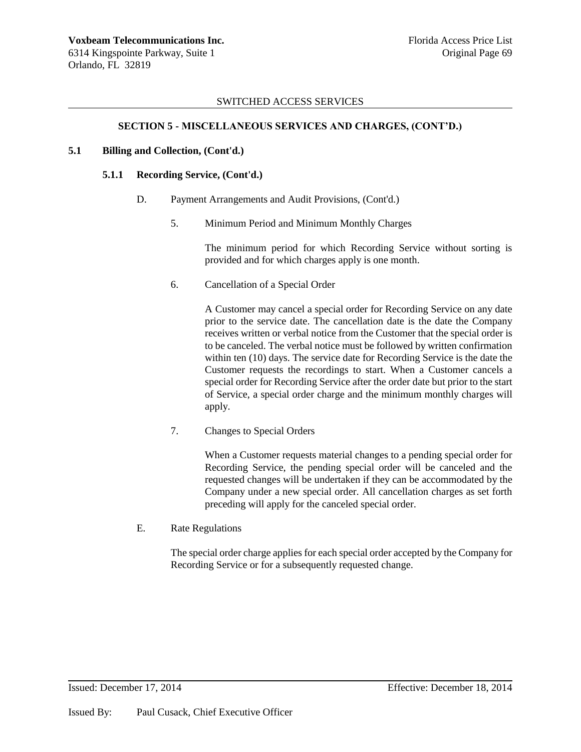# **SECTION 5 - MISCELLANEOUS SERVICES AND CHARGES, (CONT'D.)**

## **5.1 Billing and Collection, (Cont'd.)**

## **5.1.1 Recording Service, (Cont'd.)**

- D. Payment Arrangements and Audit Provisions, (Cont'd.)
	- 5. Minimum Period and Minimum Monthly Charges

The minimum period for which Recording Service without sorting is provided and for which charges apply is one month.

6. Cancellation of a Special Order

A Customer may cancel a special order for Recording Service on any date prior to the service date. The cancellation date is the date the Company receives written or verbal notice from the Customer that the special order is to be canceled. The verbal notice must be followed by written confirmation within ten (10) days. The service date for Recording Service is the date the Customer requests the recordings to start. When a Customer cancels a special order for Recording Service after the order date but prior to the start of Service, a special order charge and the minimum monthly charges will apply.

7. Changes to Special Orders

When a Customer requests material changes to a pending special order for Recording Service, the pending special order will be canceled and the requested changes will be undertaken if they can be accommodated by the Company under a new special order. All cancellation charges as set forth preceding will apply for the canceled special order.

E. Rate Regulations

The special order charge applies for each special order accepted by the Company for Recording Service or for a subsequently requested change.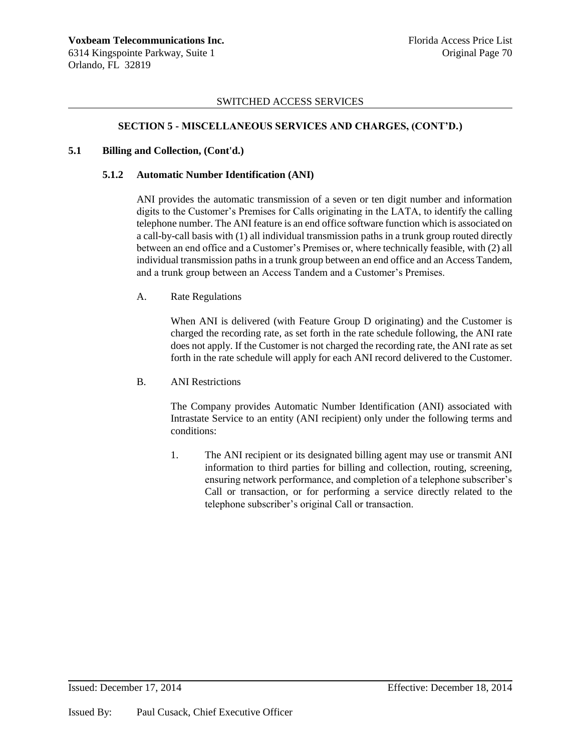### **SECTION 5 - MISCELLANEOUS SERVICES AND CHARGES, (CONT'D.)**

### **5.1 Billing and Collection, (Cont'd.)**

### **5.1.2 Automatic Number Identification (ANI)**

ANI provides the automatic transmission of a seven or ten digit number and information digits to the Customer's Premises for Calls originating in the LATA, to identify the calling telephone number. The ANI feature is an end office software function which is associated on a call-by-call basis with (1) all individual transmission paths in a trunk group routed directly between an end office and a Customer's Premises or, where technically feasible, with (2) all individual transmission paths in a trunk group between an end office and an Access Tandem, and a trunk group between an Access Tandem and a Customer's Premises.

### A. Rate Regulations

When ANI is delivered (with Feature Group D originating) and the Customer is charged the recording rate, as set forth in the rate schedule following, the ANI rate does not apply. If the Customer is not charged the recording rate, the ANI rate as set forth in the rate schedule will apply for each ANI record delivered to the Customer.

### B. ANI Restrictions

The Company provides Automatic Number Identification (ANI) associated with Intrastate Service to an entity (ANI recipient) only under the following terms and conditions:

1. The ANI recipient or its designated billing agent may use or transmit ANI information to third parties for billing and collection, routing, screening, ensuring network performance, and completion of a telephone subscriber's Call or transaction, or for performing a service directly related to the telephone subscriber's original Call or transaction.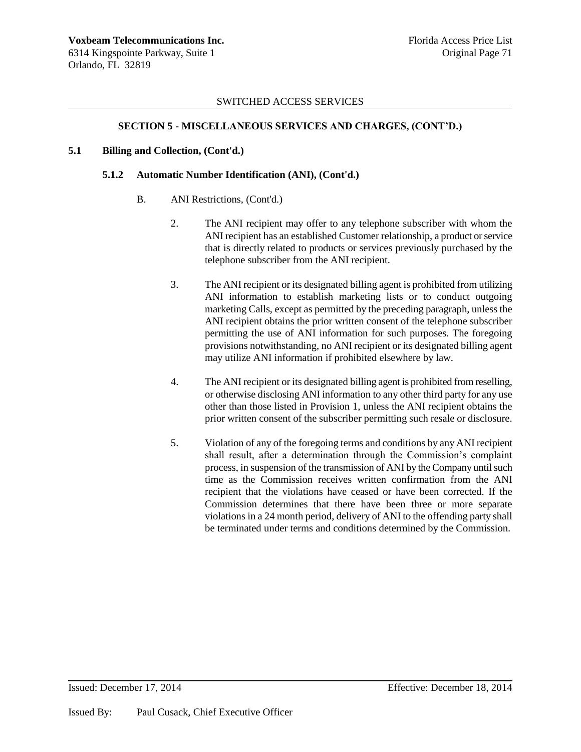### **SECTION 5 - MISCELLANEOUS SERVICES AND CHARGES, (CONT'D.)**

### **5.1 Billing and Collection, (Cont'd.)**

#### **5.1.2 Automatic Number Identification (ANI), (Cont'd.)**

- B. ANI Restrictions, (Cont'd.)
	- 2. The ANI recipient may offer to any telephone subscriber with whom the ANI recipient has an established Customer relationship, a product or service that is directly related to products or services previously purchased by the telephone subscriber from the ANI recipient.
	- 3. The ANI recipient or its designated billing agent is prohibited from utilizing ANI information to establish marketing lists or to conduct outgoing marketing Calls, except as permitted by the preceding paragraph, unless the ANI recipient obtains the prior written consent of the telephone subscriber permitting the use of ANI information for such purposes. The foregoing provisions notwithstanding, no ANI recipient or its designated billing agent may utilize ANI information if prohibited elsewhere by law.
	- 4. The ANI recipient or its designated billing agent is prohibited from reselling, or otherwise disclosing ANI information to any other third party for any use other than those listed in Provision 1, unless the ANI recipient obtains the prior written consent of the subscriber permitting such resale or disclosure.
	- 5. Violation of any of the foregoing terms and conditions by any ANI recipient shall result, after a determination through the Commission's complaint process, in suspension of the transmission of ANI by the Company until such time as the Commission receives written confirmation from the ANI recipient that the violations have ceased or have been corrected. If the Commission determines that there have been three or more separate violations in a 24 month period, delivery of ANI to the offending party shall be terminated under terms and conditions determined by the Commission.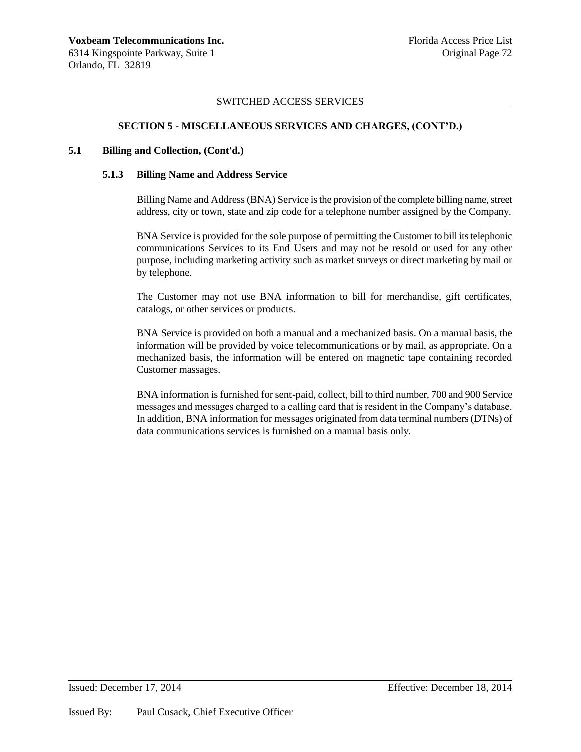# **SECTION 5 - MISCELLANEOUS SERVICES AND CHARGES, (CONT'D.)**

## **5.1 Billing and Collection, (Cont'd.)**

## **5.1.3 Billing Name and Address Service**

Billing Name and Address (BNA) Service is the provision of the complete billing name, street address, city or town, state and zip code for a telephone number assigned by the Company.

BNA Service is provided for the sole purpose of permitting the Customer to bill its telephonic communications Services to its End Users and may not be resold or used for any other purpose, including marketing activity such as market surveys or direct marketing by mail or by telephone.

The Customer may not use BNA information to bill for merchandise, gift certificates, catalogs, or other services or products.

BNA Service is provided on both a manual and a mechanized basis. On a manual basis, the information will be provided by voice telecommunications or by mail, as appropriate. On a mechanized basis, the information will be entered on magnetic tape containing recorded Customer massages.

BNA information is furnished for sent-paid, collect, bill to third number, 700 and 900 Service messages and messages charged to a calling card that is resident in the Company's database. In addition, BNA information for messages originated from data terminal numbers (DTNs) of data communications services is furnished on a manual basis only.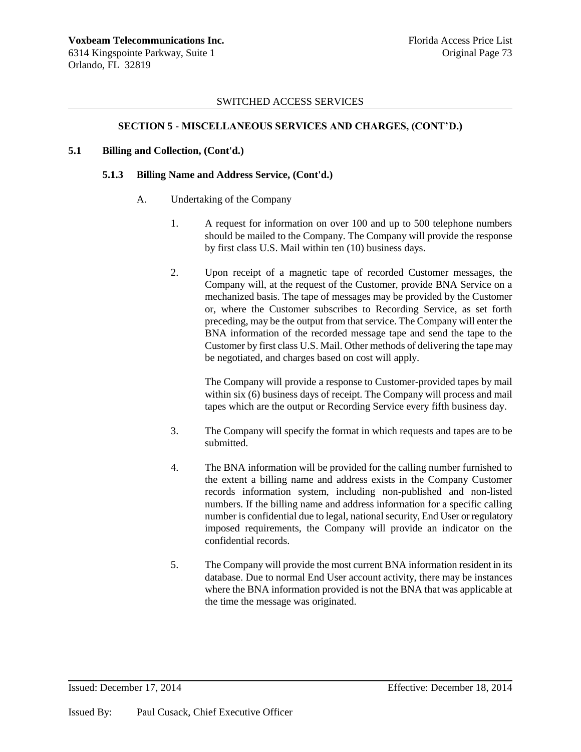## **SECTION 5 - MISCELLANEOUS SERVICES AND CHARGES, (CONT'D.)**

## **5.1 Billing and Collection, (Cont'd.)**

#### **5.1.3 Billing Name and Address Service, (Cont'd.)**

- A. Undertaking of the Company
	- 1. A request for information on over 100 and up to 500 telephone numbers should be mailed to the Company. The Company will provide the response by first class U.S. Mail within ten (10) business days.
	- 2. Upon receipt of a magnetic tape of recorded Customer messages, the Company will, at the request of the Customer, provide BNA Service on a mechanized basis. The tape of messages may be provided by the Customer or, where the Customer subscribes to Recording Service, as set forth preceding, may be the output from that service. The Company will enter the BNA information of the recorded message tape and send the tape to the Customer by first class U.S. Mail. Other methods of delivering the tape may be negotiated, and charges based on cost will apply.

The Company will provide a response to Customer-provided tapes by mail within six (6) business days of receipt. The Company will process and mail tapes which are the output or Recording Service every fifth business day.

- 3. The Company will specify the format in which requests and tapes are to be submitted.
- 4. The BNA information will be provided for the calling number furnished to the extent a billing name and address exists in the Company Customer records information system, including non-published and non-listed numbers. If the billing name and address information for a specific calling number is confidential due to legal, national security, End User or regulatory imposed requirements, the Company will provide an indicator on the confidential records.
- 5. The Company will provide the most current BNA information resident in its database. Due to normal End User account activity, there may be instances where the BNA information provided is not the BNA that was applicable at the time the message was originated.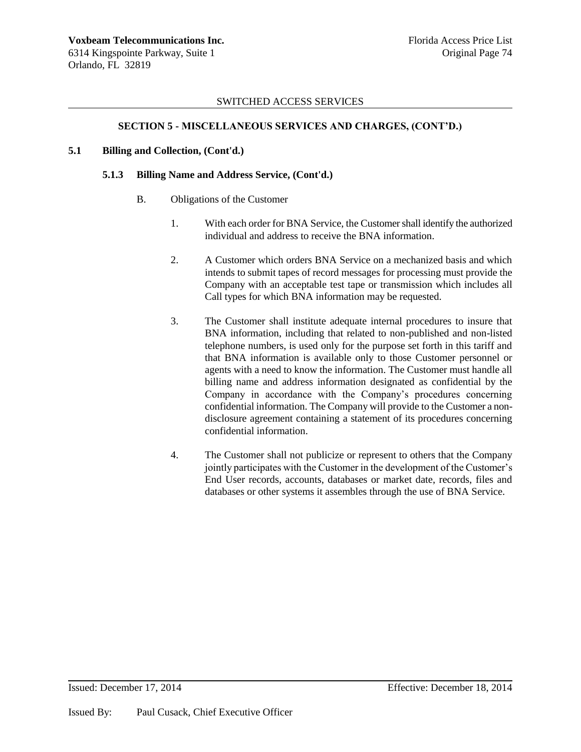# **SECTION 5 - MISCELLANEOUS SERVICES AND CHARGES, (CONT'D.)**

# **5.1 Billing and Collection, (Cont'd.)**

# **5.1.3 Billing Name and Address Service, (Cont'd.)**

- B. Obligations of the Customer
	- 1. With each order for BNA Service, the Customer shall identify the authorized individual and address to receive the BNA information.
	- 2. A Customer which orders BNA Service on a mechanized basis and which intends to submit tapes of record messages for processing must provide the Company with an acceptable test tape or transmission which includes all Call types for which BNA information may be requested.
	- 3. The Customer shall institute adequate internal procedures to insure that BNA information, including that related to non-published and non-listed telephone numbers, is used only for the purpose set forth in this tariff and that BNA information is available only to those Customer personnel or agents with a need to know the information. The Customer must handle all billing name and address information designated as confidential by the Company in accordance with the Company's procedures concerning confidential information. The Company will provide to the Customer a nondisclosure agreement containing a statement of its procedures concerning confidential information.
	- 4. The Customer shall not publicize or represent to others that the Company jointly participates with the Customer in the development of the Customer's End User records, accounts, databases or market date, records, files and databases or other systems it assembles through the use of BNA Service.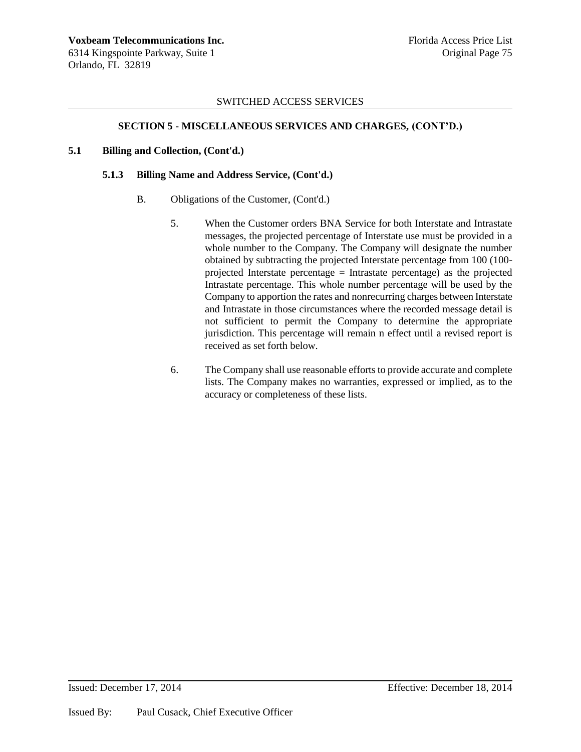## **SECTION 5 - MISCELLANEOUS SERVICES AND CHARGES, (CONT'D.)**

### **5.1 Billing and Collection, (Cont'd.)**

#### **5.1.3 Billing Name and Address Service, (Cont'd.)**

- B. Obligations of the Customer, (Cont'd.)
	- 5. When the Customer orders BNA Service for both Interstate and Intrastate messages, the projected percentage of Interstate use must be provided in a whole number to the Company. The Company will designate the number obtained by subtracting the projected Interstate percentage from 100 (100 projected Interstate percentage  $=$  Intrastate percentage) as the projected Intrastate percentage. This whole number percentage will be used by the Company to apportion the rates and nonrecurring charges between Interstate and Intrastate in those circumstances where the recorded message detail is not sufficient to permit the Company to determine the appropriate jurisdiction. This percentage will remain n effect until a revised report is received as set forth below.
	- 6. The Company shall use reasonable efforts to provide accurate and complete lists. The Company makes no warranties, expressed or implied, as to the accuracy or completeness of these lists.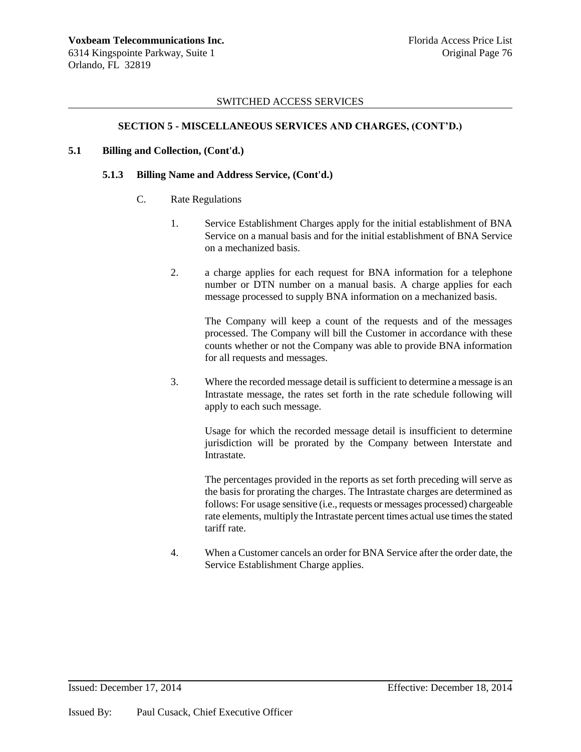## **SECTION 5 - MISCELLANEOUS SERVICES AND CHARGES, (CONT'D.)**

## **5.1 Billing and Collection, (Cont'd.)**

#### **5.1.3 Billing Name and Address Service, (Cont'd.)**

- C. Rate Regulations
	- 1. Service Establishment Charges apply for the initial establishment of BNA Service on a manual basis and for the initial establishment of BNA Service on a mechanized basis.
	- 2. a charge applies for each request for BNA information for a telephone number or DTN number on a manual basis. A charge applies for each message processed to supply BNA information on a mechanized basis.

The Company will keep a count of the requests and of the messages processed. The Company will bill the Customer in accordance with these counts whether or not the Company was able to provide BNA information for all requests and messages.

3. Where the recorded message detail is sufficient to determine a message is an Intrastate message, the rates set forth in the rate schedule following will apply to each such message.

Usage for which the recorded message detail is insufficient to determine jurisdiction will be prorated by the Company between Interstate and Intrastate.

The percentages provided in the reports as set forth preceding will serve as the basis for prorating the charges. The Intrastate charges are determined as follows: For usage sensitive (i.e., requests or messages processed) chargeable rate elements, multiply the Intrastate percent times actual use times the stated tariff rate.

4. When a Customer cancels an order for BNA Service after the order date, the Service Establishment Charge applies.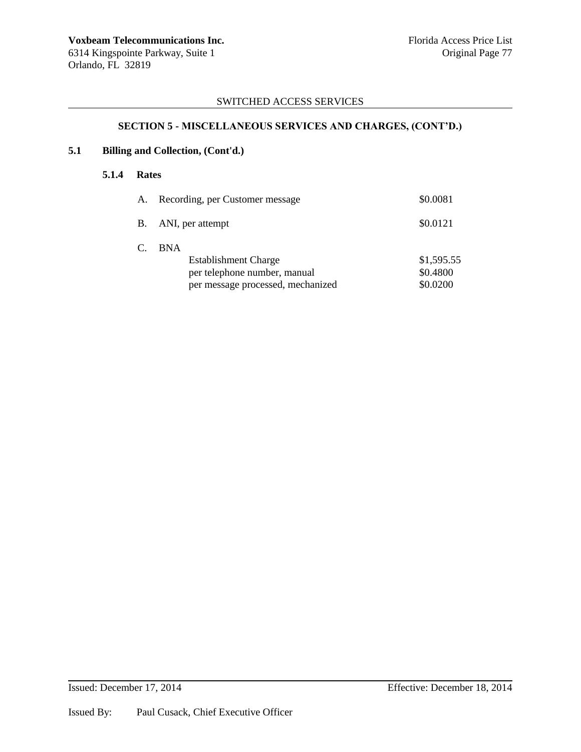# **SECTION 5 - MISCELLANEOUS SERVICES AND CHARGES, (CONT'D.)**

# **5.1 Billing and Collection, (Cont'd.)**

## **5.1.4 Rates**

| А. | Recording, per Customer message                                                                                | \$0.0081                           |
|----|----------------------------------------------------------------------------------------------------------------|------------------------------------|
|    | B. ANI, per attempt                                                                                            | \$0.0121                           |
| C. | <b>BNA</b><br><b>Establishment Charge</b><br>per telephone number, manual<br>per message processed, mechanized | \$1,595.55<br>\$0.4800<br>\$0.0200 |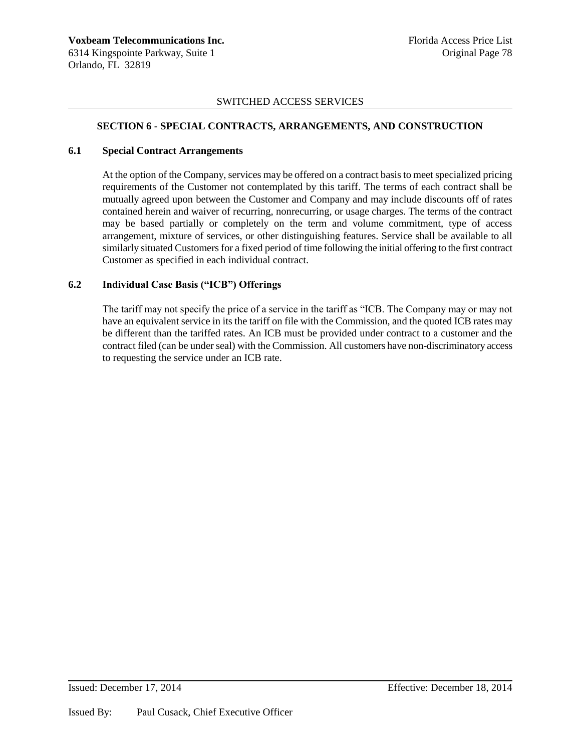# **SECTION 6 - SPECIAL CONTRACTS, ARRANGEMENTS, AND CONSTRUCTION**

### **6.1 Special Contract Arrangements**

At the option of the Company, services may be offered on a contract basis to meet specialized pricing requirements of the Customer not contemplated by this tariff. The terms of each contract shall be mutually agreed upon between the Customer and Company and may include discounts off of rates contained herein and waiver of recurring, nonrecurring, or usage charges. The terms of the contract may be based partially or completely on the term and volume commitment, type of access arrangement, mixture of services, or other distinguishing features. Service shall be available to all similarly situated Customers for a fixed period of time following the initial offering to the first contract Customer as specified in each individual contract.

# **6.2 Individual Case Basis ("ICB") Offerings**

The tariff may not specify the price of a service in the tariff as "ICB. The Company may or may not have an equivalent service in its the tariff on file with the Commission, and the quoted ICB rates may be different than the tariffed rates. An ICB must be provided under contract to a customer and the contract filed (can be under seal) with the Commission. All customers have non-discriminatory access to requesting the service under an ICB rate.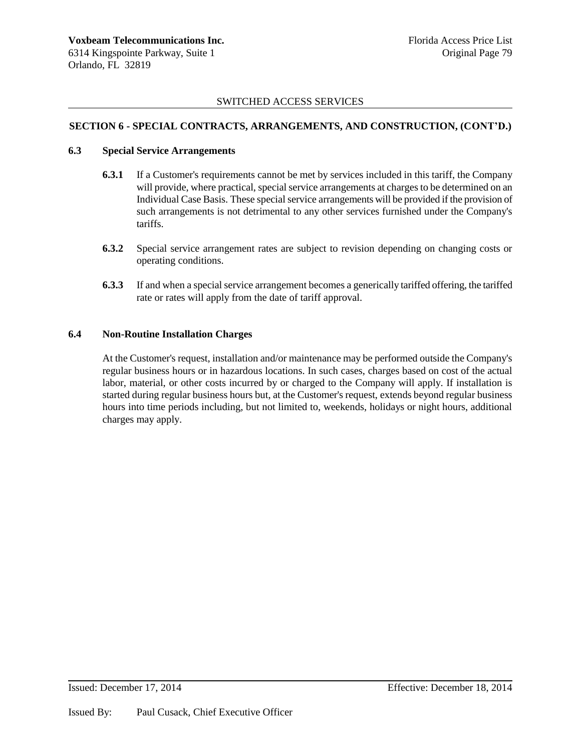# **SECTION 6 - SPECIAL CONTRACTS, ARRANGEMENTS, AND CONSTRUCTION, (CONT'D.)**

## **6.3 Special Service Arrangements**

- **6.3.1** If a Customer's requirements cannot be met by services included in this tariff, the Company will provide, where practical, special service arrangements at charges to be determined on an Individual Case Basis. These special service arrangements will be provided if the provision of such arrangements is not detrimental to any other services furnished under the Company's tariffs.
- **6.3.2** Special service arrangement rates are subject to revision depending on changing costs or operating conditions.
- **6.3.3** If and when a special service arrangement becomes a generically tariffed offering, the tariffed rate or rates will apply from the date of tariff approval.

# **6.4 Non-Routine Installation Charges**

At the Customer's request, installation and/or maintenance may be performed outside the Company's regular business hours or in hazardous locations. In such cases, charges based on cost of the actual labor, material, or other costs incurred by or charged to the Company will apply. If installation is started during regular business hours but, at the Customer's request, extends beyond regular business hours into time periods including, but not limited to, weekends, holidays or night hours, additional charges may apply.